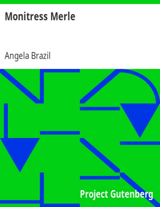# **Monitress Merle**

# Angela Brazil

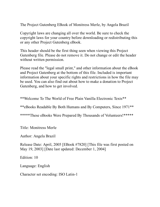The Project Gutenberg EBook of Monitress Merle, by Angela Brazil

Copyright laws are changing all over the world. Be sure to check the copyright laws for your country before downloading or redistributing this or any other Project Gutenberg eBook.

This header should be the first thing seen when viewing this Project Gutenberg file. Please do not remove it. Do not change or edit the header without written permission.

Please read the "legal small print," and other information about the eBook and Project Gutenberg at the bottom of this file. Included is important information about your specific rights and restrictions in how the file may be used. You can also find out about how to make a donation to Project Gutenberg, and how to get involved.

\*\*Welcome To The World of Free Plain Vanilla Electronic Texts\*\*

\*\*eBooks Readable By Both Humans and By Computers, Since 1971\*\*

\*\*\*\*\*These eBooks Were Prepared By Thousands of Volunteers!\*\*\*\*\*

Title: Monitress Merle

Author: Angela Brazil

Release Date: April, 2005 [EBook #7820] [This file was first posted on May 19, 2003] [Date last updated: December 1, 2004]

Edition: 10

Language: English

Character set encoding: ISO Latin-1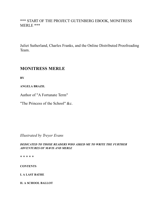## \*\*\* START OF THE PROJECT GUTENBERG EBOOK, MONITRESS MERLE \*\*\*

Juliet Sutherland, Charles Franks, and the Online Distributed Proofreading Team.

# **MONITRESS MERLE**

**BY**

**ANGELA BRAZIL**

Author of "A Fortunate Term"

"The Princess of the School" &c.

*Illustrated by Treyer Evans*

*DEDICATED TO THOSE READERS WHO ASKED ME TO WRITE THE FURTHER ADVENTURES OF MAVIS AND MERLE*

\* \* \* \* \*

**CONTENTS**

**I. A LAST BATHE**

**II. A SCHOOL BALLOT**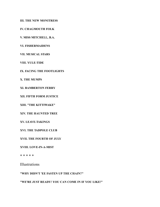**III. THE NEW MONITRESS**

**IV. CHAGMOUTH FOLK**

**V. MISS MITCHELL, B.A.**

**VI. FISHERMAIDENS**

**VII. MUSICAL STARS**

**VIII. YULE-TIDE**

**IX. FACING THE FOOTLIGHTS**

**X. THE MUMPS**

**XI. BAMBERTON FERRY**

**XII. FIFTH FORM JUSTICE**

**XIII. "THE KITTIWAKE"**

**XIV. THE HAUNTED TREE**

**XV. LEAVE-TAKINGS**

**XVI. THE TADPOLE CLUB**

**XVII. THE FOURTH OF JULY**

**XVIII. LOVE-IN-A-MIST**

\* \* \* \* \*

Illustrations

**"WHY DIDN'T 'EE FASTEN UP THE CHAIN?"**

**"WE'RE JUST READY! YOU CAN COME IN IF YOU LIKE!"**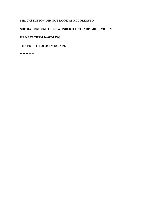#### **MR. CASTLETON DID NOT LOOK AT ALL PLEASED**

#### **SHE HAD BROUGHT HER WONDERFUL STRADIVARIUS VIOLIN**

#### **HE KEPT THEM DAWDLING**

#### **THE FOURTH OF JULY PARADE**

\* \* \* \* \*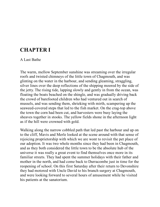# **CHAPTER I**

### A Last Bathe

The warm, mellow September sunshine was streaming over the irregular roofs and twisted chimneys of the little town of Chagmouth, and was glinting on the water in the harbour, and sending gleaming, straggling, silver lines over the deep reflections of the shipping moored by the side of the jetty. The rising tide, lapping slowly and gently in from the ocean, was floating the boats beached on the shingle, and was gradually driving back the crowd of barefooted children who had ventured out in search of mussels, and was sending them, shrieking with mirth, scampering up the seaweed-covered steps that led to the fish market. On the crag-top above the town the corn had been cut, and harvesters were busy laying the sheaves together in stooks. The yellow fields shone in the afternoon light as if the hill were crowned with gold.

Walking along the narrow cobbled path that led past the harbour and up on to the cliff, Mavis and Merle looked at the scene around with that sense of rejoicing proprietorship with which we are wont to revisit the pet place of our adoption. It was two whole months since they had been in Chagmouth, and as they both considered the little town to be the absolute hub of the universe it was really a great event to find themselves once more in its familiar streets. They had spent the summer holidays with their father and mother in the north, and had come back to Durracombe just in time for the reopening of school. On this first Saturday after their return to Devonshire they had motored with Uncle David to his branch surgery at Chagmouth, and were looking forward to several hours of amusement while he visited his patients at the sanatorium.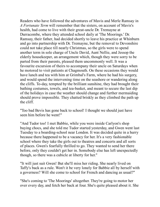Readers who have followed the adventures of Mavis and Merle Ramsay in *A Fortunate Term* will remember that the sisters, on account of Mavis's health, had come to live with their great-uncle Dr. Tremayne at Durracombe, where they attended school daily at 'The Moorings.' Dr. Ramsay, their father, had decided shortly to leave his practice at Whinburn and go into partnership with Dr. Tremayne, but the removal to Devonshire could not take place till nearly Christmas, so the girls were to spend another term in sole charge of Uncle David, Aunt Nellie, and Jessop the elderly housekeeper, an arrangement which, though they were sorry to be parted from their parents, pleased them uncommonly well. It was a favourite excursion of theirs to accompany their uncle on Saturdays when he motored to visit patients at Chagmouth. On these occasions they would have lunch and tea with him at Grimbal's Farm, where he had his surgery, and would spend the intervening time on the seashore or wandering along the cliffs. To-day, tempted by the brilliant sunshine, they had brought their bathing costumes, towels, and tea-basket, and meant to secure the last dip of the holidays in case the weather should change and further mermaiding should prove impossible. They chatted briskly as they climbed the path up the cliff.

"Too bad Bevis has gone back to school! I thought we should just have seen him before he went!"

"And Tudor too! I met Babbie, while you were inside Carlyon's shop buying chocs, and she told me Tudor started yesterday, and Gwen went last Tuesday to a boarding-school near London. It was decided quite in a hurry because there happened to be a vacancy for her. It's a very fashionable school where they take the girls out to theatres and concerts and all sorts of places. Gwen's fearfully thrilled to go. They wanted to send her there before, only they couldn't get her in. Somebody else has left unexpectedly though, so there was a cubicle at liberty for her."

"It will just suit Gwen! But she'll miss her riding. She nearly lived on Taffy's back as a rule. Won't it be very lonely for Babbie all by herself with a governess? Will she come to school for French and dancing as usual?"

"She's coming to 'The Moorings' altogether. They're going to motor her over every day, and fetch her back at four. She's quite pleased about it. She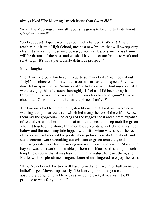always liked 'The Moorings' much better than Gwen did."

"And 'The Moorings,' from all reports, is going to be an utterly different school this term!"

"So I suppose! Hope it won't be too much changed, that's all! A new teacher, hot from a High School, means a new broom that will sweep very clean. It strikes me those nice do-as-you-please lessons with Miss Fanny will be dreams of the past, and we shall have to set our brains to work and swat! Ugh! It's not a particularly delirious prospect!"

Mavis laughed.

"Don't wrinkle your forehead into quite so many kinks! You look about forty!" she objected. "It mayn't turn out as hard as you expect. Anyhow, don't let us spoil the last Saturday of the holidays with thinking about it. I want to enjoy this afternoon thoroughly. I feel as if I'd been away from Chagmouth for years and years. Isn't it priceless to see it again? Have a chocolate! Or would you rather take a piece of toffee?"

The two girls had been mounting steadily as they talked, and were now walking along a narrow track which led along the top of the cliffs. Below them lay the gorgeous-hued crags of the rugged coast and a great expanse of sea, silver at the horizon, blue at mid-distance, and deep metallic green where it touched the shore. Innumerable sea-birds wheeled and screamed below, and the incoming tide lapped with little white waves over the reefs of rocks, and submerged the pools where gobies were darting about, and sea-anemones were stretching out crimson or green tentacles, and scurrying crabs were hiding among masses of brown oar-weed. Above and beyond was a network of brambles, where ripe blackberries hung in such tempting clusters that it was hardly in human nature to resist them, and Merle, with purple-stained fingers, loitered and lingered to enjoy the feast.

"If you're not quick the tide will have turned and it won't be half so nice to bathe!" urged Mavis impatiently. "Do hurry up now, and you can absolutely gorge on blackberries as we come back, if you want to. I'll promise to wait for you then."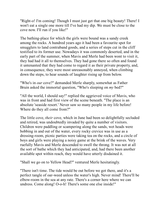"Right-o! I'm coming! Though I must just get that one big beauty! There! I won't eat a single one more till I've had my dip. We must be close to the cove now. I'll run if you like!"

The bathing-place for which the girls were bound was a sandy creek among the rocks. A hundred years ago it had been a favourite spot for smugglers to land contraband goods, and a series of steps cut in the cliff testified to its former use. Nowadays it was commonly deserted, and in the early part of the summer, when Mavis and Merle had been wont to visit it, they had had it all to themselves. They had gone there so often and found it untenanted that they had come to regard it as their private property, and, in consequence, they were most unreasonably annoyed, when climbing down the steps, to hear sounds of laughter rising up from below.

"Who's in *our* cove?" demanded Merle sharply, somewhat as Father Bruin asked the immortal question, "Who's sleeping on *my* bed?"

"All the world, I should say!" replied the aggrieved voice of Mavis, who was in front and had first view of the scene beneath. "The place is an absolute 'seaside resort.' Never saw so many people in my life before! Where do they all come from?"

The little cove, *their* cove, which in June had been so delightfully secluded and retired, was undoubtedly invaded by quite a number of visitors. Children were paddling or scampering along the sands, wet heads were bobbing in and out of the water, every rocky crevice was in use as a dressing-room, picnic parties were taking tea on the rocks, and a circle of boys and girls were playing a noisy game at the brink of the waves. Very ruefully Mavis and Merle descended to swell the throng. It was not at all the sort of bathe which they had anticipated, and, had there been another available spot within reach, they would have utterly disdained it.

"Shall we go on to Yellow Head?" ventured Merle hesitatingly.

"There isn't time. The tide would be out before we got there, and it's a perfect tangle of oar-weed unless the water's high. Never mind! There'll be elbow-room in the sea at any rate. There's a corner here where we can undress. Come along! O-o-h! There's some one else inside!"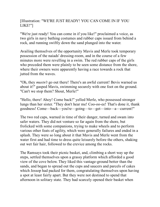## [Illustration: "WE'RE JUST READY! YOU CAN COME IN IF YOU LIKE!"]

"We're just ready! You can come in if you like!" proclaimed a voice, as two girls in navy bathing costumes and rubber caps issued from behind a rock, and running swiftly down the sand plunged into the water.

Availing themselves of the opportunity Mavis and Merle took temporary possession of the naiads' dressing-room, and in the course of a few minutes more were revelling in a swim. The red rubber caps of the girls who preceded them were plainly to be seen some distance from the shore, where their owners were apparently having a race towards a rock that jutted from the waves.

"Oh, they *mustn't* go out there! There's an awful current! Bevis warned us about it!" gasped Mavis, swimming securely with one foot on the ground. "Can't we stop them? Shout, Merle!"

"Hello, there! Ahoy! Come back!" yelled Merle, who possessed stronger lungs than her sister. "They don't hear me! Coo-oo-ee! That's done it, thank goodness! Come—back—you're—going—to—get—into—a—current!"

The two red caps, warned in time of their danger, turned and swam into safer waters. They did not venture so far again from the shore, but frolicked with some companions, trying to make wheels and to perform various other feats of agility, which were generally failures and ended in a splash. They were so long about it that Mavis and Merle went from the water first and had time to dress quite leisurely before the others, shaking out wet fair hair, followed to the crevice among the rocks.

The Ramsays took their picnic basket, and, climbing a short way up the steps, settled themselves upon a grassy platform which afforded a good view of the cove below. They liked this vantage-ground better than the sands, and began to spread out the cups and saucers and parcels of cakes which Jessop had packed for them, congratulating themselves upon having a spot at least fairly apart. But they were not destined to spend that afternoon in solitary state. They had scarcely opened their basket when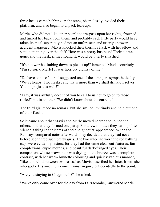three heads came bobbing up the steps, shamelessly invaded their platform, and also began to unpack tea-cups.

Merle, who did not like other people to trespass upon her rights, frowned and turned her back upon them, and probably each little party would have taken its meal separately had not an unforeseen and utterly untoward accident happened. Mavis knocked their thermos flask with her elbow and sent it spinning over the cliff. Here was a pretty business! Their tea was gone, and the flask, if they found it, would be utterly smashed.

"It's not worth climbing down to pick it up!" lamented Mavis contritely. "I'm so sorry, Merle! It was horribly clumsy of me!"

"Do have some of ours!" suggested one of the strangers sympathetically. "We've heaps! Two flasks; and that's more than we shall drink ourselves. You might just as well!"

"I say, it was awfully decent of you to call to us not to go on to those rocks!" put in another. "We didn't know about the current."

The third girl made no remark, but she smiled invitingly and held out one of their flasks.

So it came about that Mavis and Merle moved nearer and joined the others, so that they formed one party. For a few minutes they sat in polite silence, taking in the items of their neighbours' appearance. When the Ramsays compared notes afterwards they decided that they had never before seen three such pretty girls. The two who had worn the red bathing caps were evidently sisters, for they had the same clear-cut features, fair complexions, cupid mouths, and beautiful dark-fringed eyes. Their companion, whose brown hair was drying in the breeze, was a complete contrast, with her warm brunette colouring and quick vivacious manner, "like an orchid between two roses," as Mavis described her later. It was she who spoke first—quite a conventional inquiry but decidedly to the point.

"Are you staying in Chagmouth?" she asked.

"We've only come over for the day from Durracombe," answered Merle.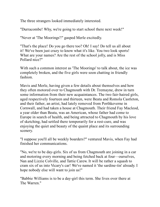The three strangers looked immediately interested.

"Durracombe! Why, we're going to start school there next week!"

"Never at 'The Moorings'!" gasped Merle excitedly.

"That's the place! Do you go there too? Oh! I say! Do tell us all about it! We've been just crazy to know what it's like. You two look sports! What are your names? Are the rest of the school jolly, and is Miss Pollard nice?"

With such a common interest as 'The Moorings' to talk about, the ice was completely broken, and the five girls were soon chatting in friendly fashion.

Mavis and Merle, having given a few details about themselves and how they often motored over to Chagmouth with Dr. Tremayne, drew in turn some information from their new acquaintances. The two fair-haired girls, aged respectively fourteen and thirteen, were Beata and Romola Castleton, and their father, an artist, had lately removed from Porthkeverne in Cornwall, and had taken a house at Chagmouth. Their friend Fay Macleod, a year older than Beata, was an American, whose father had come to Europe in search of health, and being attracted to Chagmouth by his love of sketching, had settled there temporarily for a rest-cure, and was enjoying the quiet and beauty of the quaint place and its surrounding scenery.

"I suppose you'll all be weekly boarders?" ventured Mavis, when Fay had finished her communications.

"No, we're to be day-girls. Six of us from Chagmouth are joining in a car and motoring every morning and being fetched back at four—ourselves, Nan and Lizzie Colville, and Tattie Carew. It will be rather a squash to cram six of us into Vicary's car! We've named it 'the sardine-tin' already. I hope nobody else will want to join us!"

"Babbie Williams is to be a day-girl this term. She lives over there at The Warren<sup>"</sup>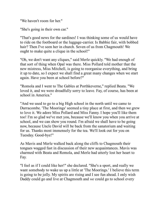"We haven't room for her."

"She's going in their own car."

"That's good news for the sardines! I was thinking some of us would have to ride on the footboard or the luggage-carrier. Is Babbie fair, with bobbed hair? Then I've seen her in church. Seven of us from Chagmouth! We ought to make quite a clique in the school!"

"Oh, we don't want any cliques," said Merle quickly. "We had enough of that sort of thing when Opal was there. Miss Pollard told mother that the new mistress, Miss Mitchell, is going to reorganise everything, and bring it up to date, so I expect we shall find a great many changes when we start again. Have you been at school before?"

"Romola and I went to The Gables at Porthkeverne," replied Beata. "We loved it, and we were dreadfully sorry to leave. Fay, of course, has been at school in America."

"And we used to go to a big High school in the north until we came to Durracombe. 'The Moorings' seemed a tiny place at first, and then we grew to love it. We adore Miss Pollard and Miss Fanny. I hope you'll like them too! I'm so glad we've met you, because we'll know you when you arrive at school, and we can show you round. I'm afraid we shall have to be going now, because Uncle David will be back from the sanatorium and waiting for us. Thanks most immensely for the tea. We'll look out for you on Tuesday. Good-bye!"

As Mavis and Merle walked back along the cliffs to Chagmouth their tongues wagged fast in discussion of their new acquaintances. Mavis was charmed with Beata and Romola, and Merle had utterly lost her heart to Fay.

"I feel as if I could like her!" she declared. "She's a sport, and really we want somebody to wake us up a little at 'The Moorings.' I believe this term is going to be jolly. My spirits are rising and I see fun ahead. I only wish Daddy could go and live at Chagmouth and *we* could go to school every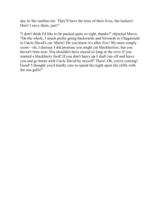day in 'the sardine-tin.' They'll have the time of their lives, the luckers! Don't I envy them, just!"

"I don't think I'd like to be packed quite so tight, thanks!" objected Mavis. "On the whole, I much prefer going backwards and forwards to Chagmouth in Uncle David's car. Merle! Do you know it's after five! We must simply scoot—oh, I daresay I did promise you might eat blackberries, but you haven't time now. You shouldn't have stayed so long at the cove if you wanted a blackberry feed! If you don't hurry up I shall run off and leave you and go home with Uncle David by myself! There! Oh, you're coming! Good! I thought you'd hardly care to spend the night upon the cliffs with the sea-gulls!"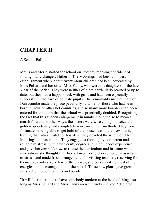# **CHAPTER II**

A School Ballot

Mavis and Merle started for school on Tuesday morning confident of finding many changes. Hitherto 'The Moorings' had been a modest establishment where about twenty-four children had been educated by Miss Pollard and her sister Miss Fanny, who were the daughters of the late Vicar of the parish. They were neither of them particularly learned or up to date, but they had a happy knack with girls, and had been especially successful in the care of delicate pupils. The remarkably mild climate of Durracombe made the place peculiarly suitable for those who had been born in India or other hot countries, and so many more boarders had been entered for this term that the school was practically doubled. Recognising the fact that this sudden enlargement in numbers ought also to mean a march forward in other ways, the sisters were wise enough to seize their golden opportunity and completely reorganise their methods. They were fortunate in being able to get hold of the house next to their own, and, turning that into a hostel for boarders, they devoted the whole of 'The Moorings' to classrooms. They engaged a thoroughly competent and reliable mistress, with a university degree and High School experience, and gave her *carte blanche* to revise the curriculum and institute what innovations she thought fit. They allowed her to choose her own assistant mistress, and made fresh arrangements for visiting teachers, reserving for themselves only a very few of the classes, and concentrating most of their energies on the management of the hostel. These new plans gave great satisfaction to both parents and pupils.

"It will be rather nice to have somebody modern at the head of things, so long as Miss Pollard and Miss Fanny aren't entirely shelved," declared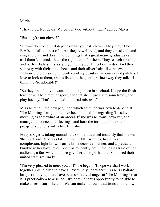Merle.

"They're perfect dears! We couldn't do without them," agreed Mavis.

"But they're not clever!"

"Um—I don't know! It depends what you call clever! They mayn't be B.A.'s and all the rest of it, but they're well read, and they can sketch and sing and play and do a hundred things that a great many graduates can't. I call them 'cultured,' that's the right name for them. They're such absolute and perfect ladies. It's a style you really don't meet every day. And they're so pretty with their pink cheeks and their silver hair, like the sweet oldfashioned pictures of eighteenth-century beauties in powder and patches. I love to look at them, and to listen to the gentle refined way they talk—I think they're adorable!"

"So they are—but you want something more in a school. I hope the fresh teacher will be a regular sport, and that she'll use slang sometimes, and play hockey. That's my ideal of a head mistress."

Miss Mitchell, the new peg upon which so much was now to depend at 'The Moorings,' might not have been blamed for regarding Tuesday morning as somewhat of an ordeal. If she was nervous, however, she managed to conceal her feelings, and bore the introduction to her prospective pupils with cheerful calm.

Forty-six girls, taking mental stock of her, decided instantly that she was 'the right sort.' She was tall, in her middle twenties, had a fresh complexion, light brown hair, a brisk decisive manner, and a pleasant twinkle in her hazel eyes. She was evidently not in the least afraid of her audience, a fact which at once gave her the right handle. She faced their united stare smilingly.

"I'm very pleased to meet you all!" she began. "I hope we shall work together splendidly and have an extremely happy term. As Miss Pollard has just told you, there have been so many changes at 'The Moorings' that it is practically a new school. It's a tremendous opportunity to be able to make a fresh start like this. We can make our own traditions and our own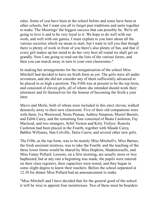rules. Some of you have been at the school before and some have been at other schools, but I want you all to forget past traditions and unite together to make 'The Moorings' the biggest success that can possibly be. We're all going to love it and to be very loyal to it. We hope to do well with our work, and well with our games. I must explain to you later about all the various societies which we mean to start, but I want to tell you that though there is plenty of work in front of you there's also plenty of fun, and that if every girl makes up her mind to do her very best all round we shall get on grandly. Now I am going to read out the lists of the various forms, and then you can march away in turn to your own classrooms."

In making her arrangements for the reorganisation of the school Miss Mitchell had decided to have no Sixth form as yet. The girls were all under seventeen, and she did not consider any of them sufficiently advanced to be placed in so high a position. The Fifth was at present to be the top form, and consisted of eleven girls, all of whom she intended should work their uttermost and fit themselves for the honour of becoming the Sixth a year later.

Mavis and Merle, both of whom were included in this elect eleven, walked demurely away to their new classroom. Five of their old companions were with them, Iva Westwood, Nesta Pitman, Aubrey Simpson, Muriel Burnitt, and Edith Carey, and the remaining four consisted of Beata Castleton, Fay Macleod, and two strangers, Sybil Vernon and Kitty Trefyre. Romola Castleton had been placed in the Fourth, together with Maude Carey, Babbie Williams, Nan Colville, Tattie Carew, and several other new girls.

The Fifth, as the top form, was to be mainly Miss Mitchell's; Miss Barnes, the fresh assistant mistress, was to take the Fourth; and the teaching of the three lower forms would be shared by Miss Hopkins, Mademoiselle, and Miss Fanny Pollard. Lessons, on a first morning, are usually more or less haphazard, but at any rate a beginning was made, the pupils were entered on their class registers, their capacities were tested, and they began in some slight degree to know their teachers. Before the school separated at 12.30 for dinner Miss Pollard had an announcement to make.

"Miss Mitchell and I have decided that for the general good of the school it will be wise to appoint four monitresses. Two of these must be boarders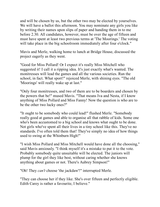and will be chosen by us, but the other two may be elected by yourselves. We will have a ballot this afternoon. You may nominate any girls you like by writing their names upon slips of paper and handing them in to me before 2.30. All candidates, however, must be over the age of fifteen and must have spent at least two previous terms at 'The Moorings.' The voting will take place in the big schoolroom immediately after four o'clock."

Mavis and Merle, walking home to lunch at Bridge House, discussed the project eagerly as they went.

"Good for Miss Pollard! Or I expect it's really Miss Mitchell who suggested it! I call it a ripping idea. It's just exactly what's wanted. The monitresses will lead the games and all the various societies. Run the school, in fact. What sport!" rejoiced Merle, with shining eyes. "The old 'Moorings' will really wake up at last."

"Only four monitresses, and two of them are to be boarders and chosen by the powers that be!" mused Mavis. "That means Iva and Nesta, if I know anything of Miss Pollard and Miss Fanny! Now the question is who are to be the other two lucky ones?"

"It ought to be somebody who could lead!" flushed Merle. "Somebody really good at games and able to organise all that rabble of kids. Some one who's been accustomed to a big school and knows what ought to be done. Not girls who've spent all their lives in a tiny school like this. They've no standards. I've often told them that! They've simply no idea of how things used to swing at the Whinburn High!"

"I wish Miss Pollard and Miss Mitchell would have done all the choosing," said Mavis anxiously. "I think myself it's a mistake to put it to the vote. Probably somebody quite unsuitable will be elected. The juniors will plump for the girl they like best, without caring whether she knows anything about games or not. There's Aubrey Simpson!"

"Oh! They *can't* choose 'the jackdaw'!" interrupted Merle.

"They can choose her if they like. She's over fifteen and perfectly eligible. Edith Carey is rather a favourite, I believe."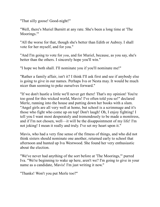"That silly goose! Good-night!"

"Well, there's Muriel Burnitt at any rate. She's been a long time at 'The Moorings.'"

"All the worse for that, though she's better than Edith or Aubrey. I shall vote for her myself, and for you."

"And I'm going to vote for *you*, and for Muriel, because, as you say, she's better than the others. I sincerely hope you'll win."

"I hope we both shall. I'll nominate you if you'll nominate me!"

"Rather a family affair, isn't it? I think I'll ask first and see if anybody else is going to give in our names. Perhaps Iva or Nesta may. It would be much nicer than seeming to poke ourselves forward."

"If we don't hustle a little we'll never get there! That's my opinion! You're too good for this wicked world, Mavis! I've often told you so!" declared Merle, running into the house and putting down her books with a slam. "Angel girls are all very well at home, but school is a scrimmage and it's those who fight who come up on top! Don't laugh! Oh, I enjoy fighting! I tell you I want most desperately and tremendously to be made a monitress, and if I'm not chosen, well—it will be the disappointment of my life! I'm not joking! I mean it really and truly. I've set my heart upon it."

Mavis, who had a very fine sense of the fitness of things, and who did not think sisters should nominate one another, returned early to school that afternoon and hunted up Iva Westwood. She found her very enthusiastic about the election.

"We've never had anything of the sort before at 'The Moorings,'" purred Iva. "We're beginning to wake up here, aren't we? I'm going to give in your name as a candidate, Mavis! I'm just writing it now."

"Thanks! Won't you put Merle too?"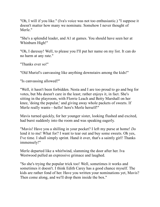"Oh, I will if you like." (Iva's voice was not too enthusiastic.) "I suppose it doesn't matter how many we nominate. Somehow I never thought of Merle."

"She's a splendid leader, and A1 at games. You should have seen her at Whinburn High!"

"Oh, I daresay! Well, to please you I'll put her name on my list. It can do no harm at any rate."

"Thanks ever so!"

"Old Muriel's canvassing like anything downstairs among the kids!"

"Is canvassing allowed?"

"Well, it hasn't been forbidden. Nesta and I are too proud to go and beg for votes, but Mu doesn't care in the least; rather enjoys it, in fact. She's sitting in the playroom, with Florrie Leach and Betty Marshall on her knee, 'doing the popular,' and giving away whole packets of sweets. If Merle really wants—hello! here's Merle herself!"

Mavis turned quickly, for her younger sister, looking flushed and excited, had burst suddenly into the room and was speaking eagerly.

"Mavis! Have you a shilling in your pocket? I left my purse at home! *Do* lend it to me! What for? I want to tear out and buy some sweets. Oh yes, I've time. I shall simply sprint. Hand it over, that's a saintly girl! Thanks immensely!"

Merle departed like a whirlwind, slamming the door after her. Iva Westwood pulled an expressive grimace and laughed.

"So she's trying the popular trick too! Well, sometimes it works and sometimes it doesn't. I think Edith Carey has a good chance myself. The kids are rather fond of her. Have you written your nominations yet, Mavis? Then come along, and we'll drop them inside the box."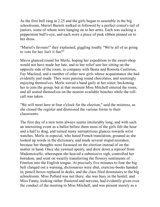As the first bell rang at 2.25 and the girls began to assemble in the big schoolroom, Muriel Burnitt walked in followed by a perfect comet's tail of juniors, some of whom were hanging on to her arms. Each was sucking a peppermint bull's-eye, and each wore a piece of pink ribbon pinned on to her dress.

"Muriel's favours!" they explained, giggling loudly. "We're all of us going to vote for her. Isn't it fun?"

Mavis glanced round for Merle, hoping her expedition to the sweet-shop would not have made her late, and to her relief saw her sitting on the opposite side of the room, in company with Beata and Romola Castleton, Fay Macleod, and a number of other new girls whose acquaintance she had evidently just made. They were passing round chocolates, and seemingly enjoying themselves. Merle waved a hand gaily at her sister, beckoning her to join the group, but at that moment Miss Mitchell entered the room, and all seated themselves on the nearest available benches while the rollcall was taken.

"We will meet here at four o'clock for the election," said the mistress, as she closed the register and dismissed the various forms to their classrooms.

The first day of a new term always seems intolerably long, and with such an interesting event as a ballot before them most of the girls felt the hour and a half to drag, and turned many surreptitious glances towards wrist watches. Merle in especial, who hated French translation, groaned as she looked up words in the dictionary, and made several stupid mistakes, because her thoughts were focussed on the election instead of on the matter in hand. Once she yawned openly, and drew down a reproof from Mademoiselle, whereupon she heaved a submissive sigh, controlled her boredom, and went on wearily transferring the flowery sentiments of Fénelon into the English tongue. At precisely five minutes to four the big bell clanged out a warning, dictionaries were shut, exercise-books handed in, pencil-boxes replaced in desks, and the class filed downstairs to the big schoolroom. Miss Pollard was not there: she was busy in the hostel; and Miss Fanny, looking rather flustered and nervous, had evidently given over the conduct of the meeting to Miss Mitchell, and was present merely as a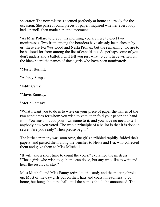spectator. The new mistress seemed perfectly at home and ready for the occasion. She passed round pieces of paper, inquired whether everybody had a pencil, then made her announcements.

"As Miss Pollard told you this morning, you are here to elect two monitresses. Two from among the boarders have already been chosen by us, these are Iva Westwood and Nesta Pitman, but the remaining two are to be balloted for from among the list of candidates. As perhaps some of you don't understand a ballot, I will tell you just what to do. I have written on the blackboard the names of those girls who have been nominated:

"Muriel Burnitt.

"Aubrey Simpson.

"Edith Carey.

"Mavis Ramsay.

"Merle Ramsay.

"What I want you to do is to write on your piece of paper the names of the two candidates for whom you wish to vote, then fold your paper and hand it in. You must not add your own name to it, and you have no need to tell anybody how you voted. The whole principle of a ballot is that it is done in secret. Are you ready? Then please begin."

The little ceremony was soon over, the girls scribbled rapidly, folded their papers, and passed them along the benches to Nesta and Iva, who collected them and gave them to Miss Mitchell.

"It will take a short time to count the votes," explained the mistress. "Those girls who wish to go home can do so, but any who like to wait and hear the result can stay."

Miss Mitchell and Miss Fanny retired to the study and the meeting broke up. Most of the day-girls put on their hats and coats in readiness to go home, but hung about the hall until the names should be announced. The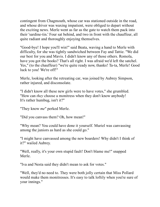contingent from Chagmouth, whose car was stationed outside in the road, and whose driver was waxing impatient, were obliged to depart without the exciting news. Merle went as far as the gate to watch them pack into their 'sardine-tin.' Four sat behind, and two in front with the chauffeur, all quite radiant and thoroughly enjoying themselves.

"Good-bye! I hope you'll win!" said Beata, waving a hand to Merle with difficulty, for she was tightly sandwiched between Fay and Tattie. "We did our best for you and Mavis. I didn't know any of those others. Romola, have you got the books? That's all right. I was afraid we'd left the satchel. Yes," (to the chauffeur) "we're quite ready now, thanks! Ta-ta, Merle! Good luck to you! We're off!"

Merle, looking after the retreating car, was joined by Aubrey Simpson, rather injured, and disconsolate.

"I didn't know all these new girls were to have votes," she grumbled. "How can *they* choose a monitress when they don't know anybody! It's rather humbug, isn't it?"

"They know *me*" perked Merle.

"Did you canvass them? Oh, how mean!"

"Why mean? You could have done it yourself. Muriel was canvassing among the juniors as hard as she could go."

"I might have canvassed among the new boarders! Why didn't I think of it?" wailed Aubrey.

"Well, really, it's your own stupid fault! Don't blame me!" snapped Merle.

"Iva and Nesta said they didn't mean to ask for votes."

"Well, they'd no need to. They were both jolly certain that Miss Pollard would make them monitresses. It's easy to talk loftily when you're sure of your innings."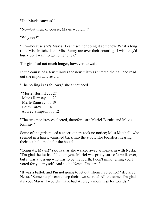"Did Mavis canvass?"

"No—but then, of course, Mavis wouldn't!"

"Why not?"

"Oh—because she's Mavis! I can't see her doing it somehow. What a long time Miss Mitchell and Miss Fanny are over their counting! I wish they'd hurry up. I want to go home to tea."

The girls had not much longer, however, to wait.

In the course of a few minutes the new mistress entered the hall and read out the important result.

"The polling is as follows," she announced.

"Muriel Burnitt . . . 27 Mavis Ramsay . . . 20 Merle Ramsay . . . 19 Edith Carey . . . 14 Aubrey Simpson . . . 12

"The two monitresses elected, therefore, are Muriel Burnitt and Mavis Ramsay."

Some of the girls raised a cheer, others took no notice; Miss Mitchell, who seemed in a hurry, vanished back into the study. The boarders, hearing their tea-bell, made for the hostel.

"Congrats, Mavis!" said Iva, as she walked away arm-in-arm with Nesta. "I'm glad the lot has fallen on you. Muriel was pretty sure of a walk-over, but it was a toss-up who was to be the fourth. I don't mind telling you I voted for you myself. And so did Nesta, I'm sure."

"It was a ballot, and I'm not going to let out whom I voted for!" declared Nesta. "Some people can't keep their own secrets! All the same, I'm glad it's you, Mavis. I wouldn't have had Aubrey a monitress for worlds."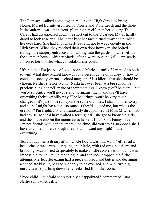The Ramsays walked home together along the High Street to Bridge House. Muriel Burnitt, escorted by Florrie and Viola Leach and the three little Andrews, was on in front, pluming herself upon her victory. The Careys had disappeared down the short cut to the Vicarage. Mavis hardly dared to look at Merle. The latter kept her face turned away and blinked her eyes hard. She had enough self-restraint not to weep openly in the High Street. When they reached their own door however, she bolted through the surgery entrance and, running into the garden, hid herself in the summer-house, whither Mavis, after a word to Aunt Nellie, presently followed her to offer what consolation she could.

"It's not that I'm jealous of *you*!" sobbed Merle stormily. "I wanted us both to win! What does Muriel know about a decent game of hockey, or how to conduct a society, or run a school magazine? It's idiotic that she should be chosen. Neither she nor Iva nor Nesta has ever been at a big school. A precious bungle they'll make of their meetings. I know *you'll* be there—but you're so gentle you'll never stand up against them, and they'll have everything their own silly way. 'The Moorings' won't be very much changed if it's just to be run upon the same old lines. I shan't bother to try and help. I might have done so much if they'd elected me, but what's the use now? I'm frightfully and frantically disappointed. If Miss Mitchell had had any sense she'd have waited a fortnight till she got to know the girls, and then have chosen the monitresses herself. If it's Miss Fanny's fault, I'm not friends with her any more! Tea-time, did you say? I suppose I shall have to come in then, though I really don't want any. Ugh! I hate everything!"

Tea that day was a dreary affair. Uncle David was out, Aunt Nellie had a headache so was unusually quiet, and Merle, with red eyes, sat silent and brooding. Mavis tried desperately to make a little conversation, but it was impossible to maintain a monologue, and she soon dropped the futile attempt. Merle, after eating half a piece of bread and butter and declining a chocolate biscuit, begged suddenly to be excused, and with two big unruly tears splashing down her cheeks fled from the room.

"Poor child! I'm afraid she's terribly disappointed," commented Aunt Nellie sympathetically.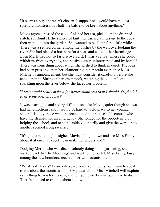"It seems a pity she wasn't chosen. I suppose she would have made a splendid monitress. It's half the battle to be keen about anything."

Mavis agreed, passed the cake, finished her tea, picked up the dropped stitches in Aunt Nellie's piece of knitting, carried a message to the cook, then went out into the garden. She wanted to be alone for a little while. There was a retired corner among the bushes by the wall overlooking the river. She had placed a box here for a seat, and called it her hermitage. Even Merle had not so far discovered it. It was a retreat where she could withdraw from everybody, and be absolutely uninterrupted and by herself. There was something about which she wished to think in quiet. The idea had been pressing upon her, clamouring in her brain ever since Miss Mitchell's announcement, but she must consider it carefully before she acted upon it. Sitting in her green nook, watching the golden light sparkling upon the river below, she faced her problem:

## "*Merle would really make a far better monitress than I should. Oughtn't I to give the post up to her?*"

It was a struggle, and a very difficult one, for Mavis, quiet though she was, had her ambitions, and it would be hard to yield place to her younger sister. It is only those who are accustomed to practise self- control who have the strength for an emergency. She longed for the opportunity of helping the school, and to stand aside voluntarily and give the work up to another seemed a big sacrifice.

"It's got to be, though!" sighed Mavis. "I'll go down and see Miss Fanny about it at once. I expect I can make her understand."

Dodging Merle, who was disconsolately doing some gardening, she walked back to 'The Moorings' and went to the hostel. Miss Fanny, busy among the new boarders, received her with astonishment.

"What is it, Mavis? I can only spare you five minutes. You want to speak to me about the monitress-ship? My dear child, Miss Mitchell will explain everything to you to-morrow, and tell you exactly what you have to do. There's no need to trouble about it now."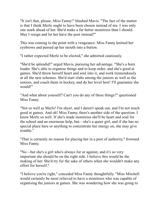"It isn't that, please, Miss Fanny!" blushed Mavis. "The fact of the matter is that I think Merle ought to have been chosen instead of me. I was only one mark ahead of her. She'd make a far better monitress than I should. May I resign and let her have the post instead?"

This was coming to the point with a vengeance. Miss Fanny knitted her eyebrows and pursed up her mouth into a button.

"I rather expected Merle to be elected," she admitted cautiously.

"She'd be splendid!" urged Mavis, pursuing her advantage. "She's a born leader. She's able to organise things and to keep order, and she's good at games. She'd throw herself heart and soul into it, and work tremendously at all the new schemes. She'd start clubs among the juniors as well as the seniors, and coach them in hockey, and do her level best! I'll guarantee she would!"

"And what about yourself? Can't you do any of these things?" questioned Miss Fanny.

"Not so well as Merle! I'm shyer, and I daren't speak out, and I'm not much good at games. And oh! Miss Fanny, there's another side of the question. I know Merle so well. If she's made monitress she'll be heart and soul for the school and an enormous help, but—she's a queer girl, and if she has no special place here or anything to concentrate her energy on, she may give trouble."

"That is certainly no reason for placing her in a post of authority," frowned Miss Fanny.

"No—but she's a girl who's always for or against, and it's so very important she should be on the right side. I believe this would be the making of her. She'd try for the sake of others when she wouldn't make any effort for herself."

"I believe you're right," conceded Miss Fanny thoughtfully. "Miss Mitchell would certainly be most relieved to have a monitress who was capable of organising the juniors at games. She was wondering how she was going to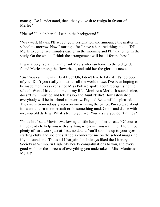manage. Do I understand, then, that you wish to resign in favour of Merle?"

"Please! I'll help her all I can in the background."

"Very well, Mavis. I'll accept your resignation and announce the matter in school to-morrow. Now I must go, for I have a hundred things to do. Tell Merle to come five minutes earlier in the morning and I'll talk to her in the study. On the whole, I think the arrangement will be all for the best."

It was a very radiant, triumphant Mavis who ran home to the old garden, found Merle among the flowerbeds, and told her the glorious news.

"Sis! You can't mean it! Is it true? Oh, I don't like to take it! It's too good of you! Don't you really mind? It's all the world to *me*. I've been hoping to be made monitress ever since Miss Pollard spoke about reorganising the school. Won't I have the time of my life! Monitress Merle! It sounds nice, doesn't it? I must go and tell Jessop and Aunt Nellie! How astonished everybody will be in school to-morrow. Fay and Beata will be pleased. They were tremendously keen on my winning the ballot. I'm so glad about it I want to turn a somersault or do something mad. Come and dance with me, you old darling! What a trump you are! You're *sure* you don't mind?"

"Not a bit," said Mavis, swallowing a little lump in her throat. "Of course I'll be ready to help you with anything whenever you want me. There'll be plenty of hard work just at first, no doubt. You'll soon be up to your eyes in starting clubs and societies. Keep a corner for me on the school magazine if you found one. That's all I bargain for. I always liked the Literary Society at Whinburn High. My hearty congratulations to you, and every good wish for the success of everything you undertake —Miss Monitress Merle!"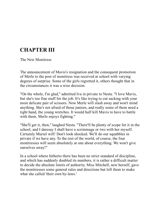# **CHAPTER III**

The New Monitress

The announcement of Mavis's resignation and the consequent promotion of Merle to the post of monitress was received at school with varying degrees of surprise. Some of the girls regretted it, others thought that in the circumstances it was a wise decision.

"On the whole, I'm glad," admitted Iva in private to Nesta. "I love Mavis, but she's too fine stuff for the job. It's like trying to cut sacking with your most delicate pair of scissors. Now Merle will slash away and won't mind anything. She's not afraid of those juniors, and really some of them need a tight hand, the young wretches. It would half kill Mavis to have to battle with them. Merle enjoys fighting."

"She'll get it, then," laughed Nesta. "There'll be plenty of scope for it in the school, and I daresay I shall have a scrimmage or two with her myself. Certainly Muriel will! Don't look shocked. We'll do our squabbles in private if we have any. To the rest of the world, of course, the four monitresses will seem absolutely at one about everything. We won't give ourselves away!"

In a school where hitherto there has been no strict standard of discipline, and which has suddenly doubled its numbers, it is rather a difficult matter to decide the absolute limits of authority. Miss Mitchell, new herself, gave the monitresses some general rules and directions but left them to make what she called 'their own by-laws.'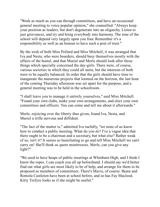"Work as much as you can through committees, and have an occasional general meeting to voice popular opinion," she counselled. "Always keep your position as leaders, but don't degenerate into an oligarchy. Listen to just grievances, and try and bring everybody into harmony. The tone of the school will depend very largely upon you four. Remember it's a responsibility as well as an honour to have such a post of trust."

By the wish of both Miss Pollard and Miss Mitchell, it was arranged that Iva and Nesta, who were boarders, should busy themselves mostly with the affairs of the hostel, and that Muriel and Merle should look after those things which specially concerned the day-girls. There were, of course, various societies in which they could all unite, but the interests of both were to be equally balanced. In order that the girls should have time to inaugurate the numerous projects that loomed on the horizon, the last hour of the coming Thursday afternoon was set apart for the purpose, and a general meeting was to be held in the schoolroom.

"I shall leave you to manage it entirely yourselves," said Miss Mitchell. "Found your own clubs, make your own arrangements, and elect your own committees and officers. You can come and tell me about it afterwards."

Merle, rejoicing over the liberty thus given, found Iva, Nesta, and Muriel a trifle nervous and diffident.

"The fact of the matter is," admitted Iva ruefully, "we none of us know how to conduct a public meeting. What do you *do*? I've a vague idea that there ought to be a chairman and a secretary, but what else? Rather weak of us, isn't it? It seems so humiliating to go and tell Miss Mitchell we can't carry on! She'll think us queer monitresses. Merle, can you give any light?"

"We used to have heaps of public meetings at Whinburn High, and I think I know the ropes. I can coach you all up beforehand. I should say we'd better find out what girls are most likely to be of help, and arrange for them to be proposed as members of committees. There's Mavis, of course. Beata and Romola Castleton have been at school before, and so has Fay Macleod. Kitty Trefyre looks as if she might be useful."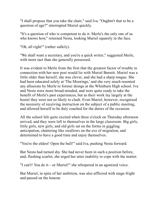"I shall propose that you take the chair," said Iva. "Oughtn't that to be a question of age?" interrupted Muriel quickly.

"It's a question of who is competent to do it. Merle's the only one of us who knows how," returned Nesta, looking Muriel squarely in the face.

"Oh, all right!" (rather sulkily).

"We shall want a secretary, and you're a quick writer," suggested Merle, with more tact than she generally possessed.

It was evident to Merle from the first that the greatest factor of trouble in connection with her new post would lie with Muriel Burnitt. Muriel was a little older than herself, she was clever, and she had a sharp tongue. She had been educated solely at 'The Moorings,' and she very much resented any allusions by Merle to former doings at the Whinburn High school. Iva and Nesta were more broad-minded, and were quite ready to take the benefit of Merle's past experiences, but as their work lay largely at the hostel they were not so likely to clash. Even Muriel, however, recognised the necessity of receiving instruction on the subject of a public meeting, and allowed herself to be duly coached for the duties of the occasion.

All the school felt quite excited when three o'clock on Thursday afternoon arrived, and they were left to themselves in the large classroom. Big girls, little girls, new girls, and old girls sat on the forms in giggling anticipation, chattering like swallows on the eve of migration, and determined to have a good time and enjoy themselves.

"You're the eldest! Open the ball!" said Iva, pushing Nesta forward.

But Nesta had turned shy. She had never been in such a position before, and, flushing scarlet, she urged her utter inability to cope with the matter.

"I can't! You do it—or Muriel!" she whispered in an agonized voice.

But Muriel, in spite of her ambition, was also afflicted with stage-fright and passed on the honour.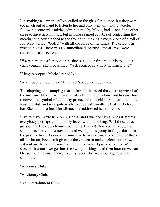Iva, making a supreme effort, called to the girls for silence, but they were too much out of hand to listen to her and only went on talking. Merle, following some wise advice administered by Mavis, had allowed the other three to have first innings, but as none seemed capable of controlling the meeting she now stepped to the front and, making a megaphone of a roll of foolscap, yelled, "Order!" with all the force of her lungs. The effect was instantaneous. There was an immediate dead hush, and all eyes were turned in her direction.

"We're here this afternoon on business, and our first matter is to elect a chairwoman," she proclaimed. "Will somebody kindly nominate one."

"I beg to propose Merle," piped Iva.

"And I beg to second her," fluttered Nesta, taking courage.

The clapping and stamping that followed witnessed the entire approval of the meeting. Merle was unanimously elected to the chair, and having thus received the symbol of authority proceeded to wield it. She was not in the least bashful, and was quite ready to cope with anything that lay before her. She held up a hand for silence and addressed her audience.

"I've told you we're here on business, and I want to explain. As it affects everybody, perhaps you'll kindly listen without talking. Will those three girls on the back bench move out here? Thanks! Now you all know the school has started on a new era, and we hope it's going to forge ahead. In the past we haven't done very much in the way of societies. Perhaps that's all the better, because it gives us the chance to make a clean start now, without any back traditions to hamper us. What I propose is this: We'll go slow at first until we get into the swing of things, and then later on we can blossom out as much as we like. I suggest that we should get up three societies:

"A Games Club.

"A Literary Club.

"An Entertainment Club.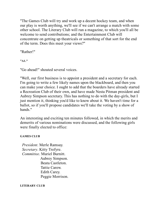"The Games Club will try and work up a decent hockey team, and when our play is worth anything, we'll see if we can't arrange a match with some other school. The Literary Club will run a magazine, to which you'll all be welcome to send contributions; and the Entertainment Club will concentrate on getting up theatricals or something of that sort for the end of the term. Does this meet your views?"

"Rather!"

**"A1."**

"Go ahead!" shouted several voices.

"Well, our first business is to appoint a president and a secretary for each. I'm going to write a few likely names upon the blackboard, and then you can make your choice. I ought to add that the boarders have already started a Recreation Club of their own, and have made Nesta Pitman president and Aubrey Simpson secretary. This has nothing to do with the day-girls, but I just mention it, thinking you'd like to know about it. We haven't time for a ballot, so if you'll propose candidates we'll take the voting by a show of hands<sup>"</sup>

An interesting and exciting ten minutes followed, in which the merits and demerits of various nominations were discussed, and the following girls were finally elected to office:

### **GAMES CLUB**

 *President*. Merle Ramsay. *Secretary*. Kitty Trefyre. *Committee*. Muriel Burnitt. Aubrey Simpson. Beata Castleton. Tattie Carew. Edith Carey. Peggie Morrison.

#### **LITERARY CLUB**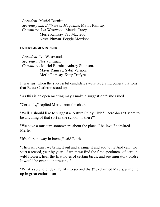*President*. Muriel Burnitt. *Secretary and Editress of Magazine*. Mavis Ramsay. *Committee.* Iva Westwood. Maude Carey. Merle Ramsay. Fay Macleod. Nesta Pitman. Peggie Morrison.

#### **ENTERTAINMENTS CLUB**

 *President*. Iva Westwood. *Secretary*. Nesta Pitman. *Committee*. Muriel Burnitt. Aubrey Simpson. Mavis Ramsay. Sybil Vernon. Merle Ramsay. Kitty Trefyre.

It was just when the successful candidates were receiving congratulations that Beata Castleton stood up.

"As this is an open meeting may I make a suggestion?" she asked.

"Certainly," replied Merle from the chair.

"Well, I should like to suggest a 'Nature Study Club.' There doesn't seem to be anything of that sort in the school, is there?"

"We have a museum somewhere about the place, I believe," admitted Merle.

"It's all put away in boxes," said Edith.

"Then why can't we bring it out and arrange it and add to it? And can't we start a record, year by year, of when we find the first specimens of certain wild flowers, hear the first notes of certain birds, and see migratory birds? It would be ever so interesting."

"What a splendid idea! I'd like to second that!" exclaimed Mavis, jumping up in great enthusiasm.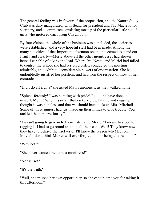The general feeling was in favour of the proposition, and the Nature Study Club was duly inaugurated, with Beata for president and Fay Macleod for secretary, and a committee consisting mostly of the particular little set of girls who motored daily from Chagmouth.

By four o'clock the whole of the business was concluded, the societies were established, and a very hopeful start had been made. Among the many activities of that important afternoon one point seemed to stand out firmly and clearly—Merle above all the other monitresses had shown herself capable of taking the lead. Where Iva, Nesta, and Muriel had failed to control the school she had restored order, conducted the meeting admirably, and exhibited considerable powers of organisation. She had undoubtedly justified her position, and had won the respect of most of her comrades.

"Did I do all right?" she asked Mavis anxiously, as they walked home.

"Splendiferously! I was bursting with pride! I couldn't have done it myself, Merle! When I saw all that rackety crew talking and ragging, I thought it was hopeless and that we should have to fetch Miss Mitchell. Some of those juniors had just made up their minds to give trouble. You tackled them marvellously."

"I wasn't going to give in to them!" declared Merle. "I meant to stop their ragging if I had to go round and box all their ears. Well! They know now they have to behave themselves or I'll know the reason why! But oh, Mavis! I don't think Muriel will ever forgive me for being chairwoman."

"Why not?"

"She never wanted me to be a monitress!"

"Nonsense!"

"It's the truth."

"Well, she missed her own opportunity, so she can't blame you for taking it this afternoon."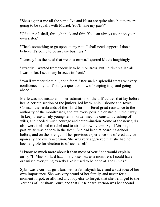"She's against me all the same. Iva and Nesta are quite nice, but there are going to be squalls with Muriel. You'll take my part?"

"Of course I shall, through thick and thin. You can always count on your own sister."

"That's something to go upon at any rate. I shall need support. I don't believe it's going to be an easy business."

"'Uneasy lies the head that wears a crown,'" quoted Mavis laughingly.

"Exactly. I wanted tremendously to be monitress, but I didn't realise all I was in for. I see many breezes in front."

"You'll weather them all, don't fear! After such a splendid start I've every confidence in you. It's only a question now of keeping it up and going ahead."

Merle was not mistaken in her estimation of the difficulties that lay before her. A certain section of the juniors, led by Winnie Osborne and Joyce Colman, the firebrands of the Third form, offered great resistance to the authority of the monitresses, and put every possible obstacle in their way. To keep these unruly youngsters in order meant a constant clashing of wills, and needed much courage and determination. Some of the new girls also were inclined to rebel and to air their own views. Sybil Vernon, in particular, was a thorn in the flesh. She had been at boarding-school before, and on the strength of her previous experience she offered advice upon any and every occasion. She was very aggrieved that she had not been eligible for election to office herself.

"I know so much more about it than most of you!" she would explain airily. "If Miss Pollard had only chosen *me* as a monitress I could have organised everything exactly like it used to be done at The Limes."

Sybil was a curious girl, fair, with a fat babyish face, and a vast idea of her own importance. She was very proud of her family, and never for a moment forgot, or allowed anybody else to forget, that she belonged to the Vernons of Renshaw Court, and that Sir Richard Vernon was her second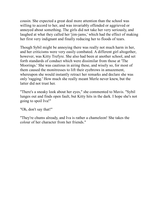cousin. She expected a great deal more attention than the school was willing to accord to her, and was invariably offended or aggrieved or annoyed about something. The girls did not take her very seriously, and laughed at what they called her 'jim-jams,' which had the effect of making her first very indignant and finally reducing her to floods of tears.

Though Sybil might be annoying there was really not much harm in her, and her criticisms were very easily combated. A different girl altogether, however, was Kitty Trefyre. She also had been at another school, and set forth standards of conduct which were dissimilar from those at 'The Moorings.' She was cautious in airing these, and wisely so, for most of them caused the monitresses to lift their eyebrows in amazement, whereupon she would instantly retract her remarks and declare she was only 'ragging.' How much she really meant Merle never knew, but the latter did not trust her.

"There's a sneaky look about her eyes," she commented to Mavis. "Sybil lunges out and finds open fault, but Kitty hits in the dark. I hope she's not going to spoil Iva!"

"Oh, don't say that!"

"They're chums already, and Iva is rather a chameleon! She takes the colour of her character from her friends."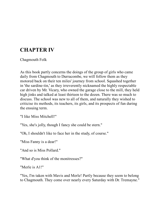# **CHAPTER IV**

Chagmouth Folk

As this book partly concerns the doings of the group of girls who came daily from Chagmouth to Durracombe, we will follow them as they motored back on their ten miles' journey from school. Squashed together in 'the sardine-tin,' as they irreverently nicknamed the highly respectable car driven by Mr. Vicary, who owned the garage close to the mill, they held high jinks and talked at least thirteen to the dozen. There was so much to discuss. The school was new to all of them, and naturally they wished to criticise its methods, its teachers, its girls, and its prospects of fun during the ensuing term.

"I like Miss Mitchell!"

"Yes, she's jolly, though I fancy she could be stern."

"Oh, I shouldn't like to face her in the study, of course."

"Miss Fanny is a dear!"

"And so is Miss Pollard."

"What d'you think of the monitresses?"

"Merle is A1!"

"Yes, I'm taken with Mavis and Merle! Partly because they seem to belong to Chagmouth. They come over nearly every Saturday with Dr. Tremayne."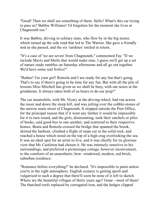"Good! Then we shall see something of them. Hello! What's this car trying to pass us? Babbie Williams! I'd forgotten for the moment she lives at Chagmouth too."

It was Babbie, driving in solitary state, who flew by in the big motor, which turned up the side road that led to The Warren. She gave a friendly nod as she passed, and the six 'sardines' smiled in return.

"It's a case of 'we are seven' from Chagmouth," commented Fay. "If we include Mavis and Merle that would make nine. I guess we'll get up a set of nature study rambles on Saturday afternoons and all go out together. We'd have some real frolics!"

"Rather! I'm your girl! Romola and I are ready for any fun that's going. That's to say if there's going to be time for any fun. But with all the pile of lessons Miss Mitchell has given us we shall be busy, with our noses at the grindstone. It always takes both of us hours to do our prep!"

The car meanwhile, with Mr. Vicary at the driving-wheel, had run across the moor and down the steep hill, and was jolting over the cobble-stones of the narrow main street of Chagmouth. It stopped outside the Post Office, for the principal reason that if it went any farther it would be impossible for it to turn round, and the girls, dismounting, took their satchels or piles of books, said good-bye to one another, and scattered to their respective homes. Beata and Romola crossed the bridge that spanned the brook, skirted the harbour, climbed a flight of steps cut in the solid rock, and reached a house which stood on the top of a high crag overlooking the sea. It was an ideal spot for an artist to live, and it was chiefly for its glorious view that Mr. Castleton had chosen it. He was intensely sensitive to his surroundings, and preferred a picturesque cottage, however inconvenient, to the comforts of an unaesthetic, bow- windowed, modern, red-brick, suburban residence.

"Romance before everything!" he declared. "It's impossible to paint unless you're in the right atmosphere. English scenery is getting spoilt and vulgarised to such a degree that there'll soon be none of it left to sketch. Where are the beautiful villages of thirty years ago? Gone—most of them! The thatched roofs replaced by corrugated iron, and the hedges clipped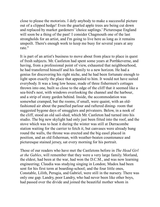close to please the motorists. I defy anybody to make a successful picture out of a clipped hedge! Even the gnarled apple trees are being cut down and replaced by market gardeners' 'choice saplings.' Picturesque England will soon be a thing of the past! I consider Chagmouth one of the last strongholds for an artist, and I'm going to live here as long as it remains unspoilt. There's enough work to keep me busy for several years at any rate."

It is part of an artist's business to move about from place to place in quest of fresh subjects. Mr. Castleton had spent some years at Porthkeverne, and having, from a professional point of view, exhausted that neighbourhood, he had transferred himself and his family to a new horizon. He had a genius for discovering his right niche, and he had been fortunate enough to light upon exactly the place that appealed to him. It would not have suited everybody. It was a long low house, made of three fishermen's cottages thrown into one, built so close to the edge of the cliff that it seemed like a sea-bird's nest, with windows overlooking the channel and the harbour, and a strip of stony garden behind. Inside, the accommodation was somewhat cramped, but the rooms, if small, were quaint, with an oldfashioned air about the panelled parlour and raftered dining- room that suggested bygone days of smugglers and privateers. Below, in a nook of the cliff, stood an old sail-shed, which Mr. Castleton had turned into his studio. The big new skylight had only just been fitted into the roof, and the stove which was to heat it during the winter was still at Durracombe station waiting for the carrier to fetch it, but canvases were already hung round the walls, the throne was erected and the big easel placed in position, and an old fisherman, with weather-beaten countenance and picturesque stained jersey, sat every morning for his portrait.

Those of our readers who have met the Castletons before in *The Head Girl at the Gables*, will remember that they were a very large family. Morland, the eldest, had been at the war, had won the D.C.M., and was now learning engineering; Claudia was studying singing in London; Madox had been sent for his first term at boarding-school; and the four little ones, Constable, Lilith, Perugia, and Gabriel, were still in the nursery. There was only one gap. Landry, poor Landry, who had never been like other boys, had passed over the divide and joined the beautiful mother whom in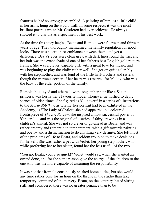features he had so strongly resembled. A painting of him, as a little child in her arms, hung on the studio wall. In some respects it was the most brilliant portrait which Mr. Castleton had ever achieved. He always showed it to visitors as a specimen of his best work.

At the time this story begins, Beata and Romola were fourteen and thirteen years of age. They thoroughly maintained the family reputation for good looks. There was a certain resemblance between them, and yet a difference. Beata's eyes were clear grey, with dark lines round the iris, and her hair was the exact shade of one of her father's best English gold picture frames. She was a clever, capable girl, with a great love for music, and was beginning to play the violin rather well. She got on quite tolerably with her stepmother, and was fond of the little half-brothers and sisters, though the warmest corner of her heart was reserved for Madox, who was the baby of the elder portion of the family.

Romola, blue-eyed and ethereal, with long amber hair like a Saxon princess, was her father's favourite model whenever he wished to depict scenes of olden times. She figured as 'Guinevere' in a series of illustrations to the *Morte d'Arthur*, as 'Elaine' her portrait had been exhibited in the Academy, as 'The Lady of Shalott' she had appeared in a coloured frontispiece of *The Art Review*, she inspired a most successful poster of 'Cinderella,' and was the original of a series of fairy drawings in a children's annual. She was not so clever or go-ahead as Beata, and was rather dreamy and romantic in temperament, with a gift towards painting and poetry, and a disinclination to do anything very definite. She left most of the problems of life to Beata, and seldom troubled to make decisions for herself. She was rather a pet with Violet, her young stepmother, who, while preferring her to her sister, found her the less useful of the two.

"You go, Beata, you're so quick!" Violet would say, when she wanted an errand done, and for the same reason gave the charge of the children to the one who was the more capable of assuming the responsibility.

It was not that Romola consciously shirked home duties, but she would any time rather pose for an hour on the throne in the studio than take temporary command of the nursery. Beata, on the contrary, hated sitting still, and considered there was no greater penance than to be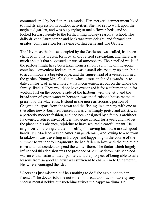commandeered by her father as a model. Her energetic temperament liked to find its expression in outdoor activities. She had set to work upon the neglected garden, and was busy trying to make flower-beds, and she looked forward keenly to the forthcoming hockey season at school. The daily drive to Durracombe and back was pure delight, and formed her greatest compensation for leaving Porthkeverne and The Gables.

The Haven, as the house occupied by the Castletons was called, had been changed into its present form by an old retired sea-captain, and there was much about it that suggested a nautical atmosphere. The panelled walls of the parlour might have been taken from a ship's cabin, the dining-room contained convenient lockers, there was a small observatory upstairs built to accommodate a big telescope, and the figure-head of a vessel adorned the garden. Young Mrs. Castleton, whose tastes inclined towards up-todate comforts, often grumbled at its inconveniences, but on the whole the family liked it. They would not have exchanged it for a suburban villa for worlds. Just on the opposite side of the harbour, with the jetty and the broad strip of green water in between, was the furnished house rented at present by the Macleods. It stood in the more aristocratic portion of Chagmouth, apart from the town and the fishing, in company with one or two other newly-built residences. It was charmingly pretty and artistic, in a perfectly modern fashion, and had been designed by a famous architect. Its owner, a retired naval officer, had gone abroad for a year, and had let the place in his absence, rejoicing to have secured a careful tenant. He might certainly congratulate himself upon leaving his house in such good hands. Mr. Macleod was an American gentleman, who, owing to a nervous breakdown, was travelling in Europe, and happening in the course of the summer to wander to Chagmouth, he had fallen in love with the quaint old town and had decided to spend the winter there. The factor which largely influenced this decision was the presence of Mr. Castleton. Mr. Macleod was an enthusiastic amateur painter, and the prospect of being able to take lessons from so good an artist was sufficient to chain him to Chagmouth. His wife encouraged the idea.

"George is just miserable if he's nothing to do," she explained to her friends. "The doctor told me not to let him read too much or take up any special mental hobby, but sketching strikes the happy medium. He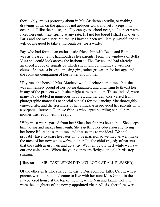thoroughly enjoys pottering about in Mr. Castleton's studio, or making drawings down on the quay. It's not arduous work and yet it keeps him occupied. I like the house, and Fay can go to school near, so I expect we're fixed here until next spring at any rate. If I get too bored I shall run over to Paris and see my sister, but really I haven't been well lately myself, and it will do me good to take a thorough rest for a while."

Fay, who had formed an enthusiastic friendship with Beata and Romola, was as pleased with Chagmouth as her parents. From the windows of Bella Vista she could look across the harbour to The Haven, and had already arranged a code of signals by which she might communicate with her chums. She was a bright, amusing girl, rather grown-up for her age, and the constant companion of her father and mother.

"Fay runs the house!" Mrs. Macleod would declare sometimes; but she was immensely proud of her young daughter, and unwilling to thwart her in any of the projects which she might care to take up. These, indeed, were many. Fay dabbled in numerous hobbies, and her demands varied from photographic materials to special sandals for toe dancing. She thoroughly enjoyed life, and the freshness of her enthusiasm provided her parents with a perpetual interest. To those friends who urged boarding-school her mother was ready with the reply:

"Why must we be parted from her? She's her father's best tonic! She keeps him young and makes him laugh. She's getting her education and living her home life at the same time, and that seems to me ideal. We shall probably have to spare her later on to be married, so we may as well make the most of her now while we've got her. It's the chief tragedy of parents that the children grow up and go away. We'll enjoy our nest while we have our one chick here. When the young ones are fledged, the old birds stop singing."

#### [Illustration: MR. CASTLETON DID NOT LOOK AT ALL PLEASED]

Of the other girls who shared the car to Durracombe, Tattie Carew, whose parents were in India had come to live with her aunt Miss Grant, in the ivy-covered house at the top of the hill, while Nan and Lizzie Colville were the daughters of the newly-appointed vicar. All six, therefore, were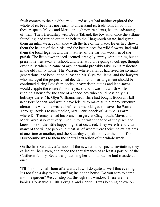fresh comers to the neighbourhood, and as yet had neither explored the whole of its beauties nor learnt to understand its traditions. In both of these respects Mavis and Merle, though non-residents, had the advantage of them. Their friendship with Bevis Talland, the boy who, once the village foundling, had turned out to be heir to the Chagmouth estate, had given them an intimate acquaintance with the life of the place. Bevis had shown them the haunts of the birds, and the best places for wild flowers, had told them the local legends and the histories of the various worthies of the parish. The little town indeed seemed strangely empty without him, but at present he was away at school, and later would be going to college, though eventually, when he came of age, he would probably take up his residence in the old family home. The Warren, where Tallands had lived for so many generations, had been let on a lease to Mr. Glyn Williams, and the lawyers who managed the property had decided that this arrangement should be continued during Bevis's minority; heavy death duties and land-taxes would cripple the estate for some years, and it was not worth while running a house for the sake of a schoolboy who could pass only his holidays there. Mr. Glyn Williams meanwhile had bought Bodoran Hall near Port Sennen, and would have leisure to make all the many structural alterations which he wished before he was obliged to leave The Warren. Through Bevis's foster-mother, Mrs. Penruddock of Grimbal's Farm, where Dr. Tremayne had his branch surgery at Chagmouth, Mavis and Merle were also kept very much in touch with the tone of the place and knew most of the little happenings that occurred. They were friendly with many of the village people, almost all of whom were their uncle's patients at one time or another, and the Saturday expedition over the moor from Durracombe was to them the central attraction of the whole week.

On the first Saturday afternoon of the new term, by special invitation, they called at The Haven, and made the acquaintance of at least a portion of the Castleton family. Beata was practising her violin, but she laid it aside at once.

"I'll finish my half-hour afterwards. It will do quite as well this evening. It's too fine a day to stay stuffing inside the house. Do you care to come into the garden? We can step out through this window. These are the babies, Constable, Lilith, Perugia, and Gabriel. I was keeping an eye on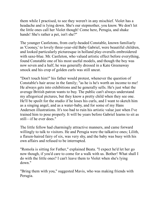them while I practised, to see they weren't in any mischief. Violet has a headache and is lying down. She's our stepmother, you know. We don't let the little ones call her Violet though! Come here, Perugia, and shake hands! She's rather a pet, isn't she?"

The younger Castletons, from curly-headed Constable, known familiarly as 'Cooney,' to lovely three-year-old Baby Gabriel, were beautiful children, and looked particularly picturesque in holland play-overalls embroidered with saxe-blue. Mr. Castleton, who valued artistic effect before everything, found Constable one of his most useful models, and though the boy was now seven and a half, he was generally dressed in a Kate Greenaway smock and his crop of golden curls was still uncut.

"Don't touch him!" his father would protest, whenever the question of Constable's hair arose in the family; "as he is he's worth an income to me! He always gets into exhibitions and he generally sells. He's just what the average British patron wants to buy. The public can't always understand my allegorical pictures, but they know a pretty child when they see one. He'll be spoilt for the studio if he loses his curls, and I want to sketch him as a singing angel, and as a water-baby, and for some of my Hans Andersen illustrations. It's too bad to ruin his artistic value just when I've trained him to pose properly. It will be years before Gabriel learns to sit as still—if he ever does."

The little fellow had charmingly attractive manners, and came forward willingly to talk to visitors. He and Perugia were the talkative ones; Lilith, a flaxen-haired fairy of six, was very shy, and the baby was busy with his own affairs and refused to be interrupted.

"Romola is sitting for Father," explained Beata. "I expect he'd let her go now though, if you'd care to come for a walk with us. Bother! What shall I do with the little ones? I can't leave them to Violet when she's lying down."

"Bring them with you," suggested Mavis, who was making friends with Perugia.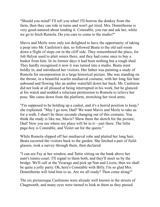"Should you mind? I'll tell you what! I'll borrow the donkey from the farm, then they can ride in turns and won't get tired. Mrs. Donnithorne is very good-natured about lending it. Constable, you run and ask her, while we go to fetch Romola. Do you care to come to the studio?"

Mavis and Merle were only too delighted to have the opportunity of taking a peep into Mr. Castleton's den, so followed Beata to the old sail-room down a flight of steps cut in the cliff side. They remembered the place, for Job Helyar used to plait osiers there, and they had come once to buy a basket from him. In its former days it had been nothing but a rough shed. They hardly recognised it now it was turned into a studio. Beata went boldly in, and introduced her visitors. Her father was painting a study of Romola for incorporation in a large historical picture. She was standing on the throne, in a beautiful scarlet mediaeval costume, with her long fair hair unbound and flowing like an amber waterfall down her back. Mr. Castleton did not look at all pleased at being interrupted in his work, but he glanced at his watch and nodded a reluctant permission to Romola to relieve her pose. She came down from the platform, stretching her tired arms.

"I'm supposed to be holding up a casket, and it's a horrid position to keep," she explained. "May I go now, Dad? We want Mavis and Merle to take us for a walk. I shan't be three seconds changing out of this costume. You think the study is like me, Mavis? Show them the sketch for the picture, Dad! Now you see where my place will be in it—just there. The little page-boy is Constable, and Violet sat for the queen."

While Romola slipped off her mediaeval robe and plaited her long hair, Beata escorted the visitors back to the garden. She fetched a pair of fieldglasses, took a survey through them, then declared:

"I can see Fay at her window, and Tattie sitting on the bank above her aunt's tennis-court. I'll signal to them both, and they'll meet us by the bridge. We'll call at the Vicarage and pick up Nan and Lizzie, then we shall be quite a jolly party. Oh, here's Constable with Billy. I'm so glad Mrs. Donnithorne will lend him to us. Are we all ready? Then come along!"

The six picturesque Castletons were already well known in the streets of Chagmouth, and many eyes were turned to look at them as they passed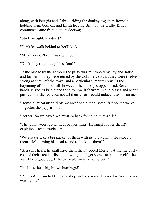along, with Perugia and Gabriel riding the donkey together, Romola holding them both on, and Lilith leading Billy by the bridle. Kindly comments came from cottage doorways.

"Stick on tight, ma dear!"

"Don't 'ee walk behind or her'll kick!"

"Mind her don't run away with ee!"

"Don't they ride pretty, bless 'em!"

At the bridge by the harbour the party was reinforced by Fay and Tattie, and farther on they were joined by the Colvilles, so that they were twelve strong as they left the town, and a particularly merry crew. At the beginning of the first hill, however, the donkey stopped dead. Several hands seized its bridle and tried to urge it forward, while Mavis and Merle pushed it in the rear, but not all their efforts could induce it to stir an inch.

"Romola! What utter idiots we are!" exclaimed Beata. "Of course we've forgotten the peppermints!"

"Bother! So we have! We must go back for some, that's all!"

"The 'donk' won't go without peppermints! He simply loves them!" explained Beata tragically.

"We always take a big packet of them with us to give him. He expects them! He's turning his head round to look for them!"

"Bless his heart, he shall have them then!" cooed Merle, patting the dusty coat of their steed. "His auntie will go and get some for him herself if he'll wait like a good boy. Is he particular what kind he gets?"

"He likes those big brown humbugs!"

"Right-o! I'll run to Denham's shop and buy some. It's not far. Wait for me, won't you?"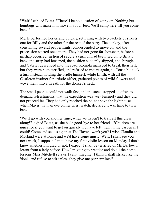"Wait!" echoed Beata. "There'll be no question of going on. Nothing but humbugs will make him move his four feet. We'll camp here till you come back."

Merle performed her errand quickly, returning with two packets of sweets, one for Billy and the other for the rest of the party. The donkey, after consuming several peppermints, condescended to move on, and the procession started once more. They had not gone far, however, before a mishap occurred: in lieu of saddle a cushion had been tied on to Billy's back, the strap had loosened, the cushion suddenly slipped, and Perugia and Gabriel descended into the road. Romola managed to break their fall, but they were both terrified, and refused to mount again, so Constable took a turn instead, holding the bridle himself, while Lilith, with all the Castleton instinct for artistic effect, gathered posies of wild flowers and wove them into a wreath for the donkey's neck.

The small people could not walk fast, and the steed stopped so often to demand refreshments, that the expedition was very leisurely and they did not proceed far. They had only reached the point above the lighthouse when Mavis, with an eye on her wrist watch, declared it was time to turn back.

"We'll go with you another time, when we haven't to trail all this crew along!" sighed Beata, as she bade good-bye to her friends. "Children are a nuisance if you want to get on quickly. I'd have left them in the garden if I could! Come and see us again at The Haven, won't you? I wish Claudia and Morland were at home and we'd have some music. Well, I shall see you next week, I suppose. I'm to have my first violin lesson on Monday. I don't know whether I'm glad or not. I expect I shall be terrified of Mr. Barlow. I learnt from a lady before. How I'm going to practise and do all the home lessons Miss Mitchell sets us I can't imagine! I think I shall strike like the 'donk' and refuse to stir unless they give me peppermints!"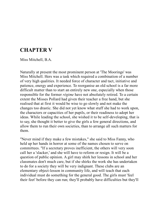### **CHAPTER V**

Miss Mitchell, B.A.

Naturally at present the most prominent person at 'The Moorings' was Miss Mitchell. Hers was a task which required a combination of a number of very high qualities. It needed force of character and tact, initiative and patience, energy and experience. To reorganise an old school is a far more difficult matter than to start an entirely new one, especially when those responsible for the former *régime* have not absolutely retired. To a certain extent the Misses Pollard had given their teacher a free hand, but she realised that at first it would be wise to go slowly and not make the changes too drastic. She did not yet know what stuff she had to work upon, the characters or capacities of her pupils, or their readiness to adopt her ideas. While leading the school, she wished it to be self-developing, that is to say, she thought it better to give the girls a few general directions, and allow them to run their own societies, than to arrange all such matters for them.

"Never mind if they make a few mistakes," she said to Miss Fanny, who held up her hands in horror at some of the names chosen to serve on committees. "If a secretary proves inefficient, the others will very soon call her a 'slacker,' and she will have to reform or resign. It will be a question of public opinion. A girl may shirk her lessons in school and her classmates don't much care, but if she shirks the work she has undertaken to do for a society they will be very indignant. These clubs are an elementary object-lesson in community life, and will teach that each individual must do something for the general good. The girls must 'feel their feet' before they can run; they'll probably have difficulties but they'll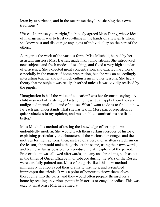learn by experience, and in the meantime they'll be shaping their own traditions."

"Ye-es; I suppose you're right," dubiously agreed Miss Fanny, whose ideal of management was to trust everything in the hands of a few girls whom she knew best and discourage any signs of individuality on the part of the others.

As regards the work of the various forms Miss Mitchell, helped by her assistant mistress Miss Barnes, made many innovations. She introduced new subjects and fresh modes of teaching, and fixed a very high standard of efficiency. She expected great concentration, and exacted hard work, especially in the matter of home preparation, but she was an exceedingly interesting teacher and put much enthusiasm into her lessons. She had a theory that no subject was really absorbed unless it was vividly realised by the pupils.

"Imagination is half the value of education" was her favourite saying. "A child may reel off a string of facts, but unless it can apply them they are undigested mental food and of no use. What I want to do is to find out how far each girl understands what she has learnt. Mere parrot repetition is quite valueless in my opinion, and most public examinations are little better."

Miss Mitchell's method of testing the knowledge of her pupils was undoubtedly modern. She would teach them certain episodes of history, explaining particularly the characters of the various personages and the motives for their actions, then, instead of a verbal or written catechism on the lesson, she would make the girls act the scene, using their own words, and trying as far as possible to reproduce the atmosphere of the period. Free criticism was allowed afterwards, and any anachronisms, such as tea in the times of Queen Elizabeth, or tobacco during the Wars of the Roses, were carefully pointed out. Most of the girls liked this new method immensely. It encouraged their dramatic instincts, and resembled impromptu theatricals. It was a point of honour to throw themselves thoroughly into the parts, and they would often prepare themselves at home by reading up various points in histories or encyclopaedias. This was exactly what Miss Mitchell aimed at.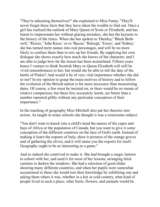"They're educating themselves!" she explained to Miss Fanny. "They'll never forget these facts that they have taken the trouble to find out. Once a girl has realised the outlook of Mary Queen of Scots or Elizabeth, and has learnt to impersonate her without glaring mistakes, she has the keynote to the history of the times. When she has spoken to 'Darnley,' 'Black Bothwell,' 'Rizzio,' 'John Knox,' or to 'Bacon,' 'Raleigh,' 'Essex,' and 'Sidney,' she has turned mere names into real personages, and will be no more likely to confuse them than to mix up her friends. By supplying her own dialogue she shows exactly how much she knows of the character, and I am able to judge how far the lesson has been assimilated. Fifteen years hence I venture to think Scottish Mary or Queen Elizabeth will still be vivid remembrances to her; but would she be able to tell the date of the battle of Pinkie? And would it be of very vital importance whether she did or not? In my opinion to grasp the main motives of history and to follow the evolution of the British nation is far more necessary than memorising dates. Of course, a few must be insisted on, or there would be no means of relative comparison, but these few, accurately learnt, are better than a number repeated glibly without any particular conception of their importance."

In the teaching of geography Miss Mitchell also put her theories into action. As taught in many schools she thought it was a wearisome subject.

"You don't want to knock into a child's head the names of the capes and bays of Africa or the population of Canada, but you want to give it some conception of the different countries on the face of God's earth. Instead of making it learn the exports of Italy, show it pictures of the orange groves and of gathering the olives, and it will name you the exports for itself. Geography ought to be as interesting as a game."

And so indeed she contrived to make it. She had brought a magic lantern to school with her, and used it for most of her lessons, arranging thick curtains to darken the windows. She had a selection of good slides showing many different countries, and when her pupils were somewhat accustomed to these she would test their knowledge by exhibiting one and asking them where it was, whether in a hot or cold country, what kind of people lived in such a place, what fruits, flowers, and animals would be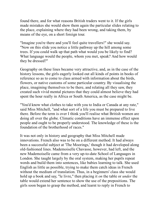found there, and for what reasons British traders went to it. If the girls made mistakes she would show them again the particular slides relating to the place, explaining where they had been wrong, and taking them, by means of the eye, on a short foreign tour.

"Imagine you're there and you'll feel quite travellers!" she would say. "Now on this slide you notice a little pathway up the hill among some trees. If you could walk up that path what would you be likely to find? What language would the people, whom you met, speak? And how would they be dressed?"

Geography on these lines became very attractive, and, as in the case of the history lessons, the girls eagerly looked out all kinds of points in books of reference so as to come to class armed with information about the birds, flowers, or native customs of some particular country. By visualising the place, imagining themselves to be there, and relating all they saw, they created such vivid mental pictures that they could almost believe they had spent the hour really in Africa or South America, as the case might be.

"You'd know what clothes to take with you to India or Canada at any rate," said Miss Mitchell, "and what sort of a life you must be prepared to live there. Before the term is over I think you'll realise what British women are doing all over the globe. Climatic conditions have an immense effect upon people and ought to be properly understood. The knowledge of these is the foundation of the brotherhood of races."

It was not only in history and geography that Miss Mitchell made innovations. French also was to be on a different method. It had always been a successful subject at 'The Moorings,' though it had developed along old-fashioned lines. Mademoiselle Chavasse, however, had left, and the new Mademoiselle came from a very up-to-date School of Languages in London. She taught largely by the oral system, making her pupils repeat words and build them into sentences, like babies learning to talk. She used English as little as possible, trying to make them catch ideas in French without the medium of translation. Thus, in a beginners' class she would hold up a book and say, "le livre," then placing it *on* the table or *under* the table would extend her sentence to show the use of the prepositions. The girls soon began to grasp the method, and learnt to reply in French to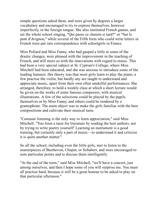simple questions asked them, and were given by degrees a larger vocabulary and encouraged to try to express themselves, however imperfectly, in the foreign tongue. She also instituted French games, and set the whole school singing, "Qui passe ce chemin si tard?" or "Sur le pont d'Avignon," while several of the Fifth form who could write letters in French were put into correspondence with schoolgirls in France.

Miss Pollard and Miss Fanny, who had gasped a little at some of the drastic changes, were pleased with the improvement in the teaching of French, and still more so with the innovations with regard to music. This had been a very special subject at St. Cyprian's College, where Miss Mitchell had been educated, and she was anxious to introduce some of the leading features. Her theory was that most girls learn to play the piano, a few practise the violin, but hardly any are taught to understand and appreciate music, apart from their own often unskilful performances. She arranged, therefore, to hold a weekly class at which a short lecture would be given on the works of some famous composers, with musical illustrations. A few of the selections could be played by the pupils themselves or by Miss Fanny, and others could be rendered by a gramophone. The main object was to make the girls familiar with the best compositions and cultivate their musical taste.

"Constant listening is the only way to learn appreciation," said Miss Mitchell. "You form a taste for literature by reading the best authors, not by trying to write poetry yourself! Learning an instrument is a good training, but certainly only a part of music—to understand it and criticise it is quite another matter."

So all the school, including even the little girls, met to listen to the masterpieces of Beethoven, Chopin, or Schubert, and were encouraged to note particular points and to discuss them intelligently.

"At the end of the term," said Miss Mitchell, "we'll have a concert, just among ourselves, and then I hope some of you will surprise me. You must all practise hard, because it will be a great honour to be asked to play on that particular afternoon."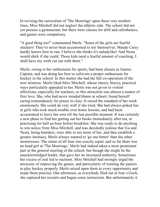In revising the curriculum of 'The Moorings' upon these very modern lines, Miss Mitchell did not neglect the athletic side. The school did not yet possess a gymnasium, but there were classes for drill and calisthenics, and games were compulsory.

"A good thing too!" commented Merle. "Some of the girls are fearful slackers! They've never been accustomed to stir themselves. Maude Carey hardly knows how to run. I believe she thinks it's unladylike! And Nesta would shirk if she could. Those kids need a fearful amount of coaching. I shall have my work cut out with them."

Merle, owing to her enthusiasm for sports, had been chosen as Games Captain, and was doing her best to cultivate a proper enthusiasm for hockey in the school. In this matter she had the full co-operation of the new mistress. Merle liked Miss Mitchell, whose cheery, breezy, practical ways particularly appealed to her. Merle was not given to violent affections, especially for teachers, so this attraction was almost a matter of first love. She, who had never minded blame at school, found herself caring tremendously for praise in class. It raised the standard of her work enormously. She could do very well if she tried. She had always poked fun at girls who took much trouble over home lessons, and had been accustomed to leave her own till the last possible moment. It was certainly a new phase to find her getting out her books immediately after tea, or practising for half an hour before breakfast. She was ready to do anything to win notice from Miss Mitchell, and was decidedly jealous that Iva and Nesta, being boarders, were able to see more of her, and thus establish a greater intimacy. Merle always wanted to 'go one better' than the other monitresses. The status of all four was exactly equal, and so far there was no head girl at 'The Moorings.' Merle had indeed taken a most prominent part at the general meeting of the school, but though she might be the unacknowledged leader, that gave her no increased authority. Sometimes her excess of zeal led to ructions. Miss Mitchell had strongly urged the necessity of improving the games, and particularly of training the juniors to play hockey properly. Merle seized upon them at every opportunity and made them practise. One afternoon, as everybody filed out at four o'clock, she captured her recruits and began some instruction. But unfortunately it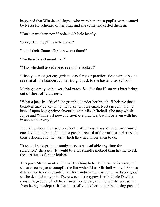happened that Winnie and Joyce, who were her aptest pupils, were wanted by Nesta for schemes of her own, and she came and called them in.

"Can't spare them now!" objected Merle briefly.

"Sorry! But they'll have to come!"

"Not if their Games Captain wants them!"

"I'm their hostel monitress!"

"Miss Mitchell asked me to see to the hockey!"

"Then you must get day-girls to stay for your practice. I've instructions to see that all the boarders come straight back to the hostel after school!"

Merle gave way with a very bad grace. She felt that Nesta was interfering out of sheer officiousness.

"What a jack-in-office!" she grumbled under her breath. "I believe those boarders may do anything they like until tea-time. Nesta needn't plume herself upon being prime favourite with Miss Mitchell. She may whisk Joyce and Winnie off now and spoil our practice, but I'll be even with her in some other way!"

In talking about the various school institutions, Miss Mitchell mentioned one day that there ought to be a general record of the various societies and their officers, and the work which they had undertaken to do.

"It should be kept in the study so as to be available any time for reference," she said. "It would be a far simpler method than having to ask the secretaries for particulars."

This gave Merle an idea. She said nothing to her fellow-monitresses, but she at once began to compile the list which Miss Mitchell wanted. She was determined to do it beautifully. Her handwriting was not remarkably good, so she decided to type it. There was a little typewriter in Uncle David's consulting-room, which he allowed her to use, and though she was so far from being an adept at it that it actually took her longer than using pen and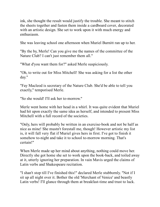ink, she thought the result would justify the trouble. She meant to stitch the sheets together and fasten them inside a cardboard cover, decorated with an artistic design. She set to work upon it with much energy and enthusiasm.

She was leaving school one afternoon when Muriel Burnitt ran up to her.

"By the by, Merle! Can you give me the names of the committee of the Nature Club? I can't just remember them all."

"What d'you want them for?" asked Merle suspiciously.

"Oh, to write out for Miss Mitchell! She was asking for a list the other day."

"Fay Macleod is secretary of the Nature Club. She'd be able to tell you exactly," temporised Merle.

"So she would! I'll ask her to-morrow."

Merle went home with her head in a whirl. It was quite evident that Muriel had hit upon exactly the same idea as herself, and intended to present Miss Mitchell with a full record of the societies.

"Only, hers will probably be written in an exercise-book and not be half as nice as mine! She mustn't forestall me, though! However artistic my list is, it will fall very flat if Muriel gives hers in first. I've got to finish it somehow to-night and take it to school to-morrow morning. That's certain!"

When Merle made up her mind about anything, nothing could move her. Directly she got home she set to work upon the book-back, and toiled away at it, utterly ignoring her preparation. In vain Mavis urged the claims of Latin verbs and Shakespeare recitation.

"I shan't stop till I've finished this!" declared Merle stubbornly. "Not if I sit up all night over it. Bother the old 'Merchant of Venice' and beastly Latin verbs! I'll glance through them at breakfast-time and trust to luck.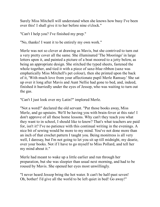Surely Miss Mitchell will understand when she knows how busy I've been over this! I shall give it to her before nine o'clock."

"Can't I help you? I've finished my prep."

"No, thanks! I want it to be entirely my own work."

Merle was not so clever at drawing as Mavis, but she contrived to turn out a very pretty cover all the same. She illuminated 'The Moorings' in large letters upon it, and painted a picture of a boat moored to a jetty below, as being an appropriate design. She stitched the typed sheets, fastened the whole together, and tied it with a piece of saxe-blue ribbon (saxe was emphatically Miss Mitchell's pet colour), then she printed upon the back of it, 'With much love from your affectionate pupil Merle Ramsay.' She sat up over it long after Mavis and Aunt Nellie had gone to bed, and, indeed, finished it hurriedly under the eyes of Jessop, who was waiting to turn out the gas.

"Can't I just look over my Latin?" implored Merle.

"Not a word!" declared the old servant. "Put those books away, Miss Merle, and go upstairs. We'll be having you with brain-fever at this rate! I don't approve of all these home lessons. Why can't they teach you what they want to in school, I should like to know? That's what teachers are paid for, isn't it? I've no patience with this continual writing in the evenings. A nice bit of sewing would be more to my mind. You've not done more than an inch of that crochet pattern I taught you. Being monitress is all very well, I daresay, but I'm not going to let you sit up till midnight, my dearie, over your books. Not if I have to go myself to Miss Pollard, and tell her my mind about it."

Merle had meant to wake up a little earlier and run through her preparation, but she was sleepier than usual next morning, and had to be roused by Mavis. She opened her eyes most unwillingly.

"I never heard Jessop bring the hot water. It can't be half-past seven! Oh, bother! I'd give all the world to be left quiet in bed! Go away!"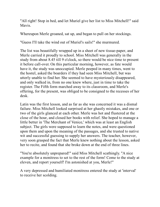"All right! Stop in bed, and let Muriel give her list to Miss Mitchell!" said Mavis.

Whereupon Merle groaned, sat up, and began to pull on her stockings.

"Guess I'll take the wind out of Muriel's sails!" she murmured.

The list was beautifully wrapped up in a sheet of new tissue-paper, and Merle carried it proudly to school. Miss Mitchell was generally in the study from about 8.45 till 9 o'clock, so there would be nice time to present it before call-over. On this particular morning, however, as fate would have it, the study was unoccupied. Merle peeped in many times, went to the hostel, asked the boarders if they had seen Miss Mitchell, but was utterly unable to find her. She seemed to have mysteriously disappeared, and only walked in, from no one knew where, just in time to take the register. The Fifth form marched away to its classroom, and Merle's offering, for the present, was obliged to be consigned to the recesses of her desk.

Latin was the first lesson, and as far as she was concerned it was a dismal failure. Miss Mitchell looked surprised at her ghastly mistakes, and one or two of the girls glanced at each other. Merle was hot and flustered at the close of the hour, and closed her books with relief. She hoped to manage a little better in 'The Merchant of Venice,' which was at least an English subject. The girls were supposed to learn the notes, and were questioned upon them and upon the meaning of the passages, and she trusted to native wit and successful guessing to supply her answers. The teacher, however, very soon grasped the fact that Merle knew nothing about the lesson, asked her to recite, and found that she broke down at the end of three lines.

"You're absolutely unprepared!" said Miss Mitchell scathingly. "A nice example for a monitress to set to the rest of the form! Come to the study at eleven, and report yourself! I'm astonished at you, Merle!"

A very depressed and humiliated monitress entered the study at 'interval' to receive her scolding.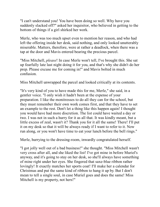"I can't understand you! You have been doing so well. Why have you suddenly slacked off?" asked her inquisitor, who believed in getting to the bottom of things if a girl shirked her work.

Merle, who was too much upset even to mention her reason, and who had left the offering inside her desk, said nothing, and only looked unutterably miserable. Matters, therefore, were at rather a deadlock, when there was a tap at the door and Mavis entered bearing the precious parcel.

"Miss Mitchell, *please*! In case Merle won't tell, I've brought this. She sat up fearfully late last night doing it for you, and that's why she didn't do her prep. Please excuse me for coming in!" and Mavis bolted in much confusion.

Miss Mitchell unwrapped the parcel and looked critically at its contents.

"It's very kind of you to have made this for me, Merle," she said, in a gentler voice. "I only wish it hadn't been at the expense of your preparation. I like the monitresses to do all they can for the school, but they must remember their own work comes first, and that they have to set an example to the rest. Don't let a thing like this happen again! I thought you would have had more discretion. The list could have waited a day or two. I was not in such a hurry for it as all that. It was kindly meant, but a little excess of zeal, wasn't it? Thank you for it all the same! There! I'll put it on my desk so that it will be always ready if I want to refer to it. Now run along, or you won't have time to eat your lunch before the bell rings."

Merle, hurrying to the dressing-room, inwardly congratulated herself.

"I got jolly well out of a bad business!" she thought. "Miss Mitchell wasn't very cross after all, and she liked the list! I've got mine in before Muriel's anyway, and it's going to stay on her desk, so she'll always have something of mine right under her eyes. She fingered that saxe-blue ribbon rather lovingly! It exactly matches her sports coat! I'll make her a calendar for Christmas and put the same kind of ribbon to hang it up by. But I don't mean to tell a single soul, in case Muriel goes and does the same! Miss Mitchell is my property, not hers!"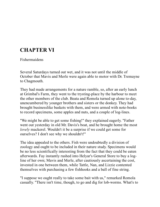# **CHAPTER VI**

Fishermaidens

Several Saturdays turned out wet, and it was not until the middle of October that Mavis and Merle were again able to motor with Dr. Tremayne to Chagmouth.

They had made arrangements for a nature ramble, so, after an early lunch at Grimbal's Farm, they went to the trysting-place by the harbour to meet the other members of the club. Beata and Romola turned up alone to-day, unencumbered by younger brothers and sisters or the donkey. They had brought businesslike baskets with them, and were armed with note-books to record specimens, some apples and nuts, and a couple of log-lines.

"We might be able to get some fishing!" they explained eagerly. "Father went out yesterday in old Mr. Davis's boat, and he brought home the most *lovely* mackerel. Wouldn't it be a surprise if we could get some for ourselves? I don't see why we shouldn't!"

The idea appealed to the others. Fish were undoubtedly a division of zoology and ought to be included in their nature study. Specimens would be no less scientifically interesting from the fact that they could be eaten afterwards. Fay instantly rushed into Helyar's General Store to buy a logline of her own; Mavis and Merle, after cautiously ascertaining the cost, invested in one between them, while Tattle, Nan, and Lizzie contented themselves with purchasing a few fishhooks and a ball of fine string.

"I suppose we ought really to take some bait with us," remarked Romola casually. "There isn't time, though, to go and dig for lob-worms. What's to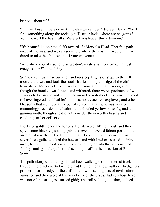be done about it?"

"Oh, we'll use limpets or anything else we can get," decreed Beata. "We'll find something along the rocks, you'll see. Mavis, where are we going? You know all the best walks. We elect you leader this afternoon."

"It's beautiful along the cliffs towards St Morval's Head. There's a path most of the way, and we can scramble where there isn't. I wouldn't have dared to take the children, but I vote we venture it."

"Anywhere you like so long as we don't waste any more time; I'm just crazy to start!" agreed Fay.

So they went by a narrow alley and up steep flights of steps to the hill above the town, and took the track that led along the edge of the cliffs towards St. Morval's Head. It was a glorious autumn afternoon, and, though the bracken was brown and withered, there were specimens of wild flowers to be picked and written down in the note-books. Summer seemed to have lingered, and had left poppies, honeysuckle, foxgloves, and other blossoms that were certainly out of season. Tattie, who was keen on entomology, recorded a red admiral, a clouded yellow butterfly, and a gamma moth, though she did not consider them worth chasing and catching for her collection.

Flocks of goldfinches and long-tailed tits were flitting about, and they spied some black-caps and pipits, and even a buzzard falcon poised in the air high above the cliffs. Here quite a little excitement occurred, for several sea-gulls attacked the buzzard and with loud cries tried to drive it away, following it as it soared higher and higher into the heavens, and finally routing it altogether and sending it off in the direction of Port Sennen.

The path along which the girls had been walking was the merest track through the bracken. So far there had been either a low wall or a hedge as a protection at the edge of the cliff, but now these outposts of civilisation vanished and they were at the very brink of the crags. Tattie, whose head was not of the strongest, turned giddy and refused to go farther; indeed,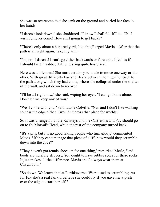she was so overcome that she sank on the ground and buried her face in her hands.

"I daren't look down!" she shuddered. "I know I shall fall if I do. Oh! I wish I'd never come! How am I going to get back?"

"There's only about a hundred yards like this," urged Mavis. "After that the path is all right again. Take my arm."

"No, no! I daren't! I can't go either backwards or forwards. I feel as if I should faint!" sobbed Tattie, waxing quite hysterical.

Here was a dilemma! She must certainly be made to move one way or the other. With great difficulty Fay and Beata between them got her back to the path along which they had come, where she collapsed under the shelter of the wall, and sat down to recover.

"I'll be all right now," she said, wiping her eyes. "I can go home alone. Don't let me keep any of you."

"We'll come with you," said Lizzie Colville. "Nan and I don't like walking so near the edge either. I wouldn't cross that place for worlds."

So it was arranged that the Ramsays and the Castletons and Fay should go on to St. Morval's Head, while the rest of the company turned back.

"It's a pity, but it's no good taking people who turn giddy," commented Mavis. "If they can't manage that piece of cliff, how would they scramble down into the cove?"

"They haven't got tennis shoes on for one thing," remarked Merle, "and boots are horribly slippery. You ought to have rubber soles for these rocks. It just makes all the difference. Mavis and I always wear them at Chagmouth."

"So do we. We learnt that at Porthkeverne. We're used to scrambling. As for Fay she's a real fairy. I believe she could fly if you gave her a push over the edge to start her off."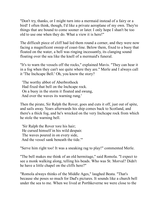"Don't try, thanks, or I might turn into a mermaid instead of a fairy or a bird! I often think, though, I'd like a private aeroplane of my own. They're things that are bound to come sooner or later. I only hope I shan't be too old to use one when they do. What a view it is here!"

The difficult piece of cliff had led them round a corner, and they were now facing a magnificent sweep of coast-line. Below them, fixed to a buoy that floated on the water, a bell was ringing incessantly, its clanging sound floating over the sea like the knell of a mermaid's funeral.

"It's to warn the vessels off the rocks," explained Mavis. "They can hear it in a fog when they can't see quite where they are." Merle and I always call it 'The Inchcape Bell.' Oh, you know the story?

 'The worthy abbot of Aberbrothock Had fixed that bell on the Inchcape rock. On a buoy in the storm it floated and swung, And over the waves its warning rung.'

Then the pirate, Sir Ralph the Rover, goes and cuts it off, just out of spite, and sails away. Years afterwards his ship comes back to Scotland, and there's a thick fog, and he's wrecked on the very Inchcape rock from which he stole the warning bell.

 'Sir Ralph the Rover tore his hair; He cursed himself in his wild despair. The waves poured in on every side, And the vessel sank beneath the tide.'"

"Serve him right too! It was a sneaking rag to play!" commented Merle.

"The bell makes me think of an old hermitage," said Romola. "I expect to see a monk walking along, telling his beads. Who was St. Morval? Didn't he have a little chapel on the cliffs here?"

"Romola always thinks of the Middle Ages," laughed Beata. "That's because she poses so much for Dad's pictures. It sounds like a church bell under the sea to me. When we lived at Porthkeverne we were close to the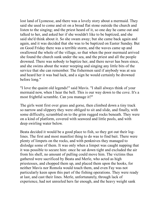lost land of Lyonesse, and there was a lovely story about a mermaid. They said she used to come and sit on a broad flat stone outside the church and listen to the singing; and the priest heard of it, so one day he came out and talked to her, and asked her if she wouldn't like to be baptized, and she said she'd think about it. So she swam away; but she came back again and again, and it was decided that she was to be baptized on Easter Sunday. But on Good Friday there was a terrible storm, and the waves came up and swallowed the whole of the village, so that when the poor mermaid arrived she found the church sunk under the sea, and the priest and all the people drowned. There was nobody to baptize her, and there never has been since, and she swims about the water weeping and singing any little bits of the service that she can remember. The fishermen said if anybody was at sea and heard her it was bad luck, and a sign he would certainly be drowned before long."

"I love the quaint old legends!" said Mavis. "I shall always think of your mermaid now, when I hear the bell. This is our way down to the cove. It's a most frightful scramble. Can you manage it?"

The girls went first over grass and gorse, then climbed down a tiny track so narrow and slippery they were obliged to sit and slide, and finally, with some difficulty, scrambled on to the grim rugged rocks beneath. They were on a kind of platform, covered with seaweed and little pools, and with deep swirling water below.

Beata decided it would be a good place to fish, so they got out their loglines. The first and most manifest thing to do was to find bait. There were plenty of limpets on the rocks, and with penknives they managed to dislodge some of them. It was only when a limpet was caught napping that it was possible to secure him: once he sat down tight and excluded the air from his shell, no amount of pulling could move him. The victims thus gathered were sacrificed by Beata and Merle, who acted as high priestesses, and chopped them up, and placed them upon the hooks, for neither Mavis nor Romola would touch them, and even Fay was not particularly keen upon this part of the fishing operations. They were ready at last, and cast their lines. Merle, unfortunately, through lack of experience, had not unreeled hers far enough, and the heavy weight sank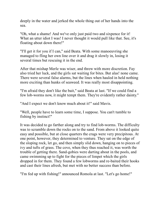deeply in the water and jerked the whole thing out of her hands into the sea.

"Oh, what a shame! And we've only just paid two and sixpence for it! What an utter idiot I was! I never thought it would pull like that. See, it's floating about down there!"

"I'll get it for you if I can," said Beata. With some manoeuvring she managed to fling her own line over it and drag it slowly in, losing it several times but rescuing it in the end.

After that mishap Merle was wiser, and threw with more discretion. Fay also tried her luck, and the girls sat waiting for bites. But alas! none came. There were several false alarms, but the lines when hauled in held nothing more exciting than hunks of seaweed. It was really most disappointing.

"I'm afraid they don't like the bait," said Beata at last. "If we could find a few lob-worms now, it might tempt them. They're evidently rather dainty."

"And I expect we don't know much about it!" said Mavis.

"Well, people have to learn some time, I suppose. You can't tumble to fishing by instinct!"

It was decided to go farther along and try to find lob-worms. The difficulty was to scramble down the rocks on to the sand. From above it looked quite easy and possible, but at close quarters the crags were very precipitous. At one point, however, they determined to venture. They sat on the edge of the sloping rock, let go, and then simply slid down, hanging on to pieces of ivy and tufts of grass. The cove, when they thus reached it, was worth the trouble of getting there. Sand-gobies were darting about in the pools, and came swimming up to fight for the pieces of limpet which the girls dropped in for them. They found a few lobworms and re-baited their hooks and cast their lines afresh, but met with no better success than before.

"I'm fed up with fishing!" announced Romola at last. "Let's go home!"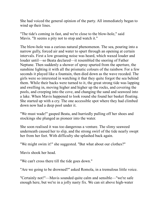She had voiced the general opinion of the party. All immediately began to wind up their lines.

"The tide's coming in fast, and we're close to the blow-hole," said Mavis. "It seems a pity not to stop and watch it."

The blow-hole was a curious natural phenomenon. The sea, pouring into a narrow gully, forced air and water to spurt through an opening at certain intervals. First a low groaning noise was heard, which waxed louder and louder until—so Beata declared—it resembled the snoring of Father Neptune. Then suddenly a shower of spray spurted from the aperture, the sunshine lighting it with all the prismatic colours of the rainbow. For a few seconds it played like a fountain, then died down as the wave receded. The girls were so interested in watching it that they quite forgot the sea behind them. While their backs were turned to it, the great strong tide was lapping and swelling in, moving higher and higher up the rocks, and covering the pools, and creeping into the cove, and changing the sand and seaweed into a lake. When Mavis happened to look round she found her basket floating. She started up with a cry. The one accessible spot where they had climbed down now had a deep pool under it.

"We must wade!" gasped Beata, and hurriedly pulling off her shoes and stockings she plunged as pioneer into the water.

She soon realised it was too dangerous a venture. The slimy seaweed underneath caused her to slip, and the strong swirl of the tide nearly swept her from her feet. With difficulty she splashed back again.

"We might swim it!" she suggested. "But what about our clothes?"

Mavis shook her head.

"We can't cross there till the tide goes down."

"Are we going to be drowned?" asked Romola, in a tremulous little voice.

"Certainly not!"—Mavis sounded quite calm and sensible—"we're safe enough here, but we're in a jolly nasty fix. We can sit above high-water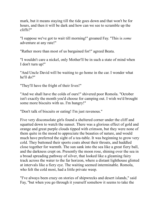mark, but it means staying till the tide goes down and that won't be for hours, and then it will be dark and how can we see to scramble up the cliffs?"

"I suppose we've got to wait till morning!" groaned Fay. "This is *some* adventure at any rate!"

"Rather more than most of us bargained for!" agreed Beata.

"I wouldn't care a nickel, only Mother'll be in such a state of mind when I don't turn up!"

"And Uncle David will be waiting to go home in the car. I wonder what he'll do?"

"They'll have the fright of their lives!"

"And we shall have the colds of ours!" shivered poor Romola. "October isn't exactly the month you'd choose for camping out. I wish we'd brought some more biscuits with us. I'm hungry!"

"Don't talk of biscuits or eating! I'm just ravenous."

Five very disconsolate girls found a sheltered corner under the cliff and squatted down to watch the sunset. There was a glorious effect of gold and orange and great purple clouds tipped with crimson, but they were none of them quite in the mood to appreciate the beauties of nature, and would much have preferred the sight of a tea-table. It was beginning to grow very cold. They buttoned their sports coats about their throats, and huddled close together for warmth. The sun sank into the sea like a great fiery ball, and the darkness crept on. Presently the moon rose, shining over the sea in a broad spreading pathway of silver, that looked like a gleaming fairy track across the water to the far horizon, where a distant lighthouse glinted at intervals like a fiery eye. The waiting seemed interminable. Romola, who felt the cold most, had a little private weep.

"I've always been crazy on stories of shipwrecks and desert islands," said Fay, "but when you go through it yourself somehow it seems to take the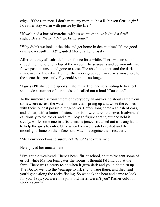edge off the romance. I don't want any more to be a Robinson Crusoe girl! I'd rather stay warm with pussie by the fire."

"If we'd had a box of matches with us we might have lighted a fire!" sighed Beata. "Why *didn't* we bring some?"

"Why didn't we look at the tide and get home in decent time? It's no good crying over spilt milk!" grunted Merle rather crossly.

After that they all subsided into silence for a while. There was no sound except the monotonous lap of the waves. The sea-gulls and cormorants had flown past at sunset and gone to roost. The absolute quiet, and the dark shadows, and the silver light of the moon gave such an eerie atmosphere to the scene that presently Fay could stand it no longer.

"I guess I'll stir up the spooks!" she remarked, and scrambling to her feet she made a trumpet of her hands and called out a loud "Coo-o-ee."

To the immense astonishment of everybody an answering shout came from somewhere across the water. Instantly all sprang up and woke the echoes with their loudest possible lung-power. Before long came a splash of oars, and a boat, with a lantern fastened to its bow, entered the cove. It advanced cautiously to the rocks, and a tall boyish figure sprang out and held it steady, while some one in a fisherman's jersey stretched out a strong hand to help the girls to enter. Only when they were safely seated and the moonlight shone on their faces did Mavis recognise their rescuers.

"Mr. Penruddock—and surely not *Bevis*!" she exclaimed.

He enjoyed her amazement.

"I've got the week-end. There's been 'flu' at school, so they've sent some of us off while Matron fumigates the rooms. I thought I'd find you at the farm. There was a pretty to-do when it grew dark and you didn't turn up. The Doctor went to the Vicarage to ask if you were there, and they said you'd gone along the rocks fishing. So we took the boat and came to look for you. I say, you were in a jolly old mess, weren't you? Rather cold for sleeping out?"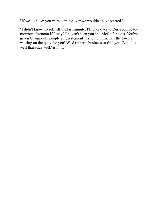"If we'd known you were coming over we wouldn't have started."

"I didn't know myself till the last minute. I'll bike over to Durracombe tomorrow afternoon if I may? I haven't seen you and Merle for ages. You've given Chagmouth people an excitement! I should think half the town's waiting on the quay for you! We'd rather a business to find you. But 'all's well that ends well,' isn't it?"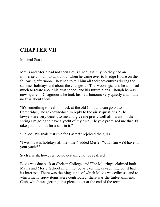# **CHAPTER VII**

Musical Stars

Mavis and Merle had not seen Bevis since last July, so they had an immense amount to talk about when he came over to Bridge House on the following afternoon. They had to tell him all their adventures during the summer holidays and about the changes at 'The Moorings,' and he also had much to relate about his own school and his future plans. Though he was now squire of Chagmouth, he took his new honours very quietly and made no fuss about them.

"It's something to feel I'm back at the old Coll. and can go on to Cambridge," he acknowledged in reply to the girls' questions. "The lawyers are very decent to me and give me pretty well all I want. In the spring I'm going to have a yacht of my own! They've promised me that. I'll take you both out for a sail in it."

"Oh, do! We shall just live for Easter!" rejoiced the girls.

"I wish it was holidays all the time!" added Merle. "What fun we'd have in your yacht!"

Such a wish, however, could certainly not be realised.

Bevis was due back at Shelton College, and 'The Moorings' claimed both Mavis and Merle. School might not be as exciting as yachting, but it had its interests. There was the Magazine, of which Mavis was editress, and to which many spicy items were contributed; there was the Entertainments Club, which was getting up a piece to act at the end of the term.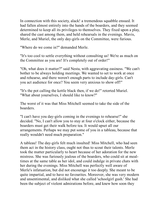In connection with this society, alack! a tremendous squabble ensued. It had fallen almost entirely into the hands of the boarders, and they seemed determined to keep all its privileges to themselves. They fixed upon a play, shared the cast among them, and held rehearsals in the evenings. Mavis, Merle, and Muriel, the only day-girls on the Committee, were furious.

"Where do we come in?" demanded Merle.

"It's too cool to settle everything without consulting us! We're as much on the Committee as you are! It's completely out of order!"

"Oh, what does it matter?" said Nesta, with aggravating easiness. "We can't bother to be always holding meetings. We wanted to set to work at once and rehearse, and there weren't enough parts to include day-girls. Can't you act audience for once? You seem very anxious to show off!"

"It's the pot calling the kettle black then, if we do!" retorted Muriel. "What about yourselves, I should like to know?"

The worst of it was that Miss Mitchell seemed to take the side of the boarders.

"I can't have you day-girls coming in the evenings to rehearse!" she decided. "No, I can't allow you to stay at four o'clock either, because the boarders must get their walk before tea. It would upset all our arrangements. Perhaps we may put some of you in a tableau, because that really wouldn't need much preparation."

A tableau! The day-girls felt much insulted! Miss Mitchell, who had seen them act in the history class, ought not thus to scout their talents. Merle took the matter particularly to heart because of her adoration for the new mistress. She was furiously jealous of the boarders, who could sit at mealtimes at the same table as her idol, and could indulge in private chats with her during the evenings. Miss Mitchell was perfectly well aware of Merle's infatuation, but did not encourage it too deeply. She meant to be quite impartial, and to have no favourites. Moreover, she was very modern and unsentimental, and disliked what she called 'schoolgirl gush.' She had been the subject of violent admirations before, and knew how soon they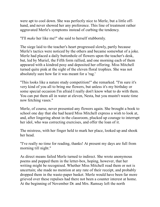were apt to cool down. She was perfectly nice to Merle, but a little offhand, and never showed her any preference. This line of treatment rather aggravated Merle's symptoms instead of curbing the tendency.

"I'll *make* her like me!" she said to herself stubbornly.

The siege laid to the teacher's heart progressed slowly, partly because Merle's tactics were noticed by the others and became somewhat of a joke. Merle had placed a daily buttonhole of flowers upon the teacher's desk, but, led by Muriel, the Fifth form rallied, and one morning each of them appeared with a kindred posy and deposited her offering. Miss Mitchell turned quite pink at the sight of the eleven floral trophies. She was not absolutely sure how far it was meant for a 'rag.'

"This looks like a nature study competition!" she remarked. "I'm sure it's very kind of you all to bring me flowers, but unless it's my birthday or some special occasion I'm afraid I really don't know what to do with them. You can put them all in water at eleven, Nesta, but you mustn't waste time now fetching vases."

Merle, of course, never presented any flowers again. She brought a book to school one day that she had heard Miss Mitchell express a wish to look at, and, after lingering about in the classroom, plucked up courage to interrupt her idol, who was correcting exercises, and offer the loan of it.

The mistress, with her finger held to mark her place, looked up and shook her head.

"I've really no time for reading, thanks! At present my days are full from morning till night."

As direct means failed Merle turned to indirect. She wrote anonymous poems and popped them in the letter-box, hoping, however, that her writing might be recognised. Whether Miss Mitchell read them or not is uncertain; she made no mention at any rate of their receipt, and probably dropped them in the waste-paper basket. Merle would have been far more grieved over these repulses had there not been a counter interest at home. At the beginning of November Dr. and Mrs. Ramsay left the north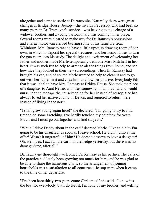altogether and came to settle at Durracombe. Naturally there were great changes at Bridge House. Jessop—the invaluable Jessop, who had been so many years in Dr. Tremayne's service—was leaving to take charge of a widower brother, and a young parlour-maid was coming in her place. Several rooms were cleared to make way for Dr. Ramsay's possessions, and a large motor van arrived bearing some of his furniture from Whinburn. Mrs. Ramsay was to have a little upstairs drawing-room of her own, in which to deposit her special treasures, and her husband was to turn the gun-room into his study. The delight and excitement of welcoming her father and mother made Merle temporarily dethrone Miss Mitchell in her heart. It was such fun to help to arrange all the things from home, and see how nice they looked in their new surroundings. Then Dr. Ramsay had brought his car, and of course Merle wanted to help to clean it and to go out with her father in it and coax him to allow her to drive. Everybody felt that it was ideal to have Mrs. Ramsay at Bridge House. She took the place of a daughter to Aunt Nellie, who was somewhat of an invalid, and would nurse her and manage the housekeeping for her instead of Jessop. She had always loved her native county of Devon, and rejoiced to return there instead of living in the north.

"I shall grow young again here!" she declared. "I'm going to try to find time to do some sketching. I've hardly touched my paintbox for years. Mavis and I must go out together and find subjects."

"While I drive Daddy about in the car!" decreed Merle. "I've told him I'm going to be his chauffeur as soon as I leave school. He didn't jump at the offer! Wasn't it ungrateful of him? He doesn't deserve to have a daughter! Oh, well, yes, I *did* run the car into the hedge yesterday, but there was no damage done, after all."

Dr. Tremayne thoroughly welcomed Dr. Ramsay as his partner. The calls of the practice had lately been growing too much for him, and he was glad to be able to share the numerous visits, so the arrangement of joining households was a satisfaction to all concerned. Jessop wept when it came to the time of her departure.

"I've been here thirty-two years come Christmas!" she said. "I know it's the best for everybody, but I do feel it. I'm fond of my brother, and willing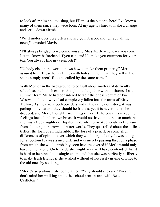to look after him and the shop, but I'll miss the patients here! I've known many of them since they were born. At my age it's hard to make a change and settle down afresh."

"We'll motor over very often and see you, Jessop, and tell you all the news," consoled Mavis.

"I'll always be glad to welcome you and Miss Merle whenever you come. Let me know beforehand if you can, and I'll make you crumpets for your tea. You always like my crumpets!"

"Nobody else in the world knows how to make them properly," Merle assured her. "Those heavy things with holes in them that they sell in the shops simply aren't fit to be called by the same name!"

With Mother in the background to consult about matters of difficulty school seemed much easier, though not altogether without thorns. Last summer term Merle had considered herself the chosen chum of Iva Westwood, but now Iva had completely fallen into the arms of Kitty Trefyre. As they were both boarders and in the same dormitory, it was perhaps only natural they should be friends, yet it is never nice to be dropped, and Merle thought hard things of Iva. If she could have kept her feelings locked in her own breast it would not have mattered so much, but she was a true daughter of Jupiter, and, when provoked, could not refrain from shooting her arrows of bitter words. They quarrelled about the silliest trifles: the loan of an indiarubber, the loss of a pencil, or some slight differences of opinion, over which they would argue hotly. It was a pity, for at bottom Iva was a nice girl, and was merely passing through a phase from which she would probably soon have recovered if Merle would only have let her alone. On her side she might very well have contended that it is hard to be pinned to a single chum, and that she was perfectly at liberty to make fresh friends if she wished without of necessity giving offence to the old ones by so doing.

"Merle's so jealous!" she complained. "Why should she care? I'm sure I don't mind her walking about the school arm-in-arm with Beata Castleton!"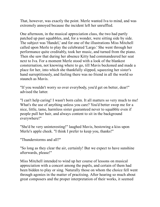That, however, was exactly the point. Merle wanted Iva to mind, and was extremely annoyed because the incident left her unruffled.

One afternoon, in the musical appreciation class, the two had partly patched up past squabbles, and, for a wonder, were sitting side by side. The subject was 'Handel,' and for one of the illustrations Miss Mitchell called upon Merle to play the celebrated 'Largo.' She went through her performance quite creditably, took her music, and turned from the piano. Then she saw that during her absence Kitty had commandeered her seat next to Iva. For a moment Merle stood with a look of the blankest consternation, not knowing where to go, till Mavis beckoned and made a place for her, into which she thankfully slipped, squeezing her sister's hand surreptitiously, and feeling there was no friend in all the world so staunch as Mavis.

"If you wouldn't worry so over everybody, you'd get on better, dear!" advised the latter.

"I can't help caring! I wasn't born calm. It all matters so very much to me! What's the use of anything unless you care? You'd better swop me for a nice, little, tame, harmless sister guaranteed never to squabble even if people pull her hair, and always content to sit in the background everywhere!"

"She'd be very uninteresting!" laughed Mavis, bestowing a kiss upon Merle's apple cheek. "I think I prefer to keep you, thanks!"

"Thunderstorms and all?"

"So long as they clear the air, certainly! But we expect to have sunshine afterwards, please!"

Miss Mitchell intended to wind up her course of lessons on musical appreciation with a concert among the pupils, and certain of them had been bidden to play or sing. Naturally those on whom the choice fell went through agonies in the matter of practising. After hearing so much about great composers and the proper interpretation of their works, it seemed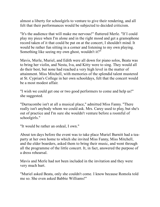almost a liberty for schoolgirls to venture to give their rendering, and all felt that their performances would be subjected to decided criticism.

"It's the audience that will make me nervous!" fluttered Merle. "If I could play my piece when I'm alone and in the right mood and get a gramophone record taken of it that could be put on at the concert, I shouldn't mind. It would be rather fun sitting in a corner and listening to my own playing. Something like seeing my own ghost, wouldn't it?"

Mavis, Merle, Muriel, and Edith were all down for piano solos, Beata was to bring her violin, and Nesta, Iva, and Kitty were to sing. They would all do their best, but none had reached a very high level in the matter of attainment. Miss Mitchell, with memories of the splendid talent mustered at St. Cyprian's College in her own schooldays, felt that the concert would be a most modest affair.

"I wish we could get one or two good performers to come and help us!" she suggested.

"Durracombe isn't at all a musical place," admitted Miss Fanny. "There really isn't anybody whom we could ask. Mrs. Carey used to play, but she's out of practice and I'm sure she wouldn't venture before a roomful of schoolgirls."

"It would be rather an ordeal, I own."

About ten days before the event was to take place Muriel Burnitt had a teaparty at her own home to which she invited Miss Fanny, Miss Mitchell, and the elder boarders, asked them to bring their music, and went through all the programme of the little concert. It, in fact, answered the purpose of a dress rehearsal.

Mavis and Merle had not been included in the invitation and they were very much hurt.

"Muriel asked Beata, only she couldn't come. I know because Romola told me so. She even asked Babbie Williams!"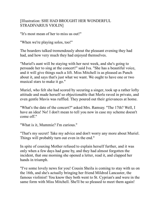## [Illustration: SHE HAD BROUGHT HER WONDERFUL STRADIVARIUS VIOLIN]

"It's most mean of her to miss us out!"

"When we're playing solos, too!"

The boarders talked tremendously about the pleasant evening they had had, and how very much they had enjoyed themselves.

"Muriel's aunt will be staying with her next week, and she's going to persuade her to sing at the concert!" said Iva. "She has a beautiful voice, and it will give things such a lift. Miss Mitchell is as pleased as Punch about it, and says that's just what we want. We ought to have one or two musical stars to make it go."

Muriel, who felt she had scored by securing a singer, took up a rather lofty attitude and made herself so objectionable that Merle raved in private, and even gentle Mavis was ruffled. They poured out their grievances at home.

"What's the date of the concert?" asked Mrs. Ramsay. "The 17th? Well, I have an idea! No! I don't mean to tell you now in case my scheme doesn't come off."

"What is it, Mummie? I'm curious."

"That's my secret! Take my advice and don't worry any more about Muriel. Things will probably turn out even in the end."

In spite of coaxing Mother refused to explain herself further, and it was only when a few days had gone by, and they had almost forgotten the incident, that one morning she opened a letter, read it, and clapped her hands in triumph.

"I've some lovely news for you! Cousin Sheila is coming to stay with us on the 16th, and she's actually bringing her friend Mildred Lancaster, the famous violinist! You know they both went to St. Cyprian's and were in the same form with Miss Mitchell. She'll be so pleased to meet them again!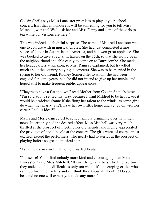Cousin Sheila says Miss Lancaster promises to play at your school concert. Isn't that an honour? It will be something for you to tell Miss Mitchell, won't it? We'll ask her and Miss Fanny and some of the girls to tea while our visitors are here!"

This was indeed a delightful surprise. The name of Mildred Lancaster was one to conjure with in musical circles. She had just completed a most successful tour in Australia and America, and had won great applause. She was booked to give a recital in Exeter on the 15th, so that she would be in the neighbourhood and able easily to come on to Durracombe. She made her headquarters at Kirkton, so Mrs. Ramsay explained, but travelled much about the country playing at concerts. She was to be married in the spring to her old friend, Rodney Somerville, to whom she had been engaged for some years, but she did not intend to give up her music, and hoped still to make frequent public appearances.

"They're to have a flat in town," read Mother from Cousin Sheila's letter. "I'm so glad it's settled that way, because I want Mildred to be happy, yet it would be a wicked shame if she flung her talent to the winds, as some girls do when they marry. She'll have her own little home and yet go on with her career. I call it ideal!"

Mavis and Merle danced off to school simply brimming over with their news. It certainly had the desired effect. Miss Mitchell was very much thrilled at the prospect of meeting her old friends, and highly appreciated the privilege of a violin solo at the concert. The girls were, of course, most excited, except the performers, who nearly had hysterics at the prospect of playing before so great a musical star.

"I shall leave my violin at home!" wailed Beata.

"Nonsense! You'll find nobody more kind and encouraging than Miss Lancaster," said Miss Mitchell. "It isn't the great artists who find fault they understand the difficulties only too well—it's the carping critics who can't perform themselves and yet think they know all about it! Do your best and no one will expect you to do any more!"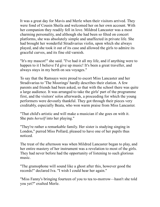It was a great day for Mavis and Merle when their visitors arrived. They were fond of Cousin Sheila and welcomed her on her own account. With her companion they readily fell in love. Mildred Lancaster was a most charming personality, and although she had been so fêted on concert platforms, she was absolutely simple and unaffected in private life. She had brought her wonderful Stradivarius violin, upon which she always played, and she took it out of its case and allowed the girls to admire its graceful curves, and its fine old varnish.

"It's my mascot!" she said. "I've had it all my life, and if anything were to happen to it I believe I'd give up music! It's been a great traveller, and always stays in my berth on sea voyages."

To say that the Ramsays were proud to escort Miss Lancaster and her Stradivarius to 'The Moorings' hardly describes their elation. A few parents and friends had been asked, so that with the school there was quite a large audience. It was arranged to take the girls' part of the programme first, and the visitors' solos afterwards, a proceeding for which the young performers were devoutly thankful. They got through their pieces very creditably, especially Beata, who won warm praise from Miss Lancaster.

"That child's artistic and will make a musician if she goes on with it. She puts *herself* into her playing."

"They're rather a remarkable family. Her sister is studying singing in London," purred Miss Pollard, pleased to have one of her pupils thus noticed.

The treat of the afternoon was when Mildred Lancaster began to play, and her entire mastery of her instrument was a revelation to most of the girls. They had never before had the opportunity of listening to such glorious music.

"The gramophone will sound like a ghost after this, however good the records!" declared Iva. "I wish I could hear her again."

"Miss Fanny's bringing fourteen of you to tea to-morrow—hasn't she told you yet?" exulted Merle.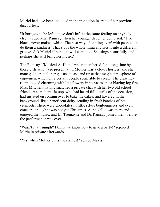Muriel had also been included in the invitation in spite of her previous discourtesy.

"It hurt *you* to be left out, so don't inflict the same feeling on anybody else!" urged Mrs. Ramsay when her younger daughter demurred. "Two blacks never make a white! The best way of 'getting even' with people is to do them a kindness. That stops the whole thing and sets it into a different groove. Ask Muriel if her aunt will come too. She sings beautifully, and perhaps she will bring her music."

The Ramsays' 'Musical At Home' was remembered for a long time by those girls who were present at it. Mother was a clever hostess, and she managed to put all her guests at ease and raise that magic atmosphere of enjoyment which only certain people seem able to create. The drawingroom looked charming with late flowers in its vases and a blazing log fire. Miss Mitchell, having snatched a private chat with her two old school friends, was radiant. Jessop, who had heard full details of the occasion, had insisted on coming over to bake the cakes, and hovered in the background like a beneficent deity, sending in fresh batches of hot crumpets. There were chocolates in little silver bonbonnières and even crackers, though it was not yet Christmas. Aunt Nellie was there and enjoyed the music, and Dr. Tremayne and Dr. Ramsay joined them before the performance was over.

"Wasn't it a triumph? I think we know how to give a party!" rejoiced Merle in private afterwards.

"Yes, when Mother pulls the strings!" agreed Mavis.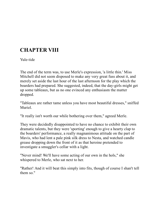# **CHAPTER VIII**

Yule-tide

The end of the term was, to use Merle's expression, 'a little thin.' Miss Mitchell did not seem disposed to make any very great fuss about it, and merely set aside the last hour of the last afternoon for the play which the boarders had prepared. She suggested, indeed, that the day-girls might get up some tableaux, but as no one evinced any enthusiasm the matter dropped.

"Tableaux are rather tame unless you have most beautiful dresses," sniffed Muriel.

"It really isn't worth our while bothering over them," agreed Merle.

They were decidedly disappointed to have no chance to exhibit their own dramatic talents, but they were 'sporting' enough to give a hearty clap to the boarders' performance, a really magnanimous attitude on the part of Mavis, who had lent a pale pink silk dress to Nesta, and watched candle grease dropping down the front of it as that heroine pretended to investigate a smuggler's cellar with a light.

"Never mind! We'll have some acting of our own in the hols," she whispered to Merle, who sat next to her.

"Rather! And it will beat this simply into fits, though of course I shan't tell them so."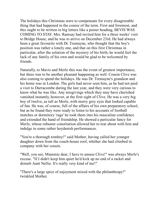The holidays this Christmas were to compensate for every disagreeable thing that had happened in the course of the term. First and foremost, and this ought to be written in big letters like a poster heading, BEVIS WAS COMING TO STAY. Mrs. Ramsay had invited him for a three weeks' visit to Bridge House, and he was to arrive on December 23rd. He had always been a great favourite with Dr. Tremayne, who thought that the boy's position was rather a lonely one, and that on this first Christmas in particular, after the solution of the mystery of his birth, he would feel the lack of any family of his own and would be glad to be welcomed by friends.

Naturally, to Mavis and Merle this was the event of greatest importance, but there was to be another pleasant happening as well. Cousin Clive was also coming to spend the holidays. He was Dr. Tremayne's grandson and his home was in London. The girls had never seen him, as he had not paid a visit to Durracombe during the last year, and they were very curious to know what he was like. Any misgivings which they may have cherished vanished instantly, however, at the first sight of Clive. He was a very big boy of twelve, as tall as Merle, with merry grey eyes that looked capable of fun. He was, of course, full of the affairs of his own preparatory school, but as he found they were ready to listen to his accounts of football matches or dormitory 'rags' he took them into his masculine confidence and extended the hand of friendship. He showed a particular fancy for Merle, whose robuster constitution allowed her to tear about with him and indulge in some rather hoydenish performances.

"You're a thorough tomboy!" said Mother, having called her younger daughter down from the coach-house roof, whither she had climbed in company with her cousin.

"Well, you see, Mummie dear, I have to amuse Clive!" was always Merle's excuse. "If I didn't keep him quiet he'd kick up no end of a racket and disturb Aunt Nellie. It's really very kind of me!"

"There's a large spice of enjoyment mixed with the philanthropy!" twinkled Mother.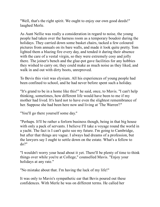"Well, that's the right spirit. We ought to enjoy our own good deeds!" laughed Merle.

As Aunt Nellie was really a consideration in regard to noise, the young people had taken over the harness room as a temporary boudoir during the holidays. They carried down some basket chairs, tacked a few coloured pictures from annuals on its bare walls, and made it look quite pretty. Tom lighted them a blazing fire every day, and tended it during their absence with the care of a vestal virgin, so they were extremely cosy and jolly there. The joiner's bench and the glue-pot gave facilities for any hobbies they wished to carry on; they could make as much noise as they liked, and walk in and out with dirty boots, unreproved.

To Bevis this visit was elysium. All his experiences of young people had been confined to school, and he had never before spent such a holiday.

"It's grand to be in a home like this!" he said, once, to Mavis. "I can't help thinking, sometimes, how different life would have been to me if my mother had lived. It's hard not to have even the slightest remembrance of her. Suppose she had been here now and living at 'The Warren'!"

"You'll go there yourself some day."

"Perhaps. It'll be rather a forlorn business though, being in that big house with only a pack of servants. I believe I'll take a voyage round the world in a yacht. The fact is I can't quite see my future. I'm going to Cambridge, but after that things are vague. I always had dreams of a profession, but the lawyers say I ought to settle down on the estate. What's a fellow to do?"

"I wouldn't worry your head about it yet. There'll be plenty of time to think things over while you're at College," counselled Mavis. "Enjoy your holidays at any rate."

"No mistake about that. I'm having the luck of my life!"

It was only to Mavis's sympathetic ear that Bevis poured out these confidences. With Merle he was on different terms. He called her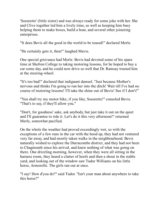'Soeurette' (little sister) and was always ready for some joke with her. She and Clive together led him a lively time, as well as keeping him busy helping them to make boxes, build a boat, and several other joinering enterprises.

"It does Bevis all the good in the world to be teased!" declared Merle.

"He certainly gets it, then!" laughed Mavis.

One special grievance had Merle. Bevis had devoted some of his spare time at Shelton College to taking motoring lessons, for he hoped to buy a car some day, and he could now drive so well that Dr. Ramsay trusted him at the steering-wheel.

"It's too bad!" declared that indignant damsel. "Just because Mother's nervous and thinks I'm going to run her into the ditch! Wait till I've had *my* course of motoring lessons! I'll take the shine out of Bevis! See if I don't!"

"You shall try my motor bike, if you like, Soeurette!" consoled Bevis. "That's to say, if they'll allow you."

"Don't, for goodness' sake, ask anybody, but just take it out on the quiet and I'll guarantee to ride it. Let's do it this very afternoon!" returned Merle, somewhat pacified.

On the whole the weather had proved exceedingly wet, so with the exceptions of a few runs in the car with the hood up, they had not ventured very far away, and had mostly taken walks in the neighbourhood. Bevis naturally wished to explore the Durracombe district, and they had not been to Chagmouth since his arrival, and knew nothing of what was going on there. One drizzling morning, however, when they were all sitting in the harness room, they heard a clatter of hoofs and then a shout in the stable yard, and looking out of the window saw Tudor Williams on his little horse, Armorelle. The girls ran out at once.

"I say! How d'you do?" said Tudor. "Isn't your man about anywhere to take this horse?"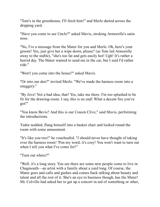"Tom's in the greenhouse, I'll fetch him!" and Merle darted across the dripping yard.

"Have you come to see Uncle?" asked Mavis, stroking Armorelle's satin nose.

"No, I've a message from the Mater for you and Merle. Oh, here's your groom! Yes, just give her a wipe down, please" (as Tom led Armorelle away to the stable), "she's too fat and gets easily hot! Ugh! It's rather a horrid day. The Mater wanted to send me in the car, but I said I'd rather ride."

"Won't you come into the house?" asked Mavis.

"Or into our den?" invited Merle. "We've made the harness room into a snuggery."

"By Jove! Not a bad idea, that! Yes, take me there. I'm too splashed to be fit for the drawing-room. I say, this is no end! What a decent fire you've got!"

"You know Bevis? And this is our Cousin Clive," said Mavis, performing the introductions.

Tudor nodded, flung himself into a basket chair and looked round the room with some amusement.

"It's like you two!" he vouchsafed. "*I* should never have thought of taking over the harness room! 'Pon my word, it's cosy! You won't want to turn out when I tell you what I've come for!"

"Turn out where?"

"Well, it's a long story. You see there are some new people come to live in Chagmouth—an artist with a family about a yard long. Of course, the Mater goes and calls and gushes and comes back talking about beauty and talent and all the rest of it. She's an eye to business though, has the Mater! Mr. Colville had asked her to get up a concert in aid of something or other,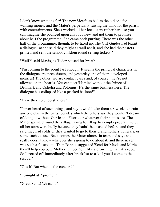I don't know what it's for! The new Vicar's as bad as the old one for wanting money, and the Mater's perpetually raising the wind for the parish with entertainments. She's worked all her local stars rather hard, so you can imagine she pounced upon anybody new, and got them to promise about half the programme. She came back purring. There was the other half of the programme, though, to be fixed up. The Girl Guides had learnt a dialogue, so she said they might as well act it, and she had the posters printed and sent the school children round selling tickets."

"Well?" said Mavis, as Tudor paused for breath.

"I'm coming to the point fast enough! It seems the principal characters in the dialogue are three sisters, and yesterday one of them developed measles! The other two are contact cases and, of course, they're not allowed on the boards. You can't act 'Hamlet' without the Prince of Denmark and Ophelia and Polonius! It's the same business here. The dialogue has collapsed like a pricked balloon!"

"Have they no understudies?"

"Never heard of such things, and say it would take them six weeks to train any one else in the parts, besides which the others say they wouldn't dream of doing it without Gertie and Florrie or whatever their names are. The Mater sprinted round the village trying to fill up her empty programme but all her stars were huffy because they hadn't been asked before, and they said they had colds or they wanted to go to their grandmothers' funerals, or some such excuse. Back comes the Mater almost in tears and says she really doesn't know whatever she's going to do about it, and there never was such a fiasco, etc. Then Babbie suggested 'Send for Mavis and Merle, they'll help you out.' Mother jumped to it like a drowning man at a rope. So I trotted off immediately after breakfast to ask if you'll come to the rescue."

"O-o-h! But when is the concert?"

"To-night at 7 prompt."

"Great Scott! We can't!"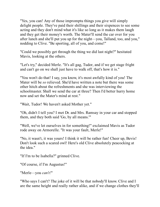"Yes, you can! Any of those impromptu things you give will simply delight people. They've paid their shillings and their sixpences to see some acting and they don't mind what it's like so long as it makes them laugh and they get their money's worth. The Mater'll send the car over for you after lunch and she'll put you up for the night—you, Talland, too, and you," nodding to Clive. "Be sporting, all of you, and come!"

"Could we possibly get through the thing we did last night?" hesitated Mavis, looking at the others.

"Let's try," decided Merle. "It's all gag, Tudor, and if we get stage fright and can't go on we shall just have to walk off, that's how it is."

"You won't do that! I say, you know, it's most awfully kind of you! The Mater will be *so* relieved. She'd have written a note but there was some other hitch about the refreshments and she was interviewing the schoolmaster. Shall we send the car at three? Then I'd better hurry home now and set the Mater's mind at rest."

"Wait, Tudor! We haven't asked Mother yet."

"Oh, didn't I tell you? I met Dr. and Mrs. Ramsay in your car and stopped them, and they both said 'Go, by all means.'"

"Well, we've let ourselves in for something!" exclaimed Mavis as Tudor rode away on Armorelle. "It was your fault, Merle!"

"No, it wasn't, it was yours! I think it will be rather fun! Cheer up, Bevis! Don't look such a scared owl! Here's old Clive absolutely peacocking at the idea."

"If I'm to be Isabella?" grinned Clive.

"Of course, if I'm Augustus!"

"Merle—you *can't!*"

"Who says I can't? The joke of it will be that nobody'll know. Clive and I are the same height and really rather alike, and if we change clothes they'll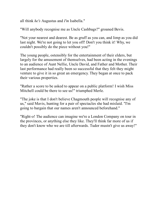all think *he's* Augustus and *I'm* Isabella."

"Will anybody recognise me as Uncle Cashbags?" groaned Bevis.

"Not your nearest and dearest. Be as gruff as you can, and limp as you did last night. We're not going to let you off! Don't you think it! Why, we couldn't possibly do the piece without you!"

The young people, ostensibly for the entertainment of their elders, but largely for the amusement of themselves, had been acting in the evenings to an audience of Aunt Nellie, Uncle David, and Father and Mother. Their last performance had really been so successful that they felt they might venture to give it in so great an emergency. They began at once to pack their various properties.

"Rather a score to be asked to appear on a public platform! I wish Miss Mitchell could be there to see us!" triumphed Merle.

"The joke is that I don't believe Chagmouth people will recognise any of us," said Mavis, hunting for a pair of spectacles she had mislaid. "I'm going to bargain that our names aren't announced beforehand."

"Right-o! The audience can imagine we're a London Company on tour in the provinces, or anything else they like. They'll think far more of us if they don't know who we are till afterwards. Tudor mustn't give us away!"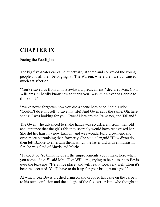# **CHAPTER IX**

Facing the Footlights

The big five-seater car came punctually at three and conveyed the young people and all their belongings to The Warren, where their arrival caused much satisfaction.

"You've saved us from a most awkward predicament," declared Mrs. Glyn Williams. "I hardly know how to thank you. Wasn't it clever of Babbie to think of it?"

"We've never forgotten how you did a scene here once!" said Tudor. "Couldn't do it myself to save my life! And Gwen says the same. Oh, here she is! I was looking for you, Gwen! Here are the Ramsays, and Talland."

The Gwen who advanced to shake hands was so different from their old acquaintance that the girls felt they scarcely would have recognised her. She did her hair in a new fashion, and was wonderfully grown-up, and even more patronising than formerly. She said a languid "How d'you do," then left Babbie to entertain them, which the latter did with enthusiasm, for she was fond of Mavis and Merle.

"I expect you're thinking of all the improvements you'll make here when you come of age?" said Mrs. Glyn Williams, trying to be pleasant to Bevis over the tea-cups. "It's a nice place, and will really look very well when it's been redecorated. You'll have to do it up for your bride, won't you?"

At which joke Bevis blushed crimson and dropped his cake on the carpet, to his own confusion and the delight of the fox-terrier Jim, who thought it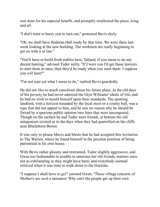was done for his especial benefit, and promptly swallowed the piece, icing and all.

"I don't want to hurry you to turn out," protested Bevis shyly.

"Oh, we shall have Bodoran Hall ready by that time. We were there last week looking at the new building. The workmen are really beginning to get on with it at last."

"You'll have to build fresh stables here, Talland, if you mean to do any decent hunting," advised Tudor airily. "If I were you I'd get those lawyers to start them at once, then they'd be ready when you want them. I suppose you *will* hunt?"

"I'm not sure yet what I mean to do," replied Bevis guardedly.

He did not like so much catechism about his future plans. In the old days of his poverty he had never admired the Glyn Williams' ideals of life, and he had no wish to mould himself upon their standards. The sporting landlord, with a horizon bounded by the local meet or a county ball, was a type that did not appeal to him, and he saw no reason why he should be forced by a spurious public opinion into lines that were uncongenial. Though on the surface he and Tudor were friends, at bottom the old antagonism existed as in the days when they had quarrelled on the cliffs near Blackthorn Bower.

It was only to please Mavis and Merle that he had accepted this invitation to The Warren, where he found himself in the peculiar position of being patronised in his own house.

With Bevis rather gloomy and restrained, Tudor slightly aggressive, and Gwen too fashionable to trouble to entertain her old friends, matters were not as exhilarating as they might have been, and everybody seemed relieved when it was time to walk down to the Institute.

"I suppose I shall have to go!" yawned Gwen. "These village concerts of Mother's are *such* a nuisance! Why can't the people get up their own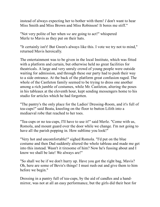instead of always expecting her to bother with them! *I* don't want to hear Miss Smith and Miss Brown and Miss Robinson! It bores me stiff."

"Not very polite of her when *we* are going to act!" whispered Merle to Mavis as they put on their hats.

"It certainly isn't! But Gwen's always like this. I vote we try not to mind," returned Mavis heroically.

The entertainment was to be given in the local Institute, which was fitted with a platform and curtain, but otherwise held no great facilities for theatricals. A large and very unruly crowd of young people were outside waiting for admission, and through these our party had to push their way to a side entrance. At the back of the platform great confusion raged. The whole of the Castleton family seemed to be trying to dress one another among a rich jumble of costumes, while Mr. Castleton, altering the poses in his tableaux at the eleventh hour, kept sending messengers home to his studio for articles which he had forgotten.

"The pantry's the only place for the Ladies' Dressing-Room, and it's full of tea-cups!" said Beata, kneeling on the floor to button Lilith into a mediaeval robe that reached to her toes.

"Tea-cups or no tea-cups, I'll have to use it!" said Merle. "Come with us, Romola, and mount guard over the door while we change. I'm not going to have all the parish popping in. How sublime you look!"

"Very hot and uncomfortable!" sighed Romola. "I'd put on the blue costume and then Dad suddenly altered the whole tableau and made me get into this instead. Wasn't it tiresome of him? Now he's fussing about and I know we shall be late! We always are!"

"So shall we be if we don't hurry up. Have you got the right bag, Mavis? Oh, here are some of Bevis's things! I must rush out and give them to him before we begin."

Dressing in a pantry full of tea-cups, by the aid of candles and a handmirror, was not at all an easy performance, but the girls did their best for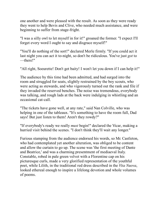one another and were pleased with the result. As soon as they were ready they went to help Bevis and Clive, who needed much assistance, and were beginning to suffer from stage-fright.

"I was a silly owl to let myself in for it!" groaned the former. "I expect I'll forget every word I ought to say and disgrace myself!"

"You'll do nothing of the sort!" declared Merle firmly. "If you could act it last night you can act it to-night, so don't be ridiculous. You've just *got* to —there!"

"All right, Soeurette! Don't get baity! I won't let you down if I can help it!"

The audience by this time had been admitted, and had surged into the room and struggled for seats, slightly restrained by the boy scouts, who were acting as stewards, and who vigorously turned out the rank and file if they invaded the reserved benches. The noise was tremendous, everybody was talking, and rough lads at the back were indulging in whistling and an occasional cat-call.

"The tickets have gone well, at any rate," said Nan Colville, who was helping in one of the tableaux. "It's something to have the room full, Dad says! But just listen to them! Aren't they rowdy?"

"If everybody's ready we really *must* begin!" declared the Vicar, making a hurried visit behind the scenes. "I don't think they'll wait any longer."

Furious stamping from the audience endorsed his words, so Mr. Castleton, who had contemplated yet another alteration, was obliged to be content and allow the curtain to go up. The scene was 'the first meeting of Dante and Beatrice,' and was a charming presentment of mediaeval Italy. Constable, robed in pale green velvet with a Florentine cap on his picturesque curls, made a very glorified representation of the youthful poet, while Lilith, in the traditional red dress described in the *Vita Nuova*, looked ethereal enough to inspire a lifelong devotion and whole volumes of poems.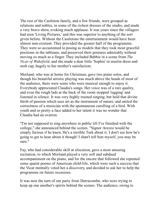The rest of the Castleton family, and a few friends, were grouped as relations and nobles, in some of the richest dresses of the studio, and made a very brave show, evoking much applause. It was years since the villagers had seen 'Living Pictures,' and this was superior to anything of the sort given before. Without the Castletons the entertainment would have been almost non-existent. They provided the greater half of the programme. They were so accustomed to posing as models that they took most graceful positions in the tableaux, and preserved their postures admirably without moving so much as a finger. They included Babbie in a scene from *The Vicar of Wakefield*, and she made a dear little 'Sophia' in muslin dress and mob cap, hugely to her mother's satisfaction.

Morland, who was at home for Christmas, gave two piano solos, and though his beautiful artistic playing was much above the heads of most of the audience, there were some who were musical enough to enjoy it. Everybody appreciated Claudia's songs. Her voice was of a rare quality, and even the rough lads at the back of the room stopped 'ragging' and listened in silence. It was very highly trained singing, but held that divine throb of passion which uses art as the instrument of nature, and united the correctness of a musician with the spontaneous carolling of a bird. With youth and so pretty a face added to her talent it was no wonder that Claudia had an ovation.

"I'm not supposed to sing anywhere in public till I've finished with the college," she announced behind the scenes. "Signor Arezzo would be simply furious if he knew. He's a terrible Turk about it. I don't see how he's going to get to hear about it though! I shan't tell him myself, you may be sure."

Fay, who had considerable skill at elocution, gave a most amusing recitation, to which Morland played a very soft and subdued accompaniment on the piano, and for the encore that followed she repeated some quaint poems of American child-life, which were such a success that the Vicar mentally voted her a discovery, and decided to ask her to help the programme on future occasions.

It was now the turn of our party from Durracombe, who were trying to keep up one another's spirits behind the scenes. The audience, owing to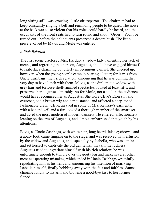long sitting still, was growing a little obstreperous. The chairman had to keep constantly ringing a bell and reminding people to be quiet. The noise at the back waxed so violent that his voice could hardly be heard, and the occupants of the front seats had to turn round and shout, 'Order!' 'You'll be turned out!' before the delinquents preserved a decent hush. The little piece evolved by Mavis and Merle was entitled:

## *A Rich Relation.*

The first scene disclosed Mrs. Hardup, a widow lady, lamenting her lack of means, and regretting that her son, Augustus, should have engaged himself to Isabella, a charming but utterly impecunious damsel. She cheered up, however, when the young people came in bearing a letter; for it was from Uncle Cashbags, their rich relation, announcing that he was coming that very day to have lunch with them. Mavis, as the diplomatic widow, with grey hair and tortoise-shell-rimmed spectacles, looked at least fifty, and preserved her disguise admirably. As for Merle, not a soul in the audience would have recognised her as Augustus. She wore Clive's Eton suit and overcoat, had a brown wig and a moustache, and affected a deep-toned fashionable drawl. Clive, arrayed in some of Mrs. Ramsay's garments, with a hat and veil and a fur, looked a thorough member of the smart set and acted the most modern of modern damsels. He entered, affectionately leaning on the arm of Augustus, and almost embarrassed that youth by his attentions.

Bevis, as Uncle Cashbags, with white hair, long beard, false eyebrows, and a gouty foot, came limping on to the stage, and was received with effusion by the widow and Augustus, and especially by Isabella, who was a minx, and set herself to captivate the old gentleman. In vain the luckless Augustus tried to ingratiate himself with his rich relation; he was unfortunate enough to tumble over the gouty leg and make several other most exasperating mistakes, which ended in Uncle Cashbags wrathfully repudiating him as his heir, and announcing his intention of marrying Isabella himself, finally hobbling away with the fair and faithless damsel clinging fondly to his arm and blowing a good-bye kiss to her former fiancé.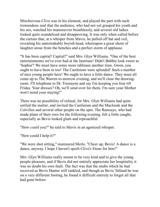Mischievous Clive was in his element, and played the part with such tremendous zeal that the audience, who had not yet grasped his youth and his sex, watched his manoeuvres breathlessly, and several old ladies looked quite scandalised and disapproving. It was only when called before the curtain that, at a whisper from Mavis, he pulled off hat and veil, revealing his unmistakably boyish head, whereupon a great shout of laughter arose from the benches and a perfect storm of applause.

"It has been capital! Capital!" said Mrs. Glyn Williams. "One of the best entertainments we've ever had at the Institute! Didn't Babbie look sweet as 'Sophia'? We must have some more tableaux another time. Gwen, you ought to have been in too! The Castletons were splendid! Such a number of nice young people here! We ought to have a little dance. They must all come up to The Warren to-morrow evening, and we'll clear the drawingroom. I'll telephone to Dr. Tremayne and say I'm keeping you four till Friday. Your dresses? Oh, we'll send over for them. I'm sure your Mother won't mind your staying!"

There was no possibility of refusal, for Mrs. Glyn Williams had quite settled the matter, and invited the Castletons and the Macleods and the Colvilles and several other people on the spot. The Ramsays, who had made plans of their own for the following evening, felt a little caught, especially as Bevis looked glum and reproachful.

"How *could* you?" he said to Mavis in an agonized whisper.

"How could I help it?"

"We were shot sitting," murmured Merle. "Cheer up, Bevis! A dance is a dance, anyway. I hope I haven't spoilt Clive's Etons for him!"

Mrs. Glyn Williams really meant to be very kind and to give the young people pleasure, and if Bevis did not entirely appreciate her hospitality it was no doubt his own fault. The fact was that the snubs which he had received as Bevis Hunter still rankled, and though as Bevis Talland he was on a very different footing, he found it difficult entirely to forget all that had gone before.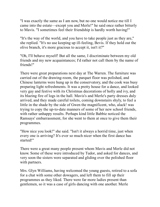"I was exactly the same as I am now, but no one would notice me till I came into the estate—except you and Merle!" he said once rather bitterly to Mavis. "I sometimes feel their friendship is hardly worth having!"

"It's the way of the world, and you have to take people just as they are," she replied. "It's no use keeping up ill-feeling, Bevis. If they hold out the olive branch, it's more gracious to accept it, isn't it?"

"Oh, I'll behave myself! But all the same, I discriminate between my old friends and my new acquaintances; I'd rather not call them by the name of friends!"

There were great preparations next day at The Warren. The furniture was carried out of the drawing-room, the parquet floor was polished, and Chinese lanterns were hung up in the conservatory, and the cook was busy preparing light refreshments. It was a pretty house for a dance, and looked very gay and festive with its Christmas decorations of holly and ivy, and its blazing fire of logs in the hall. Mavis's and Merle's party dresses duly arrived, and they made careful toilets, coming downstairs shyly, to feel a little in the shade by the side of Gwen the magnificent, who, alack! was trying to copy the up-to-date manners of some of her new school friends, with rather unhappy results. Perhaps kind little Babbie noticed the Ramsays' embarrassment, for she went to them at once to give them their programmes.

"How nice you look!" she said. "Isn't it always a horrid time, just when every one is arriving? It's ever so much nicer when the first dance has started!"

There were a great many people present whom Mavis and Merle did not know. Some of these were introduced by Tudor, and asked for dances, and very soon the sisters were separated and gliding over the polished floor with partners.

Mrs. Glyn Williams, having welcomed the young guests, retired to a sofa for a chat with some other dowagers, and left them to fill up their programmes as they liked. There were far more ladies present than gentlemen, so it was a case of girls dancing with one another. Merle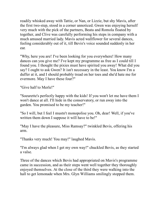readily whisked away with Tattie, or Nan, or Lizzie, but shy Mavis, after the first two-step, stood in a corner unnoticed. Gwen was enjoying herself very much with the pick of the partners, Beata and Romola floated by together, and Clive was carefully performing his steps in company with a much amused married lady. Mavis acted wallflower for several dances, feeling considerably out of it, till Bevis's voice sounded suddenly in her ear.

"Why, here you are! I've been looking for you everywhere! How many dances can you give me? I've kept my programme as free as I could till I found you. I thought the pixies must have spirited you away! What did you say? I ought to ask Gwen? It isn't necessary in the least. You know I'm a duffer at it, and I should probably tread on her toes and she'd hate me for evermore. May I have these four?"

"Give half to Merle!"

"Soeurette's perfectly happy with the kids! If you won't let me have them I won't dance at all. I'll hide in the conservatory, or run away into the garden. You promised to be my teacher!"

"So I will, but I feel I mustn't monopolise you. Oh, dear! Well, if you've written them down I suppose it will have to be!"

"May I have the pleasure, Miss Ramsay?" twinkled Bevis, offering his arm.

"Thanks very much! You may!" laughed Mavis.

"I'm always glad when I get my own way!" chuckled Bevis, as they started a valse.

Three of the dances which Bevis had appropriated on Mavis's programme came in succession, and as their steps went well together they thoroughly enjoyed themselves. At the close of the third they were walking into the hall to get lemonade when Mrs. Glyn Williams smilingly stopped them.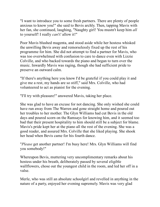"I want to introduce you to some fresh partners. There are plenty of people anxious to know you!" she said to Bevis archly. Then, tapping Mavis with her fan, she continued, laughing, "Naughty girl! You mustn't keep him *all* to yourself! I really *can't!* allow it!"

Poor Mavis blushed magenta, and stood aside while her hostess whisked the unwilling Bevis away and remorselessly fixed up the rest of his programme for him. She did not attempt to find a partner for Mavis, who was too overwhelmed with confusion to care to dance even with Lizzie Colville, and who backed towards the piano and began to turn over the music. Inwardly Mavis was raging, though she had sufficient pride to preserve an outward calm.

"If there's anything here you know I'd be grateful if you could play it and give me a rest, my hands are so stiff," said Mrs. Colville, who had volunteered to act as pianist for the evening.

"I'll try with pleasure!" answered Mavis, taking her place.

She was glad to have an excuse for not dancing. She only wished she could have run away from The Warren and gone straight home and poured out her troubles to her mother. The Glyn Williams had cut Bevis in the old days and poured scorn on the Ramsays for knowing him, and it seemed too bad that their present hospitality to him should still be a subject for blame. Mavis's pride kept her at the piano all the rest of the evening. She was a good reader, and assured Mrs. Colville that she liked playing. She shook her head when Bevis came for his fourth dance.

"*Please* get another partner! I'm busy here! Mrs. Glyn Williams will find you somebody!"

Whereupon Bevis, muttering very uncomplimentary remarks about his hostess under his breath, deliberately passed by several eligible wallflowers, chose out the youngest child in the room, and led her off in a valse.

Merle, who was still an absolute schoolgirl and revelled in anything in the nature of a party, enjoyed her evening supremely. Mavis was very glad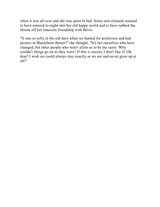when it was all over and she was quiet in bed. Some new element seemed to have entered to-night into her old happy world and to have rubbed the bloom off her innocent friendship with Bevis.

"It was so jolly in the old days when we hunted for primroses and had picnics in Blackthorn Bower!" she thought. "It's not ourselves who have changed, but other people who won't allow us to be the same. Why couldn't things go on as they were? If this is society I don't like it! Oh, dear! I wish we could always stay exactly as we are and never grow up at all!"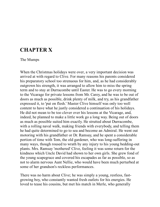## **CHAPTER X**

#### The Mumps

When the Christmas holidays were over, a very important decision was arrived at with regard to Clive. For many reasons his parents considered his preparatory school too strenuous for him, and, as he had considerably outgrown his strength, it was arranged to allow him to miss the spring term and to stay at Durracombe until Easter. He was to go every morning to the Vicarage for private lessons from Mr. Carey, and he was to be out of doors as much as possible, drink plenty of milk, and try, as his grandfather expressed it, to 'put on flesh.' Master Clive himself was only too well content to have what he justly considered a continuation of his holidays. He did not mean to be too clever over his lessons at the Vicarage, and, indeed, he planned to make a little work go a long way. Being out of doors as much as possible suited him exactly. He strutted about Durracombe, with a rolling naval walk, making friends with everybody, and telling them he had quite determined to go to sea and become an Admiral. He went out motoring with his grandfather or Dr. Ramsay, and he spent a considerable portion of time with Tom, the old gardener, who was long-suffering in many ways, though roused to wrath by any injury to his young bedding-out plants. Mrs. Ramsay 'mothered' Clive, feeling it was some return for the kindness which Uncle David had shown to her own girls. She grew fond of the young scapegrace and covered his escapades as far as possible, so as not to alarm nervous Aunt Nellie, who would have been much perturbed at some of her grandson's reckless performances.

There was no harm about Clive; he was simply a young, restless, fastgrowing boy, who constantly wanted fresh outlets for his energies. He loved to tease his cousins, but met his match in Merle, who generally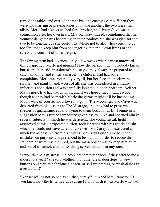turned the tables and carried the war into the enemy's camp. When they were not sparring or playing jokes upon one another, the two were firm allies. Merle had always wished for a brother, and lively Clive was a companion after her own heart. Mrs. Ramsay, indeed, complained that her younger daughter was becoming an utter tomboy, but she was glad for the two to be together, as she could trust Merle not to allow her cousin to go too far, and to keep him from endangering either his own limbs or the safety and comfort of other people.

The Spring term had advanced only a few weeks when a most untoward thing happened. Merle got mumps! How she picked them up nobody knew, but, as mother said, in a doctor's house you may always be prepared to catch anything, and it was a marvel the children had had so few complaints. Merle was not really very ill, but her face and neck were swollen and painful, and, worst of all, she was considered in a highly infectious condition and was carefully isolated in a top bedroom. Neither Mavis nor Clive had had mumps, and it was hoped they might escape, though as they had been with Merle the germs might still be incubating. Mavis was, of course, not allowed to go to 'The Moorings,' and Clive was debarred from his lessons at The Vicarage, and they had to preserve a species of quarantine, equally trying to them both, for at Dr. Tremayne's suggestion Mavis turned temporary governess to Clive and coached him in several subjects in which he was deficient. The young rascal, highly aggrieved at this unexpected tuition, took liberties with his gentle cousin which he would not have dared to take with Mr. Carey, and extracted as much fun as possible from his studies. Mavis was quite sure he made mistakes on purpose, and pretended to be stupid in order to reduce the standard of what was required, but the main object was to keep him quiet and out of mischief, and her teaching served that end at any rate.

"I wouldn't be a mistress in a boys' preparatory school if they offered me a thousand a year!" she told Mother. "I'd rather clean doorsteps, or sew buttons on shirts at a farthing a dozen, or sell watercress, or wash dishes in a restaurant!"

"Nonsense! It's not so bad as all that, surely!" laughed Mrs. Ramsay. "If you knew how the little wretch rags me! I only wish it was Merle who had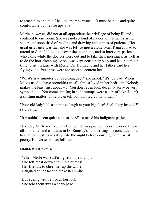to teach him and that I had the mumps instead. It must be nice and quite comfortable by the fire upstairs!"

Merle, however, did not at all appreciate the privilege of being ill and confined to one room. She was not so fond of indoor amusements as her sister, and soon tired of reading and drawing and games of patience. Her great grievance was that she was left so much alone. Mrs. Ramsay had to attend to Aunt Nellie, to answer the telephone, and to interview patients who came while the doctors were out and to take their messages, as well as to do the housekeeping, so she was kept constantly busy and had not much time to sit upstairs with Merle. Dr. Tremayne and her father paid her flying visits, but these were too short to content her.

"What's five minutes out of a long day?" she asked. "It's too bad! When Mavis used to have bronchitis we all almost lived in her bedroom. Nobody makes the least fuss about *me*! You don't even look decently sorry or very sympathetic! You come smiling in as if mumps were a sort of joke. It isn't a smiling matter to me, I can tell you. I'm fed up with them!"

"Poor old lady! It's a shame to laugh at your big face! Shall I cry instead?" said Father.

"It wouldn't seem quite so heartless!" retorted his indignant patient.

Next day Merle received a letter, which was pushed under the door. It was all in rhyme, and as it was in Dr. Ramsay's handwriting she concluded that her father must have sat up late the night before courting the muse of poetry. His verses ran as follows:

#### **MERLE WITH MUMPS**

 When Merle was suffering from the mumps She felt most down and in the dumps; Her friends, to cheer her up the while, Laughed at her face to make her smile.

 But eyeing with reproach her folk She told them 'twas a sorry joke.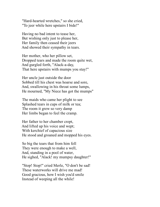"Hard-hearted wretches," so she cried, "To jeer while here upstairs I bide!"

 Having no bad intent to tease her, But wishing only just to please her, Her family then ceased their jeers And showed their sympathy in tears.

 Her mother, who her pillow set, Dropped tears and made the room quite wet, And gurgled forth, "Alack-a-day, That here upstairs with mumps you stay!"

 Her uncle just outside the door Sobbed till his chest was hoarse and sore, And, swallowing in his throat some lumps, He mourned, "My Niece has got the mumps"

 The maids who came her plight to see Splashed tears in cups of milk or tea; The room it grew so very damp Her limbs began to feel the cramp.

 Her father to her chamber crept, And lifted up his voice and wept; With kerchief of capacious size He stood and groaned and mopped his eyes.

 So big the tears that from him fell They were enough to make a well, And, standing in a pool of water, He sighed, "Alack! my mumpsy daughter!"

 "Stop! Stop!" cried Merle, "O don't be sad! These waterworks will drive me mad! Good gracious, how I wish you'd smile Instead of weeping all the while!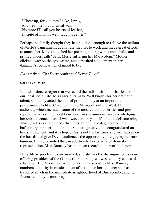"Cheer up, for goodness' sake, I pray, And treat me in your usual way. No more I'll call you hearts of leather, In spite of mumps we'll laugh together!"

Perhaps the family thought they had not done enough to relieve the tedium of Merle's banishment; at any rate they set to work and made great efforts to amuse her. Mavis sketched her portrait, adding wings and a halo, and printed underneath "Saint Merle suffering her Martyrdom." Mother clicked away on the typewriter, and deposited a document in her daughter's room, which claimed to be:

### *Extract from "The Durracombe and Devon Times"*

#### **SOCIETY GOSSIP**

It is with sincere regret that we record the indisposition of that leader of our local social life, Miss Merle Ramsay. Well known for her dramatic talent, she lately acted the part of principal boy at an important performance held in Chagmouth, the Metropolis of the West. Her audience, which included some of the most celebrated critics and press representatives of the neighbourhood, was unanimous in acknowledging her spirited conception of what was certainly a difficult and delicate role, which, in less skilled hands than hers, might have degenerated into buffoonery or sheer melodrama. She was greatly to be congratulated on her achievement, and it is hoped this is not the last time she will appear on the boards and give Devon audiences the opportunity of enjoying her rare humour. It may be noted that, in addition to her powers of dramatic representation, Miss Ramsay has no mean record in the world of sport.

Her athletic proclivities are marked, and she has the distinguished honour of being president of the Games Club at that great west country centre of education 'The Moorings.' Among her many activities Miss Ramsay numbers a facility in music and an affection for horticulture; she has travelled much in the immediate neighbourhood of Durracombe, and her favourite hobby is motoring.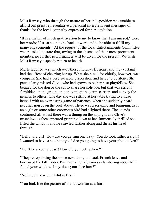Miss Ramsay, who through the nature of her indisposition was unable to afford our press representative a personal interview, sent messages of thanks for the local sympathy expressed for her condition.

"It is a matter of much gratification to me to know that I am missed," were her words; "I trust soon to be back at work and to be able to fulfil my many engagements." At the request of the local Entertainments Committee we are asked to state that, owing to the absence of their most prominent member, no further performances will be given for the present. We wish Miss Ramsay a speedy return to health.

Merle laughed very much over these literary effusions, and they certainly had the effect of cheering her up. What she pined for chiefly, however, was company. She had a very sociable disposition and hated to be alone. She particularly missed Clive, who had grown to be her best playfellow. She begged for the dog or the cat to share her solitude, but that was strictly forbidden on the ground that they might be germ-carriers and convey the mumps to others. One day she was sitting at her table trying to amuse herself with an everlasting game of patience, when she suddenly heard peculiar noises on the roof above. There was a scraping and bumping, as if an eagle or some other enormous bird had alighted there. The sounds continued till at last there was a thump on the skylight and Clive's mischievous face appeared grinning down at her. Immensely thrilled she lifted the window, and he crawled farther along and thrust his head through.

"Hello, old girl! How are you getting on? I say! You do look rather a sight! I wanted to have a squint at you! Are you going to have your photo taken?"

"Don't be a young beast! How did you get up here?"

"They're repainting the house next door, so I took French leave and borrowed the tall ladder. I've had rather a business clambering about till I found your window. I say, does your face hurt?"

"Not much now, but it did at first."

"You look like the picture of the fat woman at a fair!"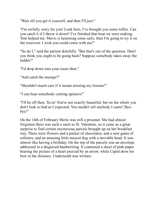"Wait till you get it yourself, and then I'll jeer."

"I'm awfully sorry for you! Look here, I've brought you some toffee. Can you catch it if I throw it down? I've finished that boat we were making. Tom helped me. Mavis is hemming some sails; then I'm going to try it on the reservoir. I wish you could come with me!"

"So do I," said the patient dolefully. "But that's out of the question. Don't you think you ought to be going back? Suppose somebody takes away the ladder!"

"I'd drop down into your room then."

"And catch the mumps?"

"Shouldn't much care if it meant missing my lessons!"

"I can hear somebody coming upstairs!"

"I'll be off then. Ta-ta! You're not exactly beautiful, but on the whole you don't look so bad as I expected. You needn't tell anybody I came! Byebye!"

On the 14th of February Merle was still a prisoner. She had almost forgotten there was such a saint as St. Valentine, so it came as a great surprise to find certain mysterious parcels brought up on her breakfast tray. There were flowers and a packet of chocolates, and a new game of solitaire, and an amusing little mascot dog with a movable head. It was almost like having a birthday. On the top of the parcels was an envelope addressed in a disguised handwriting. It contained a sheet of pink paper bearing the picture of a heart pierced by an arrow, while Cupid drew his bow in the distance. Underneath was written: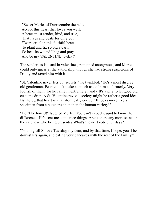"Sweet Merle, of Durracombe the belle, Accept this heart that loves you well: A heart most tender, kind, and true, That lives and beats for only you! 'Twere cruel in this faithful heart To plant and fix so big a dart, So heal its wound I beg and pray, And be my VALENTINE to-day!"

The sender, as is usual in valentines, remained anonymous, and Merle could only guess at the authorship, though she had strong suspicions of Daddy and taxed him with it.

"St. Valentine never lets out secrets!" he twinkled. "He's a most discreet old gentleman. People don't make as much use of him as formerly. Very foolish of them, for he came in extremely handy. It's a pity to let good old customs drop. A St. Valentine revival society might be rather a good idea. By the by, that heart isn't anatomically correct! It looks more like a specimen from a butcher's shop than the human variety!"

"Don't be horrid!" laughed Merle. "You can't expect Cupid to know the difference! He's sent me some nice things. Aren't there any more saints in the calendar who bring presents? What's the next red-letter day?"

"Nothing till Shrove Tuesday, my dear, and by that time, I hope, you'll be downstairs again, and eating your pancakes with the rest of the family."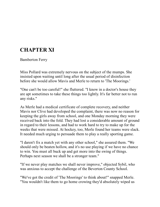# **CHAPTER XI**

Bamberton Ferry

Miss Pollard was extremely nervous on the subject of the mumps. She insisted upon waiting until long after the usual period of disinfection before she would allow Mavis and Merle to return to 'The Moorings.'

"One can't be too careful!" she fluttered. "I know in a doctor's house they are apt sometimes to take these things too lightly. It's far better not to run any risks."

As Merle had a medical certificate of complete recovery, and neither Mavis nor Clive had developed the complaint, there was now no reason for keeping the girls away from school, and one Monday morning they were received back into the fold. They had lost a considerable amount of ground in regard to their lessons, and had to work hard to try to make up for the weeks that were missed. At hockey, too, Merle found her teams were slack. It needed much urging to persuade them to play a really sporting game.

"I daren't fix a match yet with any other school," she assured them. "We should only be beaten hollow, and it's no use playing if we have no chance to win. You must all buck up and get more into the swing of things. Perhaps next season we shall be a stronger team."

"If we never play matches we shall never improve," objected Sybil, who was anxious to accept the challenge of the Beverton County School.

"We've got the credit of 'The Moorings' to think about!" snapped Merle. "You wouldn't like them to go home crowing they'd absolutely wiped us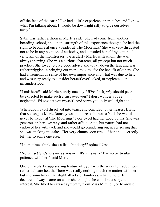off the face of the earth? I've had a little experience in matches and I know what I'm talking about. It would be downright silly to give ourselves away."

Sybil was rather a thorn in Merle's side. She had come from another boarding-school, and on the strength of this experience thought she had the right to become at once a leader at 'The Moorings.' She was very disgusted not to be in any position of authority, and consoled herself by continual criticism of the monitresses, particularly Merle, with whom she was always sparring. She was a curious character, all precept but not much practice. She loved to give good advice and to lay down the law, and was rather priggish in bringing out moral maxims for the benefit of others. She had a tremendous sense of her own importance and what was due to her, and was very ready to consider herself overlooked, or neglected, or misunderstood.

"Look here!" said Merle bluntly one day. "*Why*, I ask, *why* should people be expected to make such a fuss over you? I don't wonder you're neglected! I'd neglect you myself! And serve you jolly well right too!"

Whereupon Sybil dissolved into tears, and confided to her nearest friend that so long as Merle Ramsay was monitress she was afraid she would never be happy at 'The Moorings.' Poor Sybil had her good points. She was generous in her own way, and rather affectionate, but nature had not endowed her with tact, and she would go blundering on, never seeing that she was making mistakes. Her very chums soon tired of her and discreetly left her to some one else.

"I sometimes think she's a little bit dotty!" opined Nesta.

"Nonsense! She's as sane as you or I. It's all swank! I've no particular patience with her!" said Merle.

One particularly aggravating feature of Sybil was the way she traded upon rather delicate health. There was really nothing much the matter with her, but she sometimes had slight attacks of faintness, which, the girls declared, always came on when she thought she could be a subject of interest. She liked to extract sympathy from Miss Mitchell, or to arouse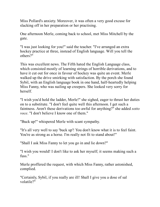Miss Pollard's anxiety. Moreover, it was often a very good excuse for slacking off in her preparation or her practising.

One afternoon Merle, coming back to school, met Miss Mitchell by the gate.

"I was just looking for you!" said the teacher. "I've arranged an extra hockey practice at three, instead of English language. Will you tell the others?"

This was excellent news. The Fifth hated the English Language class, which consisted mostly of learning strings of horrible derivations, and to have it cut out for once in favour of hockey was quite an event. Merle walked up the drive smirking with satisfaction. By the porch she found Sybil, with an English language book in one hand, half-heartedly helping Miss Fanny, who was nailing up creepers. She looked very sorry for herself.

"I wish you'd hold the ladder, Merle!" she sighed, eager to thrust her duties on to a substitute. "I don't feel quite well this afternoon. I get such a faintness. Aren't these derivations too awful for anything?" she added *sotto voce*. "I don't believe I know one of them."

"Buck up!" whispered Merle with scant sympathy.

"It's all very well to say 'buck up'! You don't know what it is to feel faint. You're as strong as a horse. I'm really not fit to stand about!"

"Shall I ask Miss Fanny to let you go in and lie down?"

"I wish you would! I don't like to ask her myself; it seems making such a fuss."

Merle proffered the request, with which Miss Fanny, rather astonished, complied.

"Certainly, Sybil, if you really are ill! Shall I give you a dose of sal volatile?"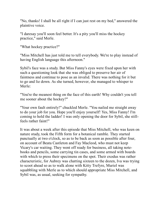"No, thanks! I shall be all right if I can just rest on my bed," answered the plaintive voice.

"I daresay you'll soon feel better. It's a pity you'll miss the hockey practice," said Merle.

"What hockey practice?"

"Miss Mitchell has just told me to tell everybody. We're to play instead of having English language this afternoon."

Sybil's face was a study. But Miss Fanny's eyes were fixed upon her with such a questioning look that she was obliged to preserve her air of faintness and continue to pose as an invalid. There was nothing for it but to go and lie down. As she turned, however, she managed to whisper to Merle:

"You're the meanest thing on the face of this earth! Why couldn't you tell me sooner about the hockey?"

"Your own fault entirely!" chuckled Merle. "You nailed me straight away to do your job for you. Hope you'll enjoy yourself! Yes, Miss Fanny! I'm coming to hold the ladder! I was only opening the door for Sybil, she stillfeels rather faint!"

It was about a week after this episode that Miss Mitchell, who was keen on nature study, took the Fifth form for a botanical ramble. They started punctually at two o'clock, so as to be back as soon as possible after four, on account of Beata Castleton and Fay Macleod, who must not keep Vicary's car waiting. They went off ready for business, all taking notebooks and pencils, some carrying tin cases, and some armed with boards with which to press their specimens on the spot. Their exodus was rather characteristic, for Aubrey was chatting sixteen to the dozen, Iva was trying to scoot ahead so as to walk alone with Kitty Trefyre, Muriel was squabbling with Merle as to which should appropriate Miss Mitchell, and Sybil was, as usual, seeking for sympathy.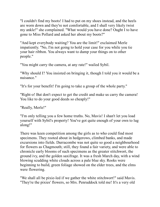"I couldn't find my boots! I had to put on my shoes instead, and the heels are worn down and they're not comfortable, and I shall very likely twist my ankle!" she complained. "What would you have done? Ought I to have gone to Miss Pollard and asked her about my boots?"

"And kept everybody waiting? You are the limit!" exclaimed Merle impatiently. "No, I'm not going to hold your case for you while you tie your hair ribbon. You always want to dump your things on to other people."

"You might carry the camera, at any rate!" wailed Sybil.

"Why should I? You insisted on bringing it, though I told you it would be a nuisance."

"It's for your benefit! I'm going to take a group of the whole party."

"Right-o! But don't expect to get the credit and make us carry the camera! You like to do your good deeds so cheaply!"

"Really, Merle!"

"I'm only telling you a few home truths. No, Mavis! I shan't let you load yourself with Sybil's property! You've got quite enough of your own to lug along!"

There was keen competition among the girls as to who could find most specimens. They rooted about in hedgerows, climbed banks, and made excursions into fields. Durracombe was not quite so good a neighbourhood for flowers as Chagmouth; still, they found a fair variety, and were able to chronicle early blooms of such specimens as the greater stitchwort, the ground ivy, and the golden saxifrage. It was a fresh March day, with a wind blowing scudding white clouds across a pale blue sky. Rooks were beginning to build, green foliage showed on the elder trees, and the elms were flowering.

"We shall all be pixie-led if we gather the white stitchwort!" said Mavis. "They're the pixies' flowers, so Mrs. Penruddock told me! It's a very old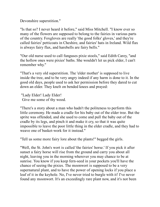Devonshire superstition."

"Is that so? I never heard it before," said Miss Mitchell. "I know ever so many of the flowers are supposed to belong to the fairies in various parts of the country. Foxgloves are really 'the good folks' gloves,' and they're called fairies' petticoats in Cheshire, and fairies' hats in Ireland. Wild flax is always fairy flax, and harebells are fairy bells."

"Our old nurse used to call funguses pixie stools," said Edith Carey, "and the hollow ones were pixies' baths. She wouldn't let us pick elder, I can't remember why."

"That's a very old superstition. The 'elder mother' is supposed to live inside the tree, and to be very angry indeed if any harm is done to it. In the good old days, people used to ask her permission before they dared to cut down an elder. They knelt on bended knees and prayed:

 "Lady Elder! Lady Elder! Give me some of thy wood.

"There's a story about a man who hadn't the politeness to perform this little ceremony. He made a cradle for his baby out of the elder tree. But the sprite was offended, and she used to come and pull the baby out of the cradle by its legs, and pinch it and make it cry, so that it was quite impossible to leave the poor little thing in the elder cradle, and they had to weave one of basket-work for it instead."

"Tell us some more fairy lore about the plants!" begged the girls.

"Well, the St. John's wort is called 'the fairies' horse.' If you pick it after sunset a fairy horse will rise from the ground and carry you about all night, leaving you in the morning wherever you may chance to be at sunrise. You know if you keep fern-seed in your pockets you'll have the chance of seeing the pixies. The moonwort is supposed to be a very supernatural plant, and to have the power of opening locks if you place a leaf of it in the keyhole. No, I've never tried to burgle with it! I've never found any moonwort. It's an exceedingly rare plant now, and it's not been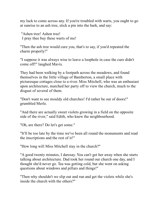my luck to come across any. If you're troubled with warts, you ought to go at sunrise to an ash tree, stick a pin into the bark, and say:

 "Ashen tree! Ashen tree! I pray thee buy these warts of me!

"Then the ash tree would cure you, that's to say, if you'd repeated the charm properly!"

"I suppose it was always wise to leave a loophole in case the cure didn't come off!" laughed Mavis.

They had been walking by a footpath across the meadows, and found themselves in the little village of Bamberton, a small place with picturesque cottages close to a river. Miss Mitchell, who was an enthusiast upon architecture, marched her party off to view the church, much to the disgust of several of them.

"Don't want to see mouldy old churches! I'd rather be out of doors!" grumbled Merle.

"And there are actually sweet violets growing in a field on the opposite side of the river," said Edith, who knew the neighbourhood.

"Oh, are there? Do let's get some."

"It'll be too late by the time we've been all round the monuments and read the inscriptions and the rest of it!"

"How long will Miss Mitchell stay in the church?"

"A good twenty minutes, I daresay. You can't get her away when she starts talking about architecture. Dad took her round our church one day, and I thought she'd never go. Tea was getting cold, but she went on asking questions about windows and pillars and things!"

"Then why shouldn't we slip out and run and get the violets while she's inside the church with the others?"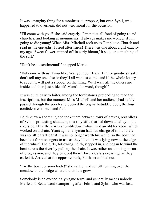It was a naughty thing for a monitress to propose, but even Sybil, who happened to overhear, did not wax moral for the occasion.

"I'll come with you!" she said eagerly. "I'm not at all fond of going round churches, and looking at monuments. It always makes me wonder if I'm going to die young! When Miss Mitchell took us to Templeton Church and read us the epitaphs, I cried afterwards! There was one about a girl exactly my age. 'Sweet flower, nipped off in early bloom,' it said, or something of the sort."

"Don't be so sentimental!" snapped Merle.

"But come with us if you like. Yes, you too, Beata! But for goodness' sake don't tell any one else or they'll all want to come, and if the whole lot try to scoot, it will put a stopper on the thing. We'll wait till the others are inside and then just slide off. Mum's the word, though!"

It was quite easy to loiter among the tombstones pretending to read the inscriptions, but the moment Miss Mitchell and her audience had safely passed through the porch and opened the big nail-studded door, the four confederates turned and fled.

Edith knew a short cut, and took them between rows of graves, regardless of Sybil's protesting shudders, to a tiny stile that led down an alley to the riverside. Here there was a tumbledown wharf, and an old ferryboat which worked on a chain. Years ago a ferryman had had charge of it, but there was so little traffic that it was no longer worth his while, so the boat had been left for passengers to use as they liked. It was lying now at the edge of the wharf. The girls, following Edith, stepped in, and began to wind the boat across the river by pulling the chain. It was rather an amusing means of progression, and they enjoyed their 'Dover- Calais crossing,' as they called it. Arrived at the opposite bank, Edith scrambled out.

"Tie the boat up, somebody!" she called, and set off running over the meadow to the hedge where the violets grew.

Somebody is an exceedingly vague term, and generally means nobody. Merle and Beata went scampering after Edith, and Sybil, who was last,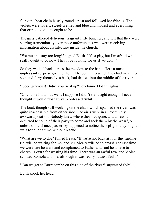flung the boat chain hastily round a post and followed her friends. The violets were lovely, sweet-scented and blue and modest and everything that orthodox violets ought to be.

The girls gathered delicious, fragrant little bunches, and felt that they were scoring tremendously over those unfortunates who were receiving information about architecture inside the church.

"We mustn't stay too long!" sighed Edith. "It's a pity, but I'm afraid we really ought to go now. They'll be looking for us if we don't."

So they walked back across the meadow to the bank. Here a most unpleasant surprise greeted them. The boat, into which they had meant to step and ferry themselves back, had drifted into the middle of the river.

"Good gracious! Didn't you tie it up?" exclaimed Edith, aghast.

"Of course I did, but-well, I suppose I didn't tie it tight enough. I never thought it would float away," confessed Sybil.

The boat, though still working on the chain which spanned the river, was quite inaccessible from either side. The girls were in an extremely awkward position. Nobody knew where they had gone, and unless it occurred to some of their party to come and seek them by the wharf, or unless some chance passer-by happened to notice their plight, they might wait for a long time without rescue.

"What are we to do?" fumed Beata. "If we're not back at four the 'sardinetin' will be waiting for me, and Mr. Vicary will be so cross! The last time we were late he went and complained to Father and said he'd have to charge us extra for wasting his time. There was an awful row, and Violet scolded Romola and me, although it was really Tattie's fault."

"Can we get to Durracombe on this side of the river?" suggested Sybil.

Edith shook her head.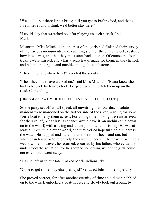"We could; but there isn't a bridge till you get to Parlingford, and that's five miles round. I think we'd better stay here."

"I could slay that wretched boat for playing us such a trick!" said Merle.

Meantime Miss Mitchell and the rest of the girls had finished their survey of the various monuments, and, catching sight of the church clock, realised how late it was, and that they must start back at once. Of course the four truants were missed, and a hasty search was made for them, in the chancel, and behind the organ, and outside among the tombstones.

"They're not anywhere here!" reported the scouts.

"Then they must have walked on," said Miss Mitchell. "Beata knew she had to be back by four o'clock. I expect we shall catch them up on the road. Come along!"

#### [Illustration: "WHY DIDN'T 'EE FASTEN UP THE CHAIN"]

So the party set off at full speed, all unwitting that four disconsolate maidens were marooned on the farther side of the river, waiting for some faerie boat to ferry them across. For a long time no knight-errant arrived for their relief, but at last, as chance would have it, an urchin came down on to the wharf, with a string and a bent pin, intent on fishing. He was at least a link with the outer world, and they yelled hopefully to him across the water. He stopped and stared, then took to his heels and ran, but whether in terror or to fetch help they were uncertain. After what seemed a weary while, however, he returned, escorted by his father, who evidently understood the situation, for he shouted something which the girls could not catch, then went away.

"Has he left us to our fate?" asked Merle indignantly.

"Gone to get somebody else, perhaps!" ventured Edith more hopefully.

She proved correct, for after another eternity of time an old man hobbled on to the wharf, unlocked a boat-house, and slowly took out a punt, by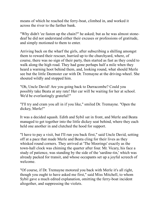means of which he reached the ferry-boat, climbed in, and worked it across the river to the farther bank.

"Why didn't 'ee fasten up the chain?" he asked; but as he was almost stonedeaf he did not understand either their excuses or professions of gratitude, and simply motioned to them to enter.

Arriving back on the wharf the girls, after subscribing a shilling amongst them to reward their rescuer, hurried up to the churchyard, where, of course, there was no sign of their party, then started as fast as they could to walk along the high road. They had gone perhaps half a mile when they heard a warning hoot behind them, and, looking round, what should Merle see but the little Deemster car with Dr. Tremayne at the driving-wheel. She shouted wildly and stopped him.

"Oh, Uncle David! Are you going back to Durracombe? Could you possibly take Beata at any rate! Her car will be waiting for her at school. We'd be everlastingly grateful!"

"I'll try and cram you all in if you like," smiled Dr. Tremayne. "Open the dickey, Merle!"

It was a decided squash. Edith and Sybil sat in front, and Merle and Beata managed to get together into the little dickey seat behind, where they each held one another in and clutched the hood for support.

"I have to pay a visit, but I'll run you back first," said Uncle David, setting off at a pace that made Merle and Beata cling for their lives as they whisked round corners. They arrived at 'The Moorings' exactly as the town-hall clock was chiming the quarter after four. Mr. Vicary, his face a study of patience, was standing by the side of the 'sardine-tin,' which was already packed for transit, and whose occupants set up a joyful screech of welcome.

"Of course, if Dr. Tremayne motored you back with Merle it's all right, though you ought to have asked me first," said Miss Mitchell, to whom Sybil gave a much edited explanation, omitting the ferry-boat incident altogether, and suppressing the violets.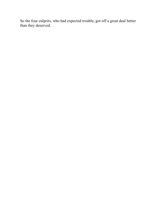So the four culprits, who had expected trouble, got off a great deal better than they deserved.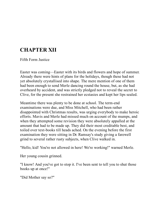# **CHAPTER XII**

Fifth Form Justice

Easter was coming—Easter with its birds and flowers and hope of summer. Already there were hints of plans for the holidays, though these had not yet absolutely crystallised into shape. The mere mention of one of them had been enough to send Merle dancing round the house, but, as she had overheard by accident, and was strictly pledged not to reveal the secret to Clive, for the present she restrained her ecstasies and kept her lips sealed.

Meantime there was plenty to be done at school. The term-end examinations were due, and Miss Mitchell, who had been rather disappointed with Christmas results, was urging everybody to make heroic efforts. Mavis and Merle had missed much on account of the mumps, and when they attempted some revision they were absolutely appalled at the amount that had to be made up. They did their most creditable best, and toiled over text-books till heads ached. On the evening before the first examination they were sitting in Dr. Ramsay's study giving a farewell grind to several rather rusty subjects, when Clive walked in.

"Hello, kid! You're not allowed in here! We're working!" warned Merle.

Her young cousin grinned.

"I know! And you've got to stop it. I've been sent to tell you to shut those books up at once!"

"Did Mother say so?"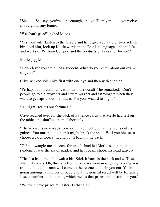"She did. She says you've done enough, and you'll only muddle yourselves if you go on any longer."

"We shan't pass!" sighed Mavis.

"Yes, you will! Listen to the Oracle and he'll give you a tip or two. A little bird told him, look up Keltic words in the English language, and the life and works of William Cowper, and the products of Java and Borneo!"

Merle giggled.

"How clever you are all of a sudden! What do you know about our exam subjects?"

Clive winked solemnly, first with one eye and then with another.

"Perhaps I'm in communication with the occult!" he remarked. "Don't people go to clairvoyants and crystal-gazers and astrologers when they want to get tips about the future? I'm your wizard to-night."

"All right. Tell us our fortunes."

Clive reached over for the pack of Patience cards that Merle had left on the table, and shuffled them elaborately.

"The wizard is now ready to wizz. I may mention that my fee is only a guinea. You mustn't laugh or it might break the spell. Will you please to choose a card, look at it, and put it back in the pack."

"O Fate! wangle me a decent fortune!" chuckled Merle, selecting at random. It was the six of spades, and her cousin shook his head gravely.

"That's a bad omen, but wait a bit! Stick it back in the pack and we'll see where it comes. Oh, this is better now-a dark woman is going to bring you trouble, but a fair man will come to the rescue and help you out. You're going amongst a number of people, but the general result will be fortunate. I see a number of diamonds, which means that prizes are in store for you."

"We don't have prizes at Easter! Is that all?"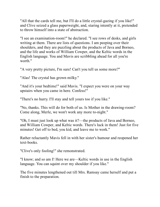"All that the cards tell me, but I'll do a little crystal-gazing if you like!" and Clive seized a glass paperweight, and, staring intently at it, pretended to throw himself into a state of abstraction.

"I see an examination-room!" he declared. "I see rows of desks, and girls writing at them. There are lists of questions. I am peeping over their shoulders, and they are puzzling about the products of Java and Borneo, and the life and works of William Cowper, and the Keltic words in the English language. You and Mavis are scribbling ahead for all you're worth."

"A very pretty picture, I'm sure! Can't you tell us some more?"

"Alas! The crystal has grown milky."

"And it's your bedtime!" said Mavis. "I expect you were on your way upstairs when you came in here. Confess!"

"There's no hurry. I'll stay and tell yours too if you like."

"No, thanks. This will do for both of us. Is Mother in the drawing-room? Come along, Merle, we won't work any more to-night."

"Oh, I must just look up what was it?—the products of Java and Borneo, and William Cowper, and Keltic words. There's luck in them! Just for five minutes! Get off to bed, you kid, and leave me to work."

Rather reluctantly Mavis fell in with her sister's humour and reopened her text-books.

"Clive's only fooling!" she remonstrated.

"I know; and so am I! Here we are—Keltic words in use in the English language. You can squint over my shoulder if you like."

The five minutes lengthened out till Mrs. Ramsay came herself and put a finish to the preparation.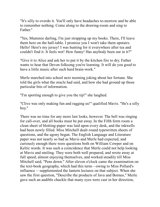"It's silly to overdo it. You'll only have headaches to-morrow and be able to remember nothing. Come along to the drawing-room and sing to Father."

"Yes, Mummie darling, I'm just strapping up my books. There, I'll leave them here on the hall-table. I promise you I won't take them upstairs. Hello! Here's my jersey! I was hunting for it everywhere after tea and couldn't find it. It feels wet! How funny! Has anybody been out in it?"

"Give it to Alice and ask her to put it by the kitchen fire to dry. Father wants to hear that Devon folksong you're learning. It will do you good to have a little music after such hard brain-work."

Merle marched into school next morning joking about her fortune. She told the girls what the oracle had said, and how she had ground up those particular bits of information.

"I'm sporting enough to give you the tip!" she laughed.

"Clive was only making fun and ragging us!" qualified Mavis. "He's a silly boy."

There was no time for any more last looks, however. The bell was ringing for call-over, and all books must be put away. In the Fifth form room a clean sheet of blotting-paper was laid upon every desk, and the inkwells had been newly filled. Miss Mitchell dealt round typewritten sheets of questions, and the agony began. The English Language and Literature paper was not nearly so bad as Mavis and Merle had expected, and curiously enough there were questions both on William Cowper and on Keltic words. It was such a coincidence that Merle could not help looking at Mavis and smiling. They were both well prepared, and wrote away at full speed, almost enjoying themselves, and worked steadily till Miss Mitchell said, "Pens down." After eleven o'clock came the examination on the text-book geography, which had this term—owing to Miss Pollard's influence —supplemented the lantern lectures on that subject. When she saw the first question, "Describe the products of Java and Borneo," Merle gave such an audible chuckle that many eyes were cast in her direction,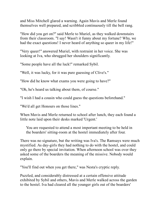and Miss Mitchell glared a warning. Again Mavis and Merle found themselves well prepared, and scribbled continuously till the bell rang.

"How did you get on?" said Merle to Muriel, as they walked downstairs from their classroom. "I say! Wasn't it funny about my fortune? Why, we had the exact questions! I never heard of anything so queer in my life!"

"Very queer!" answered Muriel, with restraint in her voice. She was looking at Iva, who shrugged her shoulders significantly.

"Some people have all the luck!" remarked Sybil.

"Well, it was lucky, for it was pure guessing of Clive's."

"How did he know what exams you were going to have?"

"Oh, he's heard us talking about them, of course."

"I wish I had a cousin who could guess the questions beforehand."

"We'd all get Honours on those lines."

When Mavis and Merle returned to school after lunch, they each found a little note laid upon their desks marked 'Urgent.'

You are requested to attend a most important meeting to be held in the boarders' sitting-room at the hostel immediately after four.

There was no signature, but the writing was Iva's. The Ramsays were much mystified. As day-girls they had nothing to do with the hostel, and could only go there by special invitation. When afternoon school was over they asked some of the boarders the meaning of the missive. Nobody would explain.

"You'll find out when you get there," was Nesta's cryptic reply.

Puzzled, and considerably distressed at a certain offensive attitude exhibited by Sybil and others, Mavis and Merle walked across the garden to the hostel. Iva had cleared all the younger girls out of the boarders'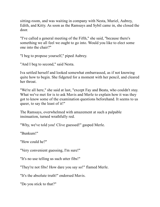sitting-room, and was waiting in company with Nesta, Muriel, Aubrey, Edith, and Kitty. As soon as the Ramsays and Sybil came in, she closed the door.

"I've called a general meeting of the Fifth," she said, "because there's something we all feel we ought to go into. Would you like to elect some one into the chair?"

"I beg to propose yourself," piped Aubrey.

"And I beg to second," said Nesta.

Iva settled herself and looked somewhat embarrassed, as if not knowing quite how to begin. She fidgeted for a moment with her pencil, and cleared her throat.

"We're all here," she said at last, "except Fay and Beata, who couldn't stay. What we've met for is to ask Mavis and Merle to explain how it was they got to know some of the examination questions beforehand. It seems to us queer, to say the least of it!"

The Ramsays, overwhelmed with amazement at such a palpable insinuation, turned wrathfully red.

"Why, we've told you! Clive guessed!" gasped Merle.

"Bunkum!"

"How could he?"

"Very convenient guessing, I'm sure!"

"It's no use telling us such utter fibs!"

"They're not fibs! How dare you say so!" flamed Merle.

"It's the absolute truth!" endorsed Mavis.

"Do you stick to that?"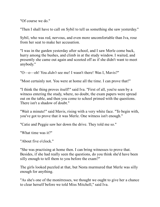"Of course we do."

"Then I shall have to call on Sybil to tell us something she saw yesterday."

Sybil, who was red, nervous, and even more uncomfortable than Iva, rose from her seat to make her accusation.

"I was in the garden yesterday after school, and I saw Merle come back, hurry among the bushes, and climb in at the study window. I waited, and presently she came out again and scooted off as if she didn't want to meet anybody."

"O—o—oh! You *didn't* see me! I wasn't there! Was I, Mavis?"

"Most certainly not. You were at home all the time. I can prove that!"

"I think the thing proves itself!" said Iva. "First of all, you're seen by a witness entering the study, where, no doubt, the exam papers were spread out on the table, and then you come to school primed with the questions. There isn't a shadow of doubt."

"Wait a minute!" said Mavis, rising with a very white face. "To begin with, you've got to prove that it was Merle. One witness isn't enough."

"Catie and Peggie saw her down the drive. They told me so."

"What time was it?"

"About five o'clock."

"She was practising at home then. I can bring witnesses to prove that. Besides, if she had really seen the questions, do you think she'd have been silly enough to tell them to you before the exam?"

The girls looked puzzled at that, but Nesta murmured that Merle was silly enough for anything.

"As she's one of the monitresses, we thought we ought to give her a chance to clear herself before we told Miss Mitchell," said Iva.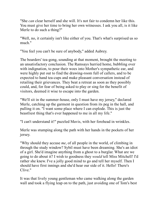"She *can* clear herself and she will. It's not fair to condemn her like this. You must give her time to bring her own witnesses. I ask you all, is it like Merle to do such a thing?"

"Well, no, it certainly isn't like either of you. That's what's surprised us so much."

"You feel you can't be sure of anybody," added Aubrey.

The boarders' tea-gong, sounding at that moment, brought the meeting to an unsatisfactory conclusion. The Ramsays hurried home, bubbling over with indignation, to pour their woes into Mother's sympathetic ear, and were highly put out to find the drawing-room full of callers, and to be expected to hand tea-cups and make pleasant conversation instead of retailing their grievances. They beat a retreat as soon as they possibly could, and, for fear of being asked to play or sing for the benefit of visitors, deemed it wise to escape into the garden.

"We'll sit in the summer-house, only I must have my jersey," declared Merle, catching up the garment in question from its peg in the hall, and pulling it on. "I want some place where I can explode. This is just the beastliest thing that's ever happened to me in all my life."

"I can't understand it!" puzzled Mavis, with her forehead in wrinkles.

Merle was stumping along the path with her hands in the pockets of her jersey.

"Why should they accuse *me*, of all people in the world, of climbing in through the study window? Sybil must have been dreaming. She's an idiot of a girl. She'd imagine anything from a ghost to a burglar. What are we going to do about it? I wish to goodness they *would* tell Miss Mitchell! I'd rather she knew. I've a jolly good mind to go and tell her myself. Then I should have first innings and she'd hear our side of it. Hello! There's Clive."

It was that lively young gentleman who came walking along the garden wall and took a flying leap on to the path, just avoiding one of Tom's best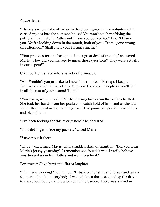flower-beds.

"There's a whole tribe of ladies in the drawing-room!" he volunteered. "I carried my tea into the summer-house! You won't catch me 'doing the polite' if I can help it. Rather not! Have you bunked too? I don't blame you. You're looking down in the mouth, both of you! Exams gone wrong this afternoon? Shall I tell your fortunes again?"

"Your precious fortune has got us into a great deal of trouble," answered Merle. "How did you manage to guess those questions? They were actually in our papers!"

Clive pulled his face into a variety of grimaces.

"Ah! Wouldn't you just like to know!" he retorted. "Perhaps I keep a familiar spirit, or perhaps I read things in the stars. I prophesy you'll fail in all the rest of your exams! There!"

"You young wretch!" cried Merle, chasing him down the path as he fled. She took her hands from her pockets to catch hold of him, and as she did so out flew a penknife on to the grass. Clive pounced upon it immediately and picked it up.

"I've been looking for this everywhere!" he declared.

"How did it get inside my pocket?" asked Merle.

"*I* never put it there!"

"Clive!" exclaimed Mavis, with a sudden flash of intuition. "Did you wear Merle's jersey yesterday? I remember she found it wet. I verily believe you dressed up in her clothes and went to school."

For answer Clive burst into fits of laughter.

"Oh, it was topping!" he hinnied. "I stuck on her skirt and jersey and tam o' shanter and took in everybody. I walked down the street, and up the drive to the school door, and prowled round the garden. There was a window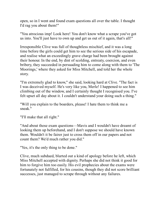open, so in I went and found exam questions all over the table. I thought I'd rag you about them!"

"You atrocious imp! Look here! You don't know what a scrape you've got us into. You'll just have to own up and get us out of it again, that's all!"

Irresponsible Clive was full of thoughtless mischief, and it was a long time before the girls could get him to see the serious side of his escapade, and realise what an exceedingly grave charge had been brought against their honour. In the end, by dint of scolding, entreaty, coercion, and even bribery, they succeeded in persuading him to come along with them to 'The Moorings,' where they asked for Miss Mitchell, and told her the whole story.

"I'm extremely glad to know," she said, looking hard at Clive. "The fact is I was deceived myself. He's very like you, Merle! I happened to see him climbing out of the window, and I certainly thought I recognised you. I've felt upset all day about it. I couldn't understand your doing such a thing."

"Will you explain to the boarders, please! I hate them to think me a sneak."

"I'll make that all right."

"And about those exam questions—Mavis and I wouldn't have dreamt of looking them up beforehand, and I don't suppose we should have known them. Wouldn't it be fairer just to cross them off in our papers and not count them? We'd much rather you did."

"Yes, it's the only thing to be done."

Clive, much subdued, blurted out a kind of apology before he left, which Miss Mitchell accepted with dignity. Perhaps she did not think it good for him to forgive him too easily. His evil prophecies about the exams were fortunately not fulfilled, for his cousins, though they did not score brilliant successes, just managed to scrape through without any failures.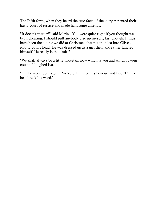The Fifth form, when they heard the true facts of the story, repented their hasty court of justice and made handsome amends.

"It doesn't matter!" said Merle. "You were quite right if you thought we'd been cheating. I should pull anybody else up myself, fast enough. It must have been the acting we did at Christmas that put the idea into Clive's idiotic young head. He was dressed up as a girl then, and rather fancied himself. He really is the limit."

"We shall always be a little uncertain now which is you and which is your cousin!" laughed Iva.

"Oh, he won't do it again! We've put him on his honour, and I don't think he'd break his word."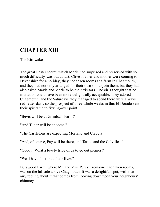# **CHAPTER XIII**

The Kittiwake

The great Easter secret, which Merle had surprised and preserved with so much difficulty, was out at last. Clive's father and mother were coming to Devonshire for a holiday; they had taken rooms at a farm in Chagmouth, and they had not only arranged for their own son to join them, but they had also asked Mavis and Merle to be their visitors. The girls thought that no invitation could have been more delightfully acceptable. They adored Chagmouth, and the Saturdays they managed to spend there were always red-letter days, so the prospect of three whole weeks in this El Dorado sent their spirits up to fizzing-over point.

"Bevis will be at Grimbal's Farm!"

"And Tudor will be at home!"

"The Castletons are expecting Morland and Claudia!"

"And, of course, Fay will be there, and Tattie, and the Colvilles!"

"Goody! What a lovely tribe of us to go out picnics!"

"We'll have the time of our lives!"

Burswood Farm, where Mr. and Mrs. Percy Tremayne had taken rooms, was on the hillside above Chagmouth. It was a delightful spot, with that airy feeling about it that comes from looking down upon your neighbours' chimneys.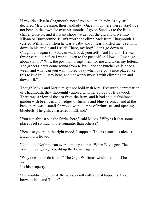"I wouldn't live in Chagmouth, not if you paid me hundreds a year!" declared Mrs. Treasure, their landlady. "Once I'm up here, here I stay! I've not been in the town for over six months. I go on Sundays to the little chapel close by, and if I want shops we get out the gig and drive into Kilvan or Durracombe. It isn't worth the climb back from Chagmouth. I carried William up when he was a baby, and it nearly killed me. I set him down in his cradle and I said: 'There, my boy! I don't go down to Chagmouth again till you can walk back yourself!' And I didn't! He was three years old before I went—even to the post office. How do I manage about stamps? Why, the postman brings them for me and takes my letters. The grocers' carts come round from Kilvan, and the butcher calls once a week, and what can you want more? I say when I've got a nice place like this to live in I'll stay here, and not worry myself with climbing up and down hill."

Though Mavis and Merle might not hold with Mrs. Treasure's depreciation of Chagmouth, they thoroughly agreed with her eulogy of Burswood. There was a view of the sea from the farm, and it had an old-fashioned garden with beehives and hedges of fuchsia and blue veronica, and at the back there was a small fir wood, with clumps of primroses and opening bluebells. The girls christened it 'Elfland.'

"You can almost see the fairies here," said Mavis. "Why is it that some places feel so much more romantic than others?"

"Because you're in the right mood, I suppose. This is almost as nice as Blackthorn Bower."

"Not quite. Nothing can ever come up to that! When Bevis gets The Warren he's going to build up the Bower again."

"Why doesn't he do it now? The Glyn Williams would let him if he wanted. It's his property."

"He wouldn't care to ask them; especially after what happened there between him and Tudor."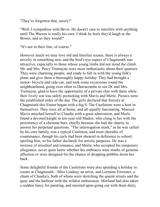"They've forgotten that, surely!"

"Well, I sympathise with Bevis. He doesn't care to interfere with anything until The Warren is really his own. I think he feels they'd laugh at the Bower, and so they would!"

"It's not in their line, of course."

However much we may love old and familiar scenes, there is always a novelty in something new, and the bird's-eye aspect of Chagmouth was attractive, especially to those whose young limbs did not mind the climb. Mr. and Mrs. Percy Tremayne were most enthusiastic about their quarters. They were charming people, and ready to fall in with the young folk's plans and give them a thoroughly happy holiday. They had brought a motor- bicycle and side-car, and took some excursions round the neighbourhood, going over often to Durracombe to see Dr. and Mrs. Tremayne, glad to have the opportunity of a private chat with them while their lively son was safely picnicking with Mavis and Merle. Picnics were the established order of the day. The girls declared that Society at Chagmouth this Easter began with a big S. The Castletons were a host in themselves. They were all at home, and all equally fascinating. Musical Mavis attached herself to Claudia with a great admiration, and Merle found a devoted knight in ten-year-old Madox, who clung to her with the persistency of a chestnut burr, chiefly because she had the charity to answer his perpetual questions. "The interrogation mark," as he was called by his own family, was a typical Castleton, and most cherubic of countenance, though his curls had been sheared in deference to school, spoiling him, so his father declared, for artistic purposes. He was a mixture of mischief and romance, and Merle, who accepted his temporary allegiance, never quite knew whether his embraces were marks of genuine affection or were designed for the chance of dropping pebbles down her back.

Some delightful friends of the Castletons were also spending a holiday in rooms at Chagmouth—Miss Lindsay, an artist, and Lorraine Forrester, a chum of Claudia's, both of whom were sketching the quaint streets and the quay and the harbour with the wildest enthusiasm. Morland had also taken a sudden fancy for painting, and insisted upon going out with them daily,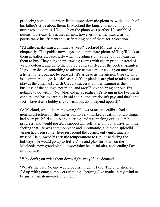producing some quite pretty little impressionistic pictures, with a touch of his father's style about them. In Morland the family talent ran high but never rose to genius. His touch on the piano was perfect. He scribbled poems in private. His achievements, however, in either music, art, or poetry were insufficient to justify taking one of them for a vocation.

"I'd rather make him a chimney-sweep!" declared Mr. Castleton eloquently. "The public nowadays don't appreciate pictures! They'll look at them in galleries, especially when the admission is free, but you can't get them to buy. They hang their drawing-rooms with cheap prints instead of water- colours, and go to the photographers instead of the portrait-painter. If you can design something to advertise mustard or cocoa you may make a little money, but not by pure art! It's as dead as the ancient Greeks. This is a commercial age. Music's as bad. Your pianists are glad to take posts to play at the cinemas! I wish Claudia success; but her training is the business of the college, not mine, and *they'll* have to bring her out. I've nothing to do with it. No; Morland must realise he's living in the twentieth century, and has to earn his bread and butter. Art doesn't pay, and that's the fact! Have it as a hobby if you wish, but don't depend upon it!"

So Morland, who, like many young fellows of artistic calibre, had a general affection for the muses but no very marked vocation for anything, had been pitchforked into engineering, and was making quite tolerable progress, and would possibly support himself later on, but always with the feeling that life was commonplace and unromantic, and that a splendid vision had been somewhere just round the corner, only unfortunately missed. He allowed his artistic temperament to run loose during the holidays. He would go up to Bella Vista and play for hours on the Macleods' new grand piano, improvising beautiful airs, and sending Fay into raptures.

"Why don't you write them down right away?" she demanded.

"What's the use? No one would publish them if I did. The publishers are fed up with young composers wanting a hearing. I've made up my mind to be just an amateur—nothing more."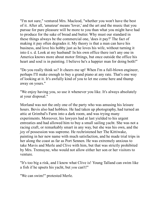"I'm not sure," ventured Mrs. Macleod, "whether you won't have the best of it. After all, 'amateur' means 'lover,' and the art and the music that you pursue for pure pleasure will be more to you than what you might have had to produce for the sake of bread and butter. Why must our standard in these things always be the commercial one, 'does it pay?' The fact of making it pay often degrades it. My theory is that a man can have his business, and love his hobby just as he loves his wife, without turning it into £ s. d. Look at my husband! In his own office there isn't any one in America knows more about motor fittings, but once outside the office his heart and soul is in painting. I believe he's a happier man for doing both!"

"Do you really think so? It cheers me up! When I'm a full-blown engineer, perhaps I'll make enough to buy a grand piano at any rate. That's one way of looking at it. It's awfully kind of you to let me come here and thump away on yours."

"We enjoy having you, so use it whenever you like. It's always absolutely at your disposal."

Morland was not the only one of the party who was amusing his leisure hours. Bevis also had hobbies. He had taken up photography, had turned an attic at Grimbal's Farm into a dark room, and was trying many experiments. Moreover, his lawyers had at last yielded to his urgent entreaties and had allowed him to buy a small sailing yacht. She was not a racing craft, or remarkably smart in any way, but she was his own, and the joy of possession was supreme. He rechristened her The Kittiwake, painting in her new name with much satisfaction, and he made trial trips in her along the coast as far as Port Sennen. He was extremely anxious to take Mavis and Merle and Clive with him, but that was strictly prohibited by Mrs. Tremayne, who would not allow either her son or her visitors to venture.

"It's too big a risk, and I know what Clive is! Young Talland can swim like a fish if he upsets his yacht, but *you* can't!"

"We can swim!" protested Merle.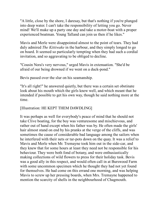"A little, close by the shore, I daresay, but that's nothing if you're plunged into deep water. I can't take the responsibility of letting you go. Never mind! We'll make up a party one day and take a motor-boat with a proper experienced boatman. Young Talland can join us then if he likes."

Mavis and Merle were disappointed almost to the point of tears. They had duly admired *The Kittiwake* in the harbour, and they simply longed to go on board. It seemed so particularly tempting when they had such a cordial invitation, and so aggravating to be obliged to decline.

"Cousin Nora's very nervous," urged Mavis in extenuation. "She'd be afraid of our being drowned if we went on a duck-pond."

Bevis passed over the slur on his seamanship.

"It's all right!" he answered quietly, but there was a certain set obstinate look about his mouth which the girls knew well, and which meant that he intended if possible to get his own way, though he said nothing more at the time.

### [Illustration: HE KEPT THEM DAWDLING]

It was perhaps as well for everybody's peace of mind that he should not take Clive boating, for the boy was venturesome and mischievous, and rather out of hand except when his father was by. He often made the girls' hair almost stand on end by his pranks at the verge of the cliffs, and was sometimes the cause of considerable bad language among the sailors when he interfered with their nets or tar-pots down on the quay. It was a relief to Mavis and Merle when Mr. Tremayne took him out in the side-car, and they knew that for some hours at least they need not be responsible for his behaviour. They were both fond of botany, and were enthusiastically making collections of wild flowers to press for their holiday task. Bevis was a good ally in this respect, and would often call in at Burswood Farm with some uncommon specimen which he thought they had not yet found for themselves. He had come on this errand one morning, and was helping Mavis to screw up her pressing boards, when Mrs. Tremayne happened to mention the scarcity of shells in the neighbourhood of Chagmouth.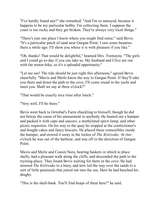"I've hardly found any!" she remarked. "And I'm so annoyed, because it happens to be my particular hobby. I'm collecting them. I suppose the coast is too rocky and they get broken. They're always very local things."

"There's just one place I know where you might find some," said Bevis. "It's a particular patch of sand near Gurgan Point. I saw some beauties there a while ago. I'll show you where it is with pleasure if you like."

"Oh, thanks! That would be delightful," beamed Mrs. Tremayne. "The girls and I could go to-day if you can take us. My husband and Clive are out with the motor-bike, so it's a splendid opportunity."

"Let me see! The tide should be just right this afternoon," agreed Bevis cheerfully. "Mavis and Merle know the way to Gurgan Point. If they'll take you there and down the path to the cove, I'll come round in the yacht and meet you. Shall we say at three o'clock?"

"That would be exactly nice time after lunch."

"Very well, I'll be there."

Bevis went back to Grimbal's Farm chuckling to himself, though he did not betray the cause of his amusement to anybody. He hunted out a hamper and packed it with cups and saucers, a methylated spirit-lamp, and other picnic requisites. On his way to the quay he stopped at the confectioner's and bought cakes and fancy biscuits. He placed these comestibles inside the hamper, and stowed it away in the locker of *The Kittiwake*. At two o'clock he was out of the harbour, and was off in the direction of Gurgan Point.

Mavis and Merle and Cousin Nora, bearing baskets in which to place shells, had a pleasant walk along the cliffs, and descended the path to the trysting-place. They found Bevis waiting for them in the cove. He had moored *The Kittiwake* to a buoy, and now led the way over the sands to a sort of little peninsula that jutted out into the sea. Here he had beached his dinghy.

"This is the shell-bank. You'll find heaps of them here!" he said.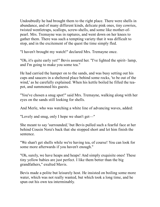Undoubtedly he had brought them to the right place. There were shells in abundance, and of many different kinds, delicate pink ones, tiny cowries, twisted wentletraps, scallops, screw-shells, and some like mother-ofpearl. Mrs. Tremayne was in raptures, and went down on her knees to gather them. There was such a tempting variety that it was difficult to stop, and in the excitement of the quest the time simply fled.

"I haven't brought my watch!" declared Mrs. Tremayne once.

"Oh, it's quite early yet!" Bevis assured her. "I've lighted the spirit- lamp, and I'm going to make you some tea."

He had carried the hamper on to the sands, and was busy setting out his cups and saucers in a sheltered place behind some rocks, 'to be out of the wind,' as he carefully explained. When his kettle boiled he filled the teapot, and summoned his guests.

"You've chosen a snug spot!" said Mrs. Tremayne, walking along with her eyes on the sands still looking for shells.

And Merle, who was watching a white line of advancing waves, added:

"Lovely and snug, only I hope we shan't get—"

She meant to say 'surrounded,' but Bevis pulled such a fearful face at her behind Cousin Nora's back that she stopped short and let him finish the sentence.

"We shan't get shells while we're having tea, of course! You can look for some more afterwards if you haven't enough."

"Oh, surely, we have heaps and heaps! And simply exquisite ones! These tiny yellow babies are just perfect. I like them better than the big grandfathers," exulted Mavis.

Bevis made a polite but leisurely host. He insisted on boiling some more water, which was not really wanted, but which took a long time, and he spun out his own tea interminably.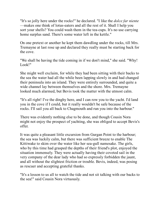"It's so jolly here under the rocks!" he declared. "I like the *dolce far niente* —makes one think of lotus-eaters and all the rest of it. Shall I help you sort your shells? You could wash them in the tea-cups. It's no use carrying home surplus sand. There's some water left in the kettle."

On one pretext or another he kept them dawdling under the rocks, till Mrs. Tremayne at last rose up and declared they really must be starting back for the cove.

"We shall be having the tide coming in if we don't mind," she said. "Why! Look!"

She might well exclaim, for while they had been sitting with their backs to the sea the water had all the while been lapping slowly in and had changed their peninsula into an island. They were entirely surrounded, and quite a wide channel lay between themselves and the shore. Mrs. Tremayne looked much alarmed, but Bevis took the matter with the utmost calm.

"It's all right! I've the dinghy here, and I can row you to the yacht. I'd land you in the cove if I could, but it really wouldn't be safe because of the rocks. I'll sail you all back to Chagmouth and run you into the harbour."

There was evidently nothing else to be done, and though Cousin Nora might not enjoy the prospect of yachting, she was obliged to accept Bevis's offer.

It was quite a pleasant little excursion from Gurgan Point to the harbour; the sea was luckily calm, but there was sufficient breeze to enable The Kittiwake to skim over the water like her sea-gull namesake. The girls, who by this time had grasped the depths of their friend's plot, enjoyed the situation immensely. They were actually having their coveted sail in the very company of the dear lady who had so expressly forbidden the jaunt, and all without the slightest friction or trouble. Bevis, indeed, was posing as rescuer and accepting grateful thanks.

"It's a lesson to us all to watch the tide and not sit talking with our backs to the sea!" said Cousin Nora virtuously.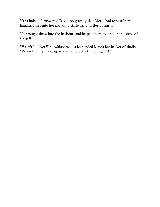"It is indeed!" answered Bevis, so gravely that Merle had to stuff her handkerchief into her mouth to stifle her chortles of mirth.

He brought them into the harbour, and helped them to land on the steps of the jetty.

"Wasn't I clever?" he whispered, as he handed Mavis her basket of shells. "When I really make up my mind to get a thing, I get it!"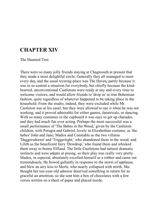### **CHAPTER XIV**

The Haunted Tree

There were so many jolly friends staying at Chagmouth at present that they made a most delightful circle. Generally they all managed to meet every day, and the usual trysting-place was The Haven, partly because it was in so central a situation for everybody, but chiefly because the kindhearted, unconventional Castletons were ready at any and every time to welcome visitors, and would allow friends to 'drop in' in true Bohemian fashion, quite regardless of whatever happened to be taking place in the household. From the studio, indeed, they were excluded while Mr. Castleton was at his easel, but they were allowed to use it when he was not working, and it proved admirable for either games, theatricals, or dancing. With so many costumes in the cupboard it was easy to get up charades, and they had much fun over acting. Perhaps the most successful was a small performance of 'The Babes in the Wood,' given by the Castleton children, with Perugia and Gabriel, lovely in Elizabethan costume, as 'the babes' John and Jane; Madox and Constable as the two villains 'Daggersdrawn' and 'Triggertight,' who abandoned them in the wood; and Lilith as the beneficent fairy 'Dewdrop,' who found them and whisked them away to bonny Elfland. The little Castletons had natural dramatic instincts and were adepts at posing, so their play was really very pretty. Madox, in especial, absolutely excelled himself as a robber and came out tremendously. He bowed gallantly in response to the storm of applause, and blew an airy kiss to Merle, who nearly collapsed with mirth. She thought her ten-year-old admirer deserved something in return for so graceful an attention, so she sent him a box of chocolates with a few verses written on a sheet of paper and placed inside.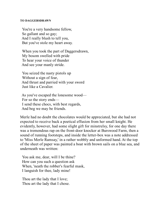#### **TO DAGGERSDRAWN**

 You're a very handsome fellow, So gallant and so gay; And I really blush to tell you, But you've stole my heart away.

 When you took the part of Daggersdrawn, My bosom swelled with pride To hear your voice of thunder And see your manly stride.

 You seized the nasty pistols up Without a sign of fear, And thrust and parried with your sword Just like a Cavalier.

 As you've escaped the lonesome wood— For so the story ends— I send these chocs, with best regards, And beg we may be friends.

Merle had no doubt the chocolates would be appreciated, but she had not expected to receive back a poetical effusion from her small knight. He evidently, however, had some slight gift for minstrelsy, for one day there was a tremendous rap on the front-door knocker at Burswood Farm, then a sound of running footsteps, and inside the letter-box was a note addressed to 'Miss Merle Ramsay,' in a rather wobbly and unformed hand. At the top of the sheet of paper was painted a boat with brown sails on a blue sea, and underneath was written:

 You ask me, dear, will I be thine? How can you such a question ask When, 'neath the robber's fearful mask, I languish for thee, lady mine!

 Thou art the lady that I love; Thou art the lady that I chose.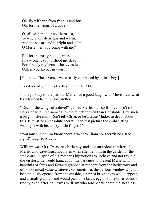Oh, fly with me from friends and foes! Oh, for the wings of a dove!

 O sail with me to a southern sea, To where an isle is fair and warm, And the sea around it bright and calm: O Merle, will you come with me?

 But for the nasty pistols, miss, I have one ready to shoot me dead! For already my heart is heavy as lead Unless you favour my wish!

[Footnote: These verses were really composed by a little boy.]

It's rather silly but it's the best I can rite. M C.

In the privacy of the parlour Merle had a good laugh with Mavis over what they termed her first love-letter.

"'Oh, for the wings of a dove!'" quoted Merle. "It's so Biblical, isn't it? He's a dear, all the same! I love him better even than Constable. He's such a bright little chap. Don't tell Clive, or he'd tease Madox to death about this. It must be an absolute secret. I can just picture the child sitting writing it with his sticky little fingers!"

"You mustn't let him know about 'Sweet William,' or there'll be a free fight!" laughed Mavis.

William was Mrs. Treasure's little boy, and also an ardent admirer of Merle, who gave him chocolates when she met him in the garden or the stackyard. In spite of his mother's injunctions to 'Behave and not trouble the visitors,' he would hang about the passages to present Merle with handfuls of ferns and flowers grabbed at random from the hedgerows and of no botanical value whatever; or sometimes the parlour window would be cautiously opened from the outside, a pair of bright eyes would appear, and a small grubby hand would push in a bird's egg or some other country trophy as an offering. It was William who told Merle about the 'headless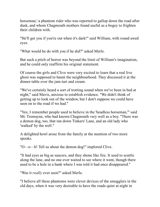horseman,' a phantom rider who was reported to gallop down the road after dusk, and whom Chagmouth mothers found useful as a bogey to frighten their children with.

"He'll get you if you're out when it's dark!" said William, with round awed eyes.

"What would he do with you if he did?" asked Merle.

But such a pitch of horror was beyond the limit of William's imagination, and he could only reaffirm his original statement.

Of course the girls and Clive were very excited to learn that a real live ghost was supposed to haunt the neighbourhood. They discussed it at the dinner-table over the jam-tart and cream.

"We've certainly heard a sort of trotting sound when we've been in bed at night," said Mavis, anxious to establish evidence. "We didn't think of getting up to look out of the window, but I don't suppose we could have seen on to the road if we had."

"Yes; I remember people used to believe in the 'headless horseman,'" said Mr. Tremayne, who had known Chagmouth very well as a boy. "There was a demon dog, too, that ran down Tinkers' Lane, and an old lady who 'walked' by the well."

A delighted howl arose from the family at the mention of two more spooks.

"O—o—h! Tell us about the demon dog!" implored Clive.

"It had eyes as big as saucers, and they shone like fire. It used to scuttle along the lane, and no one ever waited to see where it went, though there used to be a hole in a bank where I was told it had once disappeared."

"Was it *really* ever seen?" asked Merle.

"I believe all these phantoms were clever devices of the smugglers in the old days, when it was very desirable to have the roads quiet at night in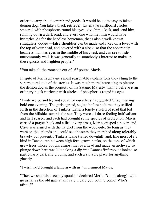order to carry about contraband goods. It would be quite easy to fake a demon dog. You take a black retriever, fasten two cardboard circles smeared with phosphorus round his eyes, give him a kick, and send him running down a dark road, and every one who met him would have hysterics. As for the headless horseman, that's also a well-known smugglers' dodge —false shoulders can be made and fixed on a level with the top of your head, and covered with a cloak, so that the apparently headless man has eyes in the middle of his chest, and can see to ride uncommonly well. It was generally to somebody's interest to make up these ghosts and frighten people."

"You take all the romance out of it!" pouted Mavis.

In spite of Mr. Tremayne's most reasonable explanations they clung to the supernatural side of the stories. It was much more interesting to picture the demon dog as the property of his Satanic Majesty, than to believe it an ordinary black retriever with circles of phosphorus round its eyes.

"I vote we go and try and see it for ourselves!" suggested Clive, waxing bold one evening. The girls agreed, so just before bedtime they sallied forth in the direction of Tinkers' Lane, a lonely stretch of road that led from the hillside towards the sea. They were all three feeling half valiant and half scared, and each had brought some species of protection. Mavis carried a prayer-book and a little ivory cross, Merle grasped a poker, and Clive was armed with the hatchet from the wood-pile. So long as they were on the uplands and could see the stars they marched along tolerably bravely, but presently Tinkers' Lane turned downhill, and, like most of its kind in Devon, ran between high fern-grown banks, on the tops of which grew trees whose boughs almost met overhead and made an archway. To plunge down here was like taking a dip into Dante's 'Inferno,' it looked so particularly dark and gloomy, and such a suitable place for anything ghostly.

"I wish we'd brought a lantern with us!" murmured Mavis.

"Then we shouldn't see any spooks!" declared Merle. "Come along! Let's go as far as the old gate at any rate. I dare you both to come! Who's afraid?"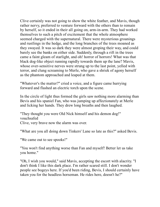Clive certainly was not going to show the white feather, and Mavis, though rather nervy, preferred to venture forward with the others than to remain by herself, so it ended in their all going on, arm-in-arm. They had worked themselves to such a pitch of excitement that the whole atmosphere seemed charged with the supernatural. There were mysterious groanings and rustlings in the hedge, and the long branches of the trees moaned as they swayed. It was so dark they were almost groping their way, and could barely see the banks on either side. Suddenly, through a rift in the trees came a faint gleam of starlight, and oh! horror of horrors! What was that black dog-like object running rapidly towards them up the lane? Mavis, whose over-sensitive nerves were strung up to the last point, yelled with terror, and clung screaming to Merle, who gave a shriek of agony herself as the phantom approached and leaped at them.

"Whatever's the matter?" cried a voice, and a figure came hurrying forward and flashed an electric torch upon the scene.

In the circle of light thus formed the girls saw nothing more alarming than Bevis and his spaniel Fan, who was jumping up affectionately at Merle and licking her hands. They drew long breaths and then laughed.

"They thought you were Old Nick himself and his demon dog!" vouchsafed Clive, very brave now the alarm was over.

"What are you all doing down Tinkers' Lane so late as this?" asked Bevis.

"We came out to see spooks!"

"You won't find anything worse than Fan and myself! Better let us take you home."

"Oh, I wish you would," said Mavis, accepting the escort with alacrity. "I don't think I like this dark place. I'm rather scared still. I don't wonder people see bogeys here. If you'd been riding, Bevis, I should certainly have taken you for the headless horseman. He rides here, doesn't he?"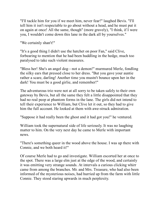"I'll tackle him for you if we meet him, never fear!" laughed Bevis. "I'll tell him it isn't respectable to go about without a head, and he must put it on again at once! All the same, though" (more gravely), "I think, if I were you, I wouldn't come down this lane in the dark all by yourselves."

"We certainly shan't!"

"It's a good thing I didn't use the hatchet on poor Fan," said Clive, forbearing to mention that he had been huddling in the hedge, much too paralysed to take such violent measures.

"Bless her! She's an angel dog—not a demon!" murmured Merle, fondling the silky ears that pressed close to her dress. "But you gave your auntie rather a scare, darling! Another time you mustn't bounce upon her in the dark! You must be a good girlie, and remember!"

The adventurous trio were not at all sorry to be taken safely to their own gateway by Bevis, but all the same they felt a little disappointed that they had no real peep at phantom forms in the lane. The girls did not intend to tell their experience to William, but Clive let it out, so they had to give him the full account. He looked at them with awe-struck admiration.

"Suppose it had really been the ghost and it had got you!" he ventured.

William took the supernatural side of life seriously. It was no laughing matter to him. On the very next day he came to Merle with important news.

"There's something queer in the wood above the house. I was up there with Connie, and we both heard it!"

Of course Merle had to go and investigate. William escorted her at once to the spot. There was a large elm just at the edge of the wood, and certainly it was emitting very strange sounds. At intervals a curious clicking whirr came from among the branches. Mr. and Mrs. Treasure, who had also been informed of the mysterious noises, had hurried up from the farm with little Connie. They stood staring upwards in much perplexity.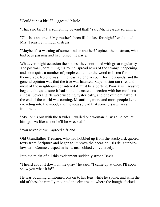"Could it be a bird?" suggested Merle.

"That's no bird! It's something beyond that!" said Mr. Treasure solemnly.

"Oh! Is it an omen? My mother's been ill the last fortnight!" exclaimed Mrs. Treasure in much distress.

"Maybe it's a warning of some kind or another!" opined the postman, who had been passing and had joined the party.

Whatever might occasion the noises, they continued with great regularity. The postman, continuing his round, spread news of the strange happening, and soon quite a number of people came into the wood to listen for themselves. No one was in the least able to account for the sounds, and the general opinion was that the tree was haunted. Superstition ran rife, and most of the neighbours considered it must be a portent. Poor Mrs. Treasure began to be quite sure it had some intimate connection with her mother's illness. Several girls were weeping hysterically, and one of them asked if the end of the world was coming. Meantime, more and more people kept crowding into the wood, and the idea spread that some disaster was imminent.

"My John's out with the trawler!" wailed one woman. "I wish I'd not let him go! As like as not he'll be wrecked!"

"You never know!" agreed a friend.

Old Grandfather Treasure, who had hobbled up from the stackyard, quoted texts from Scripture and began to improve the occasion. His daughter-inlaw, with Connie clasped in her arms, sobbed convulsively.

Into the midst of all this excitement suddenly strode Bevis.

"I heard about it down on the quay," he said. "I came up at once. I'll soon show you what it is!"

He was buckling climbing-irons on to his legs while he spoke, and with the aid of these he rapidly mounted the elm tree to where the boughs forked,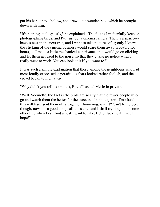put his hand into a hollow, and drew out a wooden box, which he brought down with him.

"It's nothing at all ghostly," he explained. "The fact is I'm fearfully keen on photographing birds, and I've just got a cinema camera. There's a sparrowhawk's nest in the next tree, and I want to take pictures of it; only I knew the clicking of the cinema business would scare them away probably for hours, so I made a little mechanical contrivance that would go on clicking and let them get used to the noise, so that they'd take no notice when I really went to work. You can look at it if you want to."

It was such a simple explanation that those among the neighbours who had most loudly expressed superstitious fears looked rather foolish, and the crowd began to melt away.

"Why didn't you tell us about it, Bevis?" asked Merle in private.

"Well, Soeurette, the fact is the birds are so shy that the fewer people who go and watch them the better for the success of a photograph. I'm afraid this will have sent them off altogether. Annoying, isn't it? Can't be helped, though, now. It's a good dodge all the same, and I shall try it again in some other tree when I can find a nest I want to take. Better luck next time, I hope!"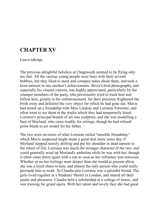## **CHAPTER XV**

#### Leave-takings

The precious delightful holidays at Chagmouth seemed to be flying only too fast. All the various young people were busy with their several hobbies, but they liked to meet and compare notes about them, and took a keen interest in one another's achievements. Bevis's bird-photography, and especially his cinema camera, was highly appreciated, particularly by the younger members of the party, who persistently tried to track him and follow him, greatly to his embarrassment, for their presence frightened the birds away and defeated the very object for which he had gone out. Mavis had struck up a friendship with Miss Lindsay and Lorraine Forrester, and often went to see them at the studio which they had temporarily hired. Lorraine's principal branch of art was sculpture, and she was modelling a bust of Morland, who came readily for sittings, though he had refused point-blank to act model for his father.

The two were on terms of what Lorraine called "sensible friendship," which Mavis suspected might mean a good deal more some day, if Morland stopped merely drifting and put his shoulder in dead earnest to the wheel of life. Lorraine was much the stronger character of the two, and could generally wind up Morland's ambition while he was with her, though it often came down again with a run as soon as her influence was removed. Whether or no her feelings went deeper than she would at present allow, she was a loyal chum to him, and almost the only person who could really persuade him to work. To Claudia also Lorraine was a splendid friend. The girls lived together at a Students' Hostel in London, and shared all their jaunts and pleasures. Claudia held a scholarship at a college of music, and was training for grand opera. With her talent and lovely face she had good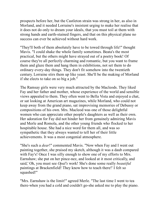prospects before her, but the Castleton strain was strong in her, as also in Morland, and it needed Lorraine's insistent urging to make her realise that it does not do only to dream your ideals, that you must toil at them with strong hands and earth-stained fingers, and that on this physical plane no success can ever be achieved without hard work.

"They'll both of them absolutely have to be towed through life!" thought Mavis. "I could shake the whole family sometimes. Beata's the most practical, but the others might have strayed out of a poetry book! Of course they're all perfectly charming and romantic, but you want to frame them and glaze them and hang them in exhibitions, not set them to do ordinary every-day things. They don't fit somehow into the twentieth century. Lorraine stirs them up like yeast. She'll be the making of Morland if she elects to take on so big a job."

The Ramsay girls were very much attracted by the Macleods. They liked Fay and her father and mother, whose experience of the world and sensible views appealed to them. They often went to Bella Vista and enjoyed a chat, or sat looking at American art magazines, while Morland, who could not keep away from the grand piano, sat improvising memories of Debussy or compositions of his own. Mrs. Macleod was one of those delightful women who can appreciate other people's daughters as well as their own. Her adoration for Fay did not hinder her from genuinely admiring Mavis and Merle and Romola, and the other young friends who flocked to her hospitable house. She had a nice word for them all, and was so sympathetic that they always wanted to tell her of their little achievements. It was a most congenial atmosphere.

"She's such a *dear*!" commented Mavis. "Now when Fay and I went out painting together, she praised my sketch, although it was a daub compared with Fay's! Once I was silly enough to show one of my efforts to Mrs. Earnshaw; she put on her pince-nez, and looked at it most critically, and said,' Oh, you must see *Opal's* work! She's done some really *beautiful* paintings at Brackenfield! They know how to teach there!' I felt so squashed!"

"Mrs. Earnshaw is the limit!" agreed Merle. "The last time I went to tea there-when you had a cold and couldn't go-she asked me to play the piano.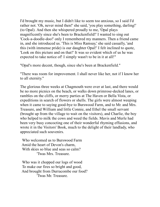I'd brought my music, but I didn't like to seem too anxious, so I said I'd rather not. 'Oh, never mind then!' she said, 'you play something, darling!' (to Opal). And then she whispered proudly to me, 'Opal plays magnificently since she's been to Brackenfield!' I wanted to sing out 'Cock-a-doodle-doo!' only I remembered my manners. Then a friend came in, and she introduced us. 'This is Miss Ramsay,' she said casually, 'and this (with immense pride) is our daughter Opal!' I felt inclined to quote, 'Look on this picture and on that!' It was so evident which of us he was expected to take notice of! I simply wasn't to be in it at all!"

"Opal's more decent, though, since she's been at Brackenfield."

"There was room for improvement. I shall never like her, not if I know her to all eternity."

The glorious three weeks at Chagmouth were over at last, and there would be no more picnics on the beach, or walks down primrose-decked lanes, or rambles on the cliffs, or merry parties at The Haven or Bella Vista, or expeditions in search of flowers or shells. The girls were almost weeping when it came to saying good-bye to Burswood Farm, and to Mr. and Mrs. Treasure, and William and little Connie, and Ethel the small servant (brought up from the village to wait on the visitors), and Charlie, the boy who helped to milk the cows and weed the fields. Mavis and Merle had been very busy concocting one of their wonderful rhyming effusions, and wrote it in the Visitors' Book, much to the delight of their landlady, who appreciated such souvenirs.

 Who welcomed us to Burswood Farm Amid the heart of Devon's charm, With skies so blue and seas so calm? 'Twas Mrs. Treasure.

 Who was it chopped our logs of wood To make our fires so bright and good, And brought from Durracombe our food? 'Twas Mr. Treasure.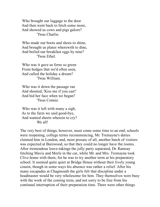Who brought our luggage to the door And then went back to fetch some more, And showed us cows and pigs galore? 'Twas Charlie.

 Who made our boots and shoes to shine, And brought us plates wherewith to dine, And boiled our breakfast eggs by nine? 'Twas Ethel.

 Who was it gave us ferns so green From hedges that we'd often seen, And called the holiday a dream? 'Twas William.

 Who was it down the passage ran And shouted, 'Kiss me if you can!' And hid her face when we began? 'Twas Connie.

 Who was it left with many a sigh, As to the farm we said good-bye, And wanted sheets wherein to cry? We all!

The very best of things, however, must come some time to an end; schools were reopening, college terms recommencing, Mr. Tremayne's duties claimed him in London, and, most prosaic of all, another batch of visitors was expected at Burswood, so that they could no longer have the rooms. After tremendous leave-takings the jolly party separated, Dr. Ramsay fetching Mavis and Merle in the car, while Mr. and Mrs. Tremayne took Clive home with them, for he was to try another term at his preparatory school. It seemed quite quiet at Bridge House without their lively young cousin, though in some ways his absence was rather a relief. After his many escapades at Chagmouth the girls felt that discipline under a headmaster would be very wholesome for him. They themselves were busy with the work of the coming term, and not sorry to be free from his continual interruption of their preparation time. There were other things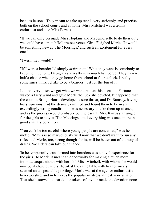besides lessons. They meant to take up tennis very seriously, and practise both on the school courts and at home. Miss Mitchell was a tennis enthusiast and also Miss Barnes.

"If we can only persuade Miss Hopkins and Mademoiselle to do their duty we could have a match 'Mistresses versus Girls,'" sighed Merle. "It would be something new at 'The Moorings,' and such an excitement for every one."

"I wish they would!"

"If I were a boarder I'd simply *make* them! What they want is somebody to keep them up to it. Day-girls are really very much hampered. They haven't half a chance when they go home from school at four o'clock. I really sometimes think I'd like to be a boarder, just for the fun of it."

It is not very often we get what we want, but on this occasion Fortune waved a fairy wand and gave Merle the luck she coveted. It happened that the cook at Bridge House developed a sore throat, and Dr. Ramsay, having his suspicions, had the drains examined and found them to be in an exceedingly wrong condition. It was necessary to take them up at once, and as the process would probably be unpleasant, Mrs. Ramsay arranged for the girls to stay at 'The Moorings' until everything was once more in good sanitary condition.

"You can't be too careful where young people are concerned," was her motto. "Mavis is so marvellously well now that we don't want to run any risks, and Merle, too, strong though she is, will be better out of the way of drains. We elders can take our chance."

To be temporarily transformed into boarders was a novel experience for the girls. To Merle it meant an opportunity for making a much more intimate acquaintance with her idol Miss Mitchell, with whom she would now be at close quarters. To sit at the same table with her for meals seemed an unspeakable privilege. Merle was at the age for enthusiastic hero-worship, and in her eyes the popular mistress almost wore a halo. That she bestowed no particular tokens of favour made the devotion none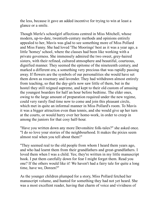the less, because it gave an added incentive for trying to win at least a glance or a smile.

Though Merle's schoolgirl affections centred in Miss Mitchell, whose modern, up-to-date, twentieth-century methods and opinions entirely appealed to her, Mavis was glad to see something more of Miss Pollard and Miss Fanny. She had loved 'The Moorings' best as it was a year ago, a little 'homey' school, where the classes had been like working with a private governess. She immensely admired the two sweet, grey-haired sisters, with their refined, cultured atmosphere and beautiful, courteous, dignified manner. They seemed the epitome of the nineteenth century, and marked a different era, a something very precious that was rapidly passing away. If flowers are the symbols of our personalities she would have set them down as rosemary and lavender. They had withdrawn almost entirely from teaching, so that the day-girls now saw little of them, but in the hostel they still reigned supreme, and kept to their old custom of amusing the youngest boarders for half an hour before bedtime. The elder ones, owing to the large amount of preparation required under the new regime, could very rarely find time now to come and join this pleasant circle, which met in quite an informal manner in Miss Pollard's room. To Mavis it was a bigger attraction even than tennis, and she would give up her turn at the courts, or would hurry over her home-work, in order to creep in among the juniors for that cosy half-hour.

"Have you written down any more Devonshire folk-tales?" she asked once. "I do so love your stories of the neighbourhood. It makes the pixies seem almost real when you tell about them!"

"They seemed real to the old people from whom I heard them years ago, and who had learnt them from their grandfathers and great-grandfathers. I loved them when I was a child. Yes; they're written in my little manuscript book. I put them carefully down for fear I might forget them. Read you one? If the others would like it! We haven't had a fairy tale for quite a long time, have we, Doreen?"

As the younger children plumped for a story, Miss Pollard fetched her manuscript volume, and hunted for something they had not yet heard. She was a most excellent reader, having that charm of voice and vividness of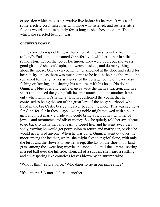expression which makes a narrative live before its hearers. It was as if some electric cord linked her with those who listened, and restless little fidgets would sit quite quietly for as long as she chose to go on. The tale which she selected to-night was:

#### **GINNIFER'S DOWRY**

In the days when good King Arthur ruled all the west country from Exeter to Land's End, a maiden named Ginnifer lived with her father in a little, round, stone hut on the top of Dartmoor. They were poor, but she was a good girl, and she could spin, and weave baskets, and do many things about the house. One day a young hunter knocked at the door and asked for hospitality, and as there was much game to be had in the neighbourhood he remained for many weeks as a guest of the cottage, going out every day fishing or fowling, and sharing his captures with his hosts. No doubt Ginnifer's blue eyes and gentle glances were the main attraction, and in a short time indeed the young folk became attached to one another. It was only when Ginnifer's father at length questioned the youth, that he confessed to being the son of the great lord of the neighbourhood, who lived in the big Castle beside the river beyond the moor. This was sad news for Ginnifer, for in those days a young noble might not wed with a poor girl, and must marry a bride who could bring a rich dowry with her of jewels and ornaments and silver money. So she quietly told her sweetheart to go back to his father, and learn to forget her; and he went away very sadly, vowing he would get permission to return and marry her, or else he would never wed anyone. When he was gone, Ginnifer went out over the moor among the heather, where she might fight her grief alone, with only the birds and the flowers to see her weep. She lay on the short moorland grass among the sweet bog-myrtle and asphodel, until the sun was setting in a red ball over the hillside. Then, all of a sudden, she heard a rustling and a whispering like countless leaves blown by an autumn wind.

"Who is this?" said a voice. "Who dares to lie in our pixie ring?"

"It's a mortal! A mortal!" cried another.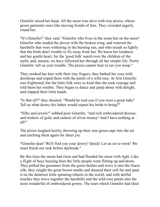Ginnifer raised her head. All the moor was alive with tiny pixies, whose green garments were like moving fronds of fern. They crowded eagerly round her.

"It's Ginnifer!" they said. "Ginnifer who lives in the stone hut on the moor! Ginnifer who tended the plover with the broken wing, and watered the harebells that were withering in the burning sun, and who treads so lightly that the birds don't trouble to fly away from her. We know her kindness and her gentle heart, for the 'good folk' watch over the children of the earth, and, unseen, we have followed her through all her simple life. Pretty Ginnifer, tell us your trouble. The pixies cannot bear to see you weep."

They stroked her hair with their tiny fingers, they bathed her eyes with dewdrops and wiped them with the petals of a wild rose. At first Ginnifer was frightened, but the little folk were so kind that she took courage and told them her trouble. They began to dance and jump about with delight, and clapped their little hands.

"Is that all?" they shouted. "Would he wed you if you were a great lady? Tell us what dowry his father would expect his bride to bring?"

"Silks and jewels!" sobbed poor Ginnifer, "and rich embroidered dresses, and trinkets of gold, and caskets of silver money! And I have nothing at all!"

The pixies laughed lustily, throwing up their wee green caps into the air and catching them again for sheer joy.

"Ginnifer dear! We'll find you your dowry! Quick! Let us set to work! We must finish our task before daybreak."

By this time the moon had risen and had flooded the moor with light. Like a flight of busy buzzing bees the little people went flitting up and down. They pulled the gossamer from the gorse bushes and wove it into the finest silk; they caught the great brown moths and sheared their soft fur and spun it on the daintiest little spinning-wheels in the world; and with skilful touches they wove together the harebells and the wild rose petals into the most wonderful of embroidered gowns. The tears which Ginnifer had shed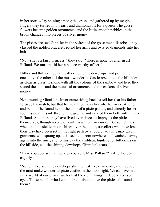in her sorrow lay shining among the grass, and gathered up by magic fingers they turned into pearls and diamonds fit for a queen. The gorse flowers became golden ornaments, and the little smooth pebbles in the brook changed into pieces of silver money.

The pixies dressed Ginnifer in the softest of the gossamer silk robes, they clasped the golden bracelets round her arms and twisted diamonds into her hair.

"Now she is a fairy princess," they said. "There is none lovelier in all Elfland. We must build her a palace worthy of her!"

Hither and thither they ran, gathering up the dewdrops, and piling them one above the other till the most wonderful Castle rose up on the hillside: as clear as glass, it shone with all the colours of the rainbow, and here they stored the silks and the beautiful ornaments and the caskets of silver money.

Next morning Ginnifer's lover came riding back to tell her that his father forbade the match, but that he meant to marry her whether or no. And lo and behold! he found her at the door of a pixie palace, and directly he set foot inside it, it sank through the ground and carried them both with it into Elfland. And there they have lived ever since, as happy as the pixies themselves, though no one on earth saw them any more. But sometimes when the late sickle moon shines over the moor, travellers who have lost their way have been set in the right path by a lovely lady in gauzy green garments, who sprang up, as it seemed, from nowhere, and vanished away again into the mist, and to this day the children, hunting for bilberries on the hillside, call the shining dewdrops 'Ginnifer's tears.'"

"Have you ever seen any pixies yourself, Miss Pollard?" asked Doreen eagerly.

"No; but I've seen the dewdrops shining just like diamonds, and I've seen the mist make wonderful pixie castles in the moonlight. We can live in a fairy world of our own if we look at the right things. It depends on your eyes. Those people who keep their childhood have the pixies all round them."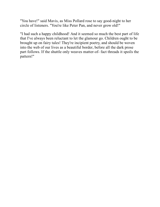"You have!" said Mavis, as Miss Pollard rose to say good-night to her circle of listeners. "You're like Peter Pan, and never grow old!"

"I had such a happy childhood! And it seemed so much the best part of life that I've always been reluctant to let the glamour go. Children ought to be brought up on fairy tales! They're incipient poetry, and should be woven into the web of our lives as a beautiful border, before all the dark prose part follows. If the shuttle only weaves matter-of- fact threads it spoils the pattern!"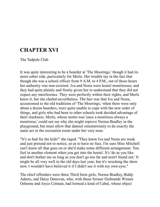## **CHAPTER XVI**

The Tadpole Club

It was quite interesting to be a boarder at 'The Moorings,' though it had its more sober side, particularly for Merle. Her trouble lay in the fact that though she was a school officer from 9 A.M. to 4 P.M., out of those hours her authority was non-existent. Iva and Nesta were hostel monitresses, and they had quite plainly and firmly given her to understand that they did not expect any interference. They were perfectly within their rights, and Merle knew it, but she chafed nevertheless. The fact was that Iva and Nesta, accustomed to the old traditions of 'The Moorings,' when there were only about a dozen boarders, were quite unable to cope with the new order of things, and girls who had been to other schools took decided advantage of their slackness. Merle, whose motto was 'once a monitress always a monitress,' could not see why she might reprove Norma Bradley in the playground, but must allow that damsel ostentatiously to do exactly the same act in the recreation room under her very nose.

"It's so bad for the kids!" she raged. "They know Iva and Nesta are weak and just pretend not to notice, so as to have no fuss. I'm sure Miss Mitchell can't know all that goes on or she'd make some different arrangement. You feel in another element when you get into the hostel. It's 'do as you like and don't bother me so long as you don't go too far and aren't found out.' It might be all very well in the old days last year, but it's wrecking the show now. I wouldn't have believed it if I didn't see it with my own eyes."

The chief offenders were three Third form girls, Norma Bradley, Biddy Adams, and Daisy Donovan, who, with those former firebrands Winnie Osborne and Joyce Colman, had formed a kind of Cabal, whose object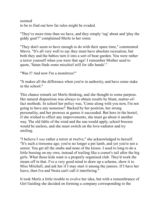seemed to be to find out how far rules might be evaded.

"They've more time than we have, and they simply 'rag' about and 'play the giddy goat'!" complained Merle to her sister.

"They don't seem to have enough to do with their spare time," commented Mavis. "It's all very well to say they must have absolute recreation, but both they and the babies turn it into a sort of bear-garden. You were rather a terror yourself when you were that age! I remember Mother used to quote, 'Satan finds some mischief still for idle hands'."

"Was I? And now I'm a monitress!"

"It makes all the difference when you're in authority, and have some stake in the school."

This chance remark set Merle thinking, and she thought to some purpose. Her natural disposition was always to obtain results by blunt, matter-offact methods. In school her policy was, 'Come along with you now, I'm not going to have any nonsense!' Backed by her position, her strong personality, and her prowess at games it succeeded. But here in the hostel, if she wished to effect any improvements, she must go about it another way. The old fable of the wind and the sun would apply, school breezes would be useless, and she must switch on the love-radiator and try smiling.

"I believe I *was* rather a terror at twelve," she acknowledged to herself. "It's such a tiresome age; you're no longer a pet lamb, and yet you're not a senior. You get all the snubs and none of the kisses. I used to long to do a little bossing on my own, instead of trailing like a comet's tail after the big girls. What those kids want is a properly organised club. They'd work the steam off in that. I've a very good mind to draw up a scheme, show it to Miss Mitchell, and ask her if I may start it among the juniors. If I have her leave, then Iva and Nesta can't call it interfering."

It took Merle a little trouble to evolve her idea, but with a remembrance of Girl Guiding she decided on forming a company corresponding to the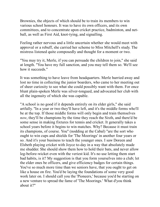Brownies, the objects of which should be to train its members to win various school honours. It was to have its own officers, and its own committees, and to concentrate upon cricket practice, badminton, and netball, as well as First Aid, knot-tying, and signalling.

Feeling rather nervous and a little uncertain whether she would meet with approval or a rebuff, she carried her scheme to Miss Mitchell's study. The mistress listened quite composedly and thought for a moment or two.

"You may try it, Merle, if you can persuade the children to join," she said at length. "You have my full sanction, and you may tell them so. We'll see how it succeeds."

It was something to have leave from headquarters. Merle hurried away and lost no time in collecting the junior boarders, who came to her meeting out of sheer curiosity to see what she could possibly want with them. For once blunt plain-spoken Merle was silver-tongued, and advocated her club with all the ingenuity of which she was capable.

"A school is no good if it depends entirely on its elder girls," she said artfully. "In a year or two they'll have left, and it's the middle forms who'll be at the top. If those middle forms will only begin and train themselves *now*, they'll be champions by the time they reach the Sixth, and there'd be some sense in making fixtures for tennis and cricket. It generally takes a school years before it begins to win matches. Why? Because it must train its champions, of course. You" (nodding at the Cabal) "are the sort who ought to win cups and shields for 'The Moorings' in another four years or so. And it's your business to teach the younger ones. I saw Doreen and Elsbeth playing cricket with Joyce to-day in a way that absolutely made me shudder. She should show them how to hold their bats, and never allow leg-before-wicket even with the veriest kid. It's no use letting them start bad habits, is it? My suggestion is that you form yourselves into a club; let the elder ones be officers, and give efficiency badges for certain things. You've so much more time than we seniors have, that you ought to get on like a house on fire. You'd be laying the foundations of some very good work later on. I should call you the 'Pioneers,' because you'd be starting on a new venture to spread the fame of 'The Moorings.' What d'you think about it?"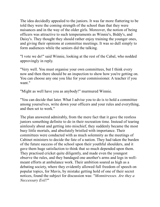The idea decidedly appealed to the juniors. It was far more flattering to be told they were the coming strength of the school than that they were nuisances and in the way of the older girls. Moreover, the notion of being officers was attractive to such temperaments as Winnie's, Biddy's, and Daisy's. They thought they should rather enjoy training the younger ones, and giving their opinions at committee meetings. It was so dull simply to form audiences while the seniors did the talking.

"I vote we do!" said Winnie, looking at the rest of the Cabal, who nodded approvingly in reply.

"Very well. You must organise your own committees, but I think every now and then there should be an inspection to show how you're getting on. You can choose any one you like for your commissioner. A teacher if you want."

"Might as well have you as anybody!" murmured Winnie.

"You can decide that later. What I advise you to do is to hold a committee among yourselves, write down your officers and your rules and everything, and then set to work."

The plan answered admirably, from the mere fact that it gave the restless juniors something definite to do in their recreation time. Instead of tearing aimlessly about and getting into mischief, they suddenly became the most busy little mortals, and absolutely bristled with importance. Their committees were conducted with as much solemnity as the meetings of Cabinet ministers to decide the fate of a nation. They had taken the burden of the future success of the school upon their youthful shoulders, and it gave them huge satisfaction to think that so much depended upon them. They practised cricket quite diligently, and made even the youngest observe the rules, and they bandaged one another's arms and legs in wellmeant efforts at ambulance work. Their ambition soared as high as a debating society, where they evidently allowed full freedom of speech on popular topics, for Mavis, by mistake getting hold of one of their secret notices, found the subject for discussion was: "*Monnitresses. Are they a Neccessary Evil?*"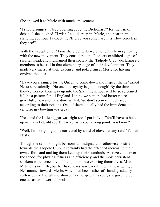She showed it to Merle with much amusement.

"I should suggest, 'Need Spelling copy the Dictionary?' for their next debate!" she laughed. "I wish I could creep in, Merle, and hear them slanging you four. I expect they'll give you some hard hits. How priceless they are!"

With the exception of Mavis the elder girls were not entirely in sympathy with the new movement. They considered the Pioneers exhibited signs of swollen head, and nicknamed their society the 'Tadpole Club,' declaring its members to be still in that elementary stage of their development. They made very merry at their expense, and poked fun at Merle for having evolved the idea.

"Have you arranged for the Queen to come down and inspect them?" asked Nesta sarcastically. "No one but royalty is good enough! By the time they've worked their way up into the Sixth the school will be so reformed it'll be a pattern for all England. I think we seniors had better retire gracefully now and have done with it. We don't seem of much account according to their notions. One of them actually had the impudence to criticise my bowling yesterday!"

"Yes; and the little beggar was right too!" put in Iva. "You'll have to buck up over cricket, old sport! It never was your strong point, you know!"

"Well, I'm not going to be corrected by a kid of eleven at any rate!" fumed Nesta.

Though the seniors might be scornful, indignant, or otherwise hostile towards the Tadpole Club, it certainly had the effect of increasing their own efforts and making them keep up their standards. A craze came over the school for physical fitness and efficiency, and the most persistent shirkers were forced by public opinion into exerting themselves. Miss Mitchell said little, but her hazel eyes saw everything that was going on. Her manner towards Merle, which had been rather off-hand, gradually softened, and though she showed her no special favour, she gave her, on one occasion, a word of praise.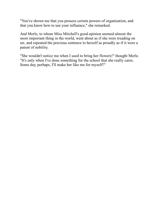"You've shown me that you possess certain powers of organisation, and that you know how to use your influence," she remarked.

And Merle, to whom Miss Mitchell's good opinion seemed almost the most important thing in the world, went about as if she were treading on air, and repeated the precious sentence to herself as proudly as if it were a patent of nobility.

"She wouldn't notice me when I used to bring her flowers!" thought Merle. "It's only when I've done something for the school that she really cares. Some day, perhaps, I'll make her like me for myself!"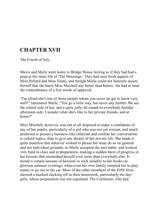# **CHAPTER XVII**

The Fourth of July

Mavis and Merle went home to Bridge House feeling as if they had had a peep at the inner life of 'The Moorings.' They had seen fresh aspects of Miss Pollard and Miss Fanny, and though Merle could not honestly assure herself that she knew Miss Mitchell any better than before, she had at least the remembrance of a few words of approval.

"I'm afraid she's one of those people whom you never do get to know very well!" ruminated Merle. "You go a little way, but never any further. We see the school side of her, and a quite jolly-all-round-to-everybody holiday afternoon side. I wonder what she's like to her private friends, and at home?"

Miss Mitchell, however, was not at all disposed to make a confidante of any of her pupils, particularly of a girl who was not yet sixteen, and much preferred to preserve business-like relations and confine her conversation to school topics, than to give any details of her private life. She made it quite manifest that whoever wished to please her must do so on general and not individual grounds, so Merle accepted the inevitable, and worked very hard in class and at preparation, making a sudden burst of progress in her lessons that astonished herself even more than everybody else. It meant a certain amount of heroism to stick steadily to her books on glorious summer evenings, when even her own family tempted her to play tennis or go out in the car. Most of the other members of the Fifth form showed a marked slacking off in their homework, particularly the daygirls, whose preparation was not regulated. The Castletons, who had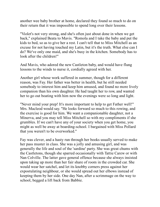another wee baby brother at home, declared they found so much to do on their return that it was impossible to spend long over their lessons.

"Violet's not very strong, and she's often just about done in when we get back," explained Beata to Mavis. "Romola and I take the baby and put the kids to bed, so as to give her a rest. I can't tell that to Miss Mitchell as an excuse for not having touched my Latin, but it's the truth. What else can I do? We've only one maid, and she's busy in the kitchen. Somebody has to look after the children!"

And Mavis, who adored the new Castleton baby, and would have flung lessons to the winds to nurse it, cordially agreed with her.

Another girl whose work suffered in summer, though for a different reason, was Fay. Her father was better in health, but he still needed somebody to interest him and keep him amused, and found no more lively companion than his own daughter. He had taught her to row, and wanted her to go out boating with him now the evenings were so long and light.

"Never mind your prep! It's more important to help to get Father well!" Mrs. Macleod would say. "He looks forward so much to this rowing, and the exercise is good for him. We want a companionable daughter, not a Minerva, and you may tell Miss Mitchell so with my compliments if she grumbles. If we can't have any of your society when you get home, you might as well be away at boarding-school. I bargained with Miss Pollard that you weren't to be overworked."

Fay was clever, and a hasty run through her books usually served to make her pass muster in class. She was a jolly and amusing girl, and was generally the life and soul of the 'sardine' party. She was great chums with the Castletons, though she sparred occasionally with Tattie Carew or with Nan Colville. The latter gave general offence because she always insisted upon taking up more than her fair share of room in the crowded car. She would wear her satchel, and let its knobby corners press against her expostulating neighbour, or she would spread out her elbows instead of keeping them by her side. One day Nan, after a scrimmage on the way to school, begged a lift back from Babbie.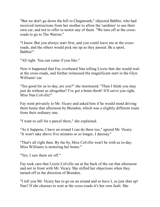"But we don't go down the hill to Chagmouth," objected Babbie, who had received instructions from her mother to allow the 'sardines' to use their own car, and not to offer to motor any of them. "We turn off at the crossroads to go to The Warren."

"I know. But you always start first, and you could leave me at the crossroads, and the others would pick me up as they passed. Be a sport, Babbie!"

"All right. You can come if you like."

Now it happened that Fay overheard Nan telling Lizzie that she would wait at the cross-roads, and further witnessed the magnificent start in the Glyn Williams' car.

"Too good for us to-day, are you?" she murmured. "Then I think you may just do without us altogether! I've got a brain throb! It'll serve you right, Miss Nan Colville!"

Fay went privately to Mr. Vicary and asked him if he would mind driving them home that afternoon by Brendon, which was a slightly different route from their ordinary one.

"I want to call for a parcel there," she explained.

"As it happens, I have an errand I can do there too," agreed Mr. Vicary. "It won't take above five minutes or so longer, I daresay."

"That's all right then. By the by, Miss Colville won't be with us to-day. Miss Williams is motoring her home."

"Yes; I saw them set off."

Fay took care that Lizzie Colville sat at the back of the car that afternoon and not in front with Mr. Vicary. She stifled her objections when they turned off in the direction of Brendon.

"I tell you Mr. Vicary has to go on an errand and so have I, so just shut up! Nan? If she chooses to wait at the cross-roads it's her own fault. She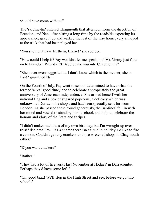should have come with us."

The 'sardine-tin' entered Chagmouth that afternoon from the direction of Brendon, and Nan, after sitting a long time by the roadside expecting its appearance, gave it up and walked the rest of the way home, very annoyed at the trick that had been played her.

"You shouldn't have let them, Lizzie!" she scolded.

"How could I help it? Fay wouldn't let me speak, and Mr. Vicary just flew on to Brendon. Why didn't Babbie take you into Chagmouth?"

"She never even suggested it. I don't know which is the meaner, she or Fay!" grumbled Nan.

On the Fourth of July, Fay went to school determined to have what she termed 'a real good time,' and to celebrate appropriately the great anniversary of American independence. She armed herself with her national flag and a box of sugared popcorns, a delicacy which was unknown at Durracombe shops, and had been specially sent for from London. As she passed these round generously, the 'sardines' fell in with her mood and vowed to stand by her at school, and help to celebrate the honour and glory of the Stars and Stripes.

"I didn't make much fuss of my own birthday, but I'm wrought up over this!" declared Fay. "It's a shame there isn't a public holiday. I'd like to fire a cannon. Couldn't get any crackers at those wretched shops in Chagmouth either."

"D'you want crackers?"

"Rather!"

"They had a lot of fireworks last November at Hodges' in Durracombe. Perhaps they'd have some left."

"Oh, good bizz! We'll stop in the High Street and see, before we go into school."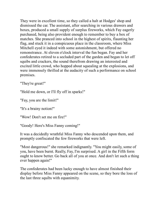They were in excellent time, so they called a halt at Hodges' shop and dismissed the car. The assistant, after searching in various drawers and boxes, produced a small supply of surplus fireworks, which Fay eagerly purchased, being also provident enough to remember to buy a box of matches. She pranced into school in the highest of spirits, flaunting her flag, and stuck it in a conspicuous place in the classroom, where Miss Mitchell eyed it indeed with some astonishment, but offered no remonstrance. At eleven o'clock interval the fun began. Fay and her confederates retired to a secluded part of the garden and began to let off squibs and crackers, the sound therefrom drawing an interested and excited little crowd, who hopped about squealing at the explosions, and were immensely thrilled at the audacity of such a performance on school premises.

"They're great!"

"Hold me down, or I'll fly off in sparks!"

"Fay, you are the limit!"

"It's a brainy notion!"

"Wow! Don't set me on fire!"

"Goody! Here's Miss Fanny coming!"

It was a decidedly wrathful Miss Fanny who descended upon them, and promptly confiscated the few fireworks that were left.

"Most dangerous!" she remarked indignantly. "You might easily, some of you, have been burnt. Really, Fay, I'm surprised. A girl in the Fifth form ought to know better. Go back all of you at once. And don't let such a thing ever happen again!"

The confederates had been lucky enough to have almost finished their display before Miss Fanny appeared on the scene, so they bore the loss of the last three squibs with equanimity.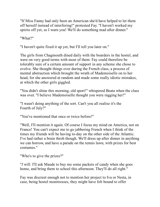"If Miss Fanny had only been an American she'd have helped to let them off herself instead of interfering!" protested Fay. "I haven't worked my spirits off yet, so I warn you! We'll do something mad after dinner."

"What?"

"I haven't quite fixed it up yet, but I'll tell you later on."

The girls from Chagmouth dined daily with the boarders in the hostel, and were on very good terms with most of them. Fay could therefore be tolerably sure of a certain amount of support in any scheme she chose to evolve. She thought things over during the French class, a process of mental abstraction which brought the wrath of Mademoiselle on to her head, for she answered at random and made some really idiotic mistakes, at which the other girls giggled.

"You didn't shine this morning, old sport!" whispered Beata when the class was over. "I believe Mademoiselle thought you were ragging her!"

"I wasn't doing anything of the sort. Can't you all realise it's the Fourth of July?"

"You've mentioned that once or twice before!"

"Well, I'll mention it again. Of course I focus my mind on America, not on France! You can't expect me to go jabbering French when I think of the times my friends will be having to-day on the other side of the Atlantic. I've had rather a brain throb though. We'll dress up after dinner in anything we can borrow, and have a parade on the tennis lawn, with prizes for best costumes."

"Who's to give the prizes?"

"*I* will. I'll ask Maude to buy me some packets of candy when she goes home, and bring them to school this afternoon. They'll do all right."

Fay was discreet enough not to mention her project to Iva or Nesta, in case, being hostel monitresses, they might have felt bound to offer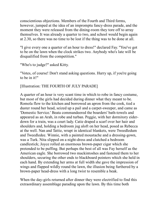conscientious objections. Members of the Fourth and Third forms, however, jumped at the idea of an impromptu fancy-dress parade, and the moment they were released from the dining-room they tore off to array themselves. It was already a quarter to two, and school would begin again at 2.30, so there was no time to be lost if the thing was to be done at all.

"I give every one a quarter of an hour to dress!" declared Fay. "You've got to be on the lawn when the clock strikes two. Anybody who's late will be disqualified from the competition."

"Who's to judge?" asked Kitty.

"Votes, of course! Don't stand asking questions. Hurry up, if you're going to be in it!"

[Illustration: THE FOURTH OF JULY PARADE]

A quarter of an hour is very scant time in which to robe in fancy costume, but most of the girls had decided during dinner what they meant to be. Romola flew to the kitchen and borrowed an apron from the cook, tied a duster round her head, seized up a pail and a carpet-sweeper, and came as 'Domestic Service.' Beata commandeered the boarders' bath-towels and appeared as an Arab, in robe and turban. Peggie, with her dormitory eiderdown for a train, was a court lady. Catie draped a scarf over her hair and shoulders and, holding a bedroom jug aloft on her head, posed as Rebecca at the well. Nan and Tattie, wrapt in identical blankets, were Tweedledum and Tweedledee. Winnie, with a painted moustache and a dressing-gown, was a Turk. Nita slipped on a night-dress and clutched a bedroom candlestick; Joyce rolled an enormous brown-paper cigar which she pretended to be puffing. But perhaps the best of all was Fay herself as the American eagle. She borrowed two mackintoshes and fastened them to her shoulders, securing the other ends to blackboard pointers which she held in each hand. By extending her arms at full width she gave the impression of wings and flapped wildly round the lawn, the illusion being furthered by a brown-paper head-dress with a long twist to resemble a beak.

When the day-girls returned after dinner they were electrified to find this extraordinary assemblage parading upon the lawn. By this time both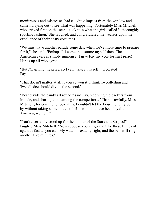monitresses and mistresses had caught glimpses from the window and came hurrying out to see what was happening. Fortunately Miss Mitchell, who arrived first on the scene, took it in what the girls called 'a thoroughly sporting fashion.' She laughed, and congratulated the wearers upon the excellence of their hasty costumes.

"We must have another parade some day, when we've more time to prepare for it," she said. "Perhaps I'll come in costume myself then. The American eagle is simply immense! I give Fay my vote for first prize! Hands up all who agree!"

"But *I'm* giving the prize, so I can't take it myself!" protested Fay.

"That doesn't matter at all if you've won it. I think Tweedledum and Tweedledee should divide the second."

"Best divide the candy all round," said Fay, receiving the packets from Maude, and sharing them among the competitors. "Thanks awfully, Miss Mitchell, for coming to look at us. I couldn't let the Fourth of July go by without taking some notice of it! It wouldn't have been loyal to America, would it?"

"You've certainly stood up for the honour of the Stars and Stripes!" laughed Miss Mitchell. "Now suppose you all go and take these things off again as fast as you can. My watch is exactly right, and the bell will ring in another five minutes."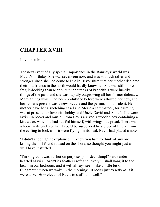# **CHAPTER XVIII**

Love-in-a-Mist

The next event of any special importance in the Ramsays' world was Mavis's birthday. She was seventeen now, and was so much taller and stronger since she had come to live in Devonshire that her mother declared their old friends in the north would hardly know her. She was still more fragile-looking than Merle, but her attacks of bronchitis were luckily things of the past, and she was rapidly outgrowing all her former delicacy. Many things which had been prohibited before were allowed her now, and her father's present was a new bicycle and the permission to ride it. Her mother gave her a sketching easel and Merle a camp-stool, for painting was at present her favourite hobby, and Uncle David and Aunt Nellie were lavish in books and music. From Bevis arrived a wooden box containing a kittiwake, which he had stuffed himself, with wings outspread. There was a hook in its back so that it could be suspended by a piece of thread from the ceiling to look as if it were flying. In its beak Bevis had placed a note.

"I didn't shoot it," he explained. "I know you hate to think of any one killing them. I found it dead on the shore, so thought you might just as well have it stuffed."

"I'm so glad it wasn't shot on purpose, poor dear thing!" said tenderhearted Mavis. "Aren't its feathers soft and lovely? I shall hang it to the beam in our bedroom, and it will always seem like a little bit of Chagmouth when we wake in the mornings. It looks just exactly as if it were alive. How clever of Bevis to stuff it so well."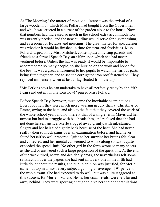At 'The Moorings' the matter of most vital interest was the arrival of a large wooden hut, which Miss Pollard had bought from the Government, and which was erected in a corner of the garden close to the house. Now that numbers had increased so much in the school extra accommodation was urgently needed, and the new building would serve for a gymnasium, and as a room for lectures and meetings. The great matter for speculation was whether it would be finished in time for term-end festivities. Miss Pollard, urged on by Miss Mitchell, contemplated inviting parents and friends to a formal Speech Day, an affair upon which she had never ventured before. Unless the hut was ready it would be impossible to accommodate so many people, so she hurried on the work and hoped for the best. It was a great amusement to her pupils to watch the various parts being fitted together, and to see the corrugated iron roof fastened on. They rejoiced immensely when at last a flag floated from the top.

"Mr. Perkins says he can undertake to have all perfectly ready by the 25th. I can send out my invitations now!" purred Miss Pollard.

Before Speech Day, however, must come the inevitable examinations. Everybody felt they were much more wearing in July than at Christmas or Easter, owing to the heat, and also to the fact that they covered the work of the whole school year, and not merely that of a single term. Mavis did her utmost but had to struggle with bad headaches, and realised that she had not done herself justice. Merle slogged away grimly, with ink-stained fingers and her hair tied tightly back because of the heat. She had never really taken so much pains over an examination before, and had never found herself so well prepared. Quite to her surprise her brains felt clear and collected, and her mental car seemed to whizz along so fast it quite exceeded the speed limit. No other girl in the form wrote so many sheets as she did or answered such a large proportion of the questions. At the end of the week, tired, nervy, and decidedly cross, she nevertheless felt some satisfaction over the papers she had sent in. Every one in the Fifth had little doubt about the results, and public opinion was justified, for Merle came out top in almost every subject, gaining an average of 91 per cent on the whole exam. She had expected to do well, but was quite staggered at this success, for Muriel, Iva, and Nesta, her usual rivals, were left far and away behind. They were sporting enough to give her their congratulations.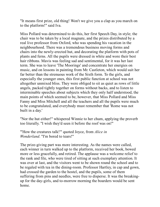"It means first prize, old thing! Won't we give you a clap as you march on to the platform!" said Iva.

Miss Pollard was determined to do this, her first Speech Day, in style; the chair was to be taken by a local magnate, and the prizes distributed by a real live professor from Oxford, who was spending his vacation in the neighbourhood. There was a tremendous business moving forms and chairs into the newly-erected hut, and decorating the platform with pots of plants and ferns. All the pupils were dressed in white and wore their best hair ribbons. Mavis was feeling sad and sentimental, for it was her last term. She was to leave 'The Moorings' and concentrate her energies on music, and on lessons in painting from Mr. Castleton, which would suit her far better than the strenuous work of the Sixth form. To the girls, and especially the younger ones, this first public function at school was not altogether unmixed bliss. They were obliged to sit as quiet as rows of little angels, packed tightly together on forms without backs, and to listen to interminable speeches about subjects which they only half understood, the main points of which seemed to be, however, that Miss Pollard and Miss Fanny and Miss Mitchell and all the teachers and all the pupils were much to be congratulated, and everybody must remember that 'Rome was not built in a day.'

"Nor the hut either!" whispered Winnie to her chum, applying the proverb too literally. "I wish they'd seen it before the roof was on!"

"'How the creatures talk!'" quoted Joyce, from *Alice in Wonderland*. "I'm bored to tears!"

The prize-giving part was more interesting. As the names were called, each winner in turn walked up to the platform, received her book, bowed more or less gracefully, and retired. The applause was a welcome relief to the rank and file, who were tired of sitting at such exemplary attention. It was over at last, and the visitors went to be shown round the school and to be regaled with tea in the dining-room. Professor Hartley, in cap and gown, had crossed the garden to the hostel, and the pupils, some of them suffering from pins and needles, were free to disperse. It was the breakingup for the day-girls, and to-morrow morning the boarders would be sent home.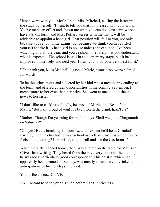"Just a word with you, Merle!" said Miss Mitchell, calling the latter into the study by herself. "I want to tell you that I'm pleased with your work. You've made an effort and shown me what you can do. Next term we shall have a Sixth form, and Miss Pollard agrees with me that it will be advisable to appoint a head girl. That position will fall to you, not only because you're top in the exams, but because we think you have fitted yourself to take it. A head girl is no use unless she can lead; I've been watching you all the year, and you've shown me lately that you understand what is expected. The school is still in an elementary stage, but it has improved immensely, and next year I trust you to do your very best for it."

"Oh, thank you, Miss Mitchell!" gasped Merle, almost too overwhelmed for words.

To be thus chosen out and selected by her idol was a most happy ending to the term, and offered golden opportunities in the coming September. It meant more to her even than her prize. She went at once to tell the good news to her sister.

"I don't like to cackle too loudly, because of Muriel and Nesta," said Mavis. "But I am proud of you! It's been worth the grind, hasn't it?"

"Rather! Though I'm yearning for the holidays. Shall we go to Chagmouth on Saturday?"

"Oh, yes! Bevis breaks up to-morrow, and I expect he'll be at Grimbal's Farm by then. It's his last term at school as well as mine. I wonder how he feels about leaving? I promised, too, to call and see the Castletons."

When the girls reached home, there was a letter on the table for Mavis in Clive's handwriting. They heard from the boy every now and then, though he was not a particularly good correspondent. This epistle, which had apparently been penned on Sunday, was mostly a summary of cricket and anticipations of his holidays. It ended:

Your affec'ate coz, CLIVE.

*P.S.*—Meant to send you this snap before. Isn't it priceless?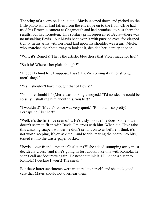The sting of a scorpion is in its tail. Mavis stooped down and picked up the little photo which had fallen from the envelope on to the floor. Clive had used his Brownie camera at Chagmouth and had promised to post them the results, but had forgotten. This solitary print represented Bevis—there was no mistaking Bevis—but Mavis bent over it with puzzled eyes, for clasped tightly in his arms with her head laid upon his shoulder was a girl. Merle, who snatched the photo away to look at it, decided her identity at once.

"Why, it's Romola! That's the artistic blue dress that Violet made for her!"

"So it is! Where's her plait, though?"

"Hidden behind her, I suppose. I say! They're coming it rather strong, aren't they?"

"Yes. I shouldn't have thought that of Bevis!"

"No more should I!" (Merle was looking annoyed.) "I'd no idea he could be so silly. I shall rag him about this, you bet!"

"I wouldn't!" (Mavis's voice was very quiet.) "Romola is so pretty! Perhaps he *likes* her!"

"Well, it's the first I've seen of it. He's a sly-boots if he does. Somehow it doesn't seem to fit in with Bevis. I'm cross with him. When did Clive take this amazing snap? I wonder he didn't send it on to us before. I think it's not worth keeping, if you ask me!" and Merle, tearing the photo into bits, tossed it into the waste-paper basket.

"Bevis is *our* friend—not the Castletons'!" she added, stumping away most decidedly cross, "and if he's going in for rubbish like this with Romola, he shan't call *me* Soeurette again! He needn't think it. I'll *not* be a sister to Romola! I declare I won't! The sneak!"

But these latter sentiments were muttered to herself, and she took good care that Mavis should not overhear them.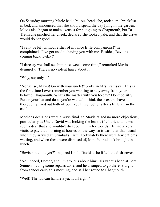On Saturday morning Merle had a bilious headache, took some breakfast in bed, and announced that she should spend the day lying in the garden. Mavis also began to make excuses for not going to Chagmouth, but Dr. Tremayne pinched her cheek, declared she looked pale, and that the drive would do her good.

"I can't be left without either of my nice little companions!" he complained. "I've got used to having you with me. Besides, Bevis is coming back to-day!"

"I daresay we shall see him next week some time," remarked Mavis demurely. "There's no violent hurry about it."

"Why, no; only—"

"Nonsense, Mavis! Go with your uncle!" broke in Mrs. Ramsay. "This is the first time I ever remember you wanting to stay away from your beloved Chagmouth. What's the matter with you to-day? Don't be silly! Put on your hat and do as you're wanted. I think these exams have thoroughly tired out both of you. You'll feel better after a little air in the car."

Mother's decisions were always final, so Mavis raised no more objections, particularly as Uncle David was looking the least trifle hurt, and he was such a dear that she wouldn't disappoint him for worlds. He had several visits to pay that morning at houses on the way, so it was later than usual when they arrived at Grimbal's Farm. Fortunately there were few patients waiting, and when these were disposed of, Mrs. Penruddock brought in lunch.

"Bevis not come yet?" inquired Uncle David as he lifted the dish-cover.

"No, indeed, Doctor, and I'm anxious about him! His yacht's been at Port Sennen, having some repairs done, and he arranged to go there straight from school early this morning, and sail her round to Chagmouth."

"Well! The lad can handle a yacht all right."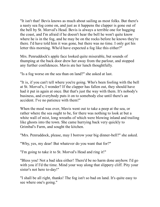"It isn't that! Bevis knows as much about sailing as most folks. But there's a nasty sea fog come on, and just as it happens the clapper is gone out of the bell by St. Morval's Head. Bevis is always a terrible one for hugging the coast, and I'm afraid if he doesn't hear the bell he won't quite know where he is in the fog, and he may be on the rocks before he knows they're there. I'd have told him it was gone, but there was no time. I only got his letter this morning. Who'd have expected a fog like this either?"

Mrs. Penruddock's apple face looked quite miserable, but sounds of thumping at the back door drew her away from the parlour, and stopped any further confidences. Mavis ate her lunch thoughtfully.

"Is a fog worse on the sea than on land?" she asked at last.

"It is, if you can't tell where you're going. Who's been fooling with the bell at St. Morval's, I wonder? If the clapper has fallen out, they should have had it put in again at once. But that's just the way with them. It's nobody's business, and everybody puts it on to somebody else until there's an accident. I've no patience with them!"

When the meal was over, Mavis went out to take a peep at the sea, or rather where the sea ought to be, for there was nothing to look at but a white wall of mist, long wreaths of which were blowing inland and trailing like ghosts into the town. She came hurrying back very quickly to Grimbal's Farm, and sought the kitchen.

"Mrs. Penruddock, please, may I borrow your big dinner-bell?" she asked.

"Why, yes, my dear! But whatever do you want that for?"

"I'm going to take it to St. Morval's Head and ring it!"

"Bless you! Not a bad idea either! There'd be no harm done anyhow. I'd go with you if I'd the time. Mind your way along that slippery cliff. Pity your sister's not here to-day!"

"I shall be all right, thanks! The fog isn't so bad on land. It's quite easy to see where one's going."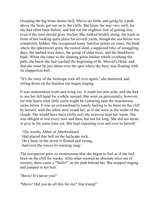Grasping the big brass dinner-bell, Mavis set forth, and going by a path above the farm, got out on to the cliffs. She knew the way very well, for she had often been before, and had not the slightest fear of getting lost, even if the mist should grow thicker. She walked briskly along, the track in front of her looking quite plain for several yards, though the sea below was completely hidden. She recognised many familiar points en route, the bank where the spleenwort grew, the ruined shed, a supposed relic of smuggling days, the barbed-wire fence, the group of elder trees, and the blackberry bank. When she came to the slanting gorse bushes which overhung the path, she knew she had reached the beginning of St. Morval's Head, and that she must be just about over the spot where the buoy was floating with its clapperless bell.

"It's the story of the Inchcape rock all over again," she muttered, and sitting down on the bracken she began ringing.

It was monotonous work and tiring too. It made her arm ache, and she had to use her left hand for a while instead. She went on persistently, however, for who knew what little yacht might be venturing near the treacherous rocks below. It was an extraordinarily lonely feeling to be there on the cliff by herself, with the white mist round her, as if she were in the midst of the clouds. She would have been chilly only the exercise kept her warm. She was obliged to rest every now and then, but not for long. She did not mean to give in for some time yet. She kept repeating over and over to herself:

 'The worthy Abbot of Aberbrothock Had placed that bell on the Inchcape rock. On a buoy in the storm it floated and swung, And over the waves its warning rung.'

The occupation grew so monotonous that she began to feel as if she had been on the cliff for weeks. After what seemed an absolute slice out of eternity, there came a "Hello!" on the path behind her. She stopped ringing and jumped to her feet.

"Bevis! It's never you!"

"Mavis! Did you do all this for me? You trump!"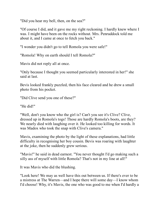"Did you hear my bell, then, on the sea?"

"Of course I did, and it gave me my right reckoning. I hardly knew where I was. I might have been on the rocks without. Mrs. Penruddock told me about it, and I came at once to fetch you back."

"I wonder you didn't go to tell Romola you were safe!"

"Romola! Why on earth should I tell Romola?"

Mavis did not reply all at once.

"Only because I thought you seemed particularly interested in her!" she said at last.

Bevis looked frankly puzzled, then his face cleared and he drew a small photo from his pocket.

"Did Clive send you one of these?"

"He did!"

"Well, don't you know who the girl is? Can't you see it's Clive? Clive, dressed up in Romola's togs! Those are hardly Romola's boots, are they? We nearly died with laughing over it. He looked too killing for words. It was Madox who took the snap with Clive's camera."

Mavis, examining the photo by the light of these explanations, had little difficulty in recognising her boy cousin. Bevis was roaring with laughter at the joke, then he suddenly grew serious.

"Mavis!" he said in dead earnest. "You never thought I'd go making such a silly ass of myself with little Romola? That's not in my line at all!"

It was Mavis who did the blushing.

"Look here! We may as well have this out between us. If there's ever to be a mistress at The Warren—and I hope there will some day—I know whom I'd choose! Why, it's Mavis, the one who was good to me when I'd hardly a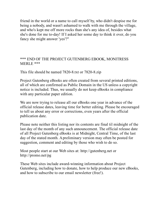friend in the world or a name to call myself by, who didn't despise me for being a nobody, and wasn't ashamed to walk with me through the village, and who's kept me off more rocks than she's any idea of, besides what she's done for me to-day! If I asked her some day to think it over, do you fancy she might answer 'yes'?"

## \*\*\* END OF THE PROJECT GUTENBERG EBOOK, MONITRESS MERLE \*\*\*

This file should be named 7820-8.txt or 7820-8.zip

Project Gutenberg eBooks are often created from several printed editions, all of which are confirmed as Public Domain in the US unless a copyright notice is included. Thus, we usually do not keep eBooks in compliance with any particular paper edition.

We are now trying to release all our eBooks one year in advance of the official release dates, leaving time for better editing. Please be encouraged to tell us about any error or corrections, even years after the official publication date.

Please note neither this listing nor its contents are final til midnight of the last day of the month of any such announcement. The official release date of all Project Gutenberg eBooks is at Midnight, Central Time, of the last day of the stated month. A preliminary version may often be posted for suggestion, comment and editing by those who wish to do so.

Most people start at our Web sites at: http://gutenberg.net or http://promo.net/pg

These Web sites include award-winning information about Project Gutenberg, including how to donate, how to help produce our new eBooks, and how to subscribe to our email newsletter (free!).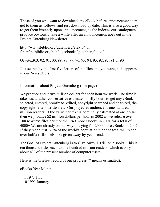Those of you who want to download any eBook before announcement can get to them as follows, and just download by date. This is also a good way to get them instantly upon announcement, as the indexes our cataloguers produce obviously take a while after an announcement goes out in the Project Gutenberg Newsletter.

http://www.ibiblio.org/gutenberg/etext04 or ftp://ftp.ibiblio.org/pub/docs/books/gutenberg/etext04

Or /etext03, 02, 01, 00, 99, 98, 97, 96, 95, 94, 93, 92, 92, 91 or 90

Just search by the first five letters of the filename you want, as it appears in our Newsletters.

Information about Project Gutenberg (one page)

We produce about two million dollars for each hour we work. The time it takes us, a rather conservative estimate, is fifty hours to get any eBook selected, entered, proofread, edited, copyright searched and analyzed, the copyright letters written, etc. Our projected audience is one hundred million readers. If the value per text is nominally estimated at one dollar then we produce \$2 million dollars per hour in 2002 as we release over 100 new text files per month: 1240 more eBooks in 2001 for a total of 4000+ We are already on our way to trying for 2000 more eBooks in 2002 If they reach just 1-2% of the world's population then the total will reach over half a trillion eBooks given away by year's end.

The Goal of Project Gutenberg is to Give Away 1 Trillion eBooks! This is ten thousand titles each to one hundred million readers, which is only about 4% of the present number of computer users.

Here is the briefest record of our progress (\* means estimated):

eBooks Year Month

 1 1971 July 10 1991 January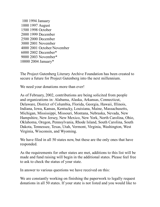100 1994 January 1000 1997 August 1500 1998 October 2000 1999 December 2500 2000 December 3000 2001 November 4000 2001 October/November 6000 2002 December\* 9000 2003 November\* 10000 2004 January\*

The Project Gutenberg Literary Archive Foundation has been created to secure a future for Project Gutenberg into the next millennium.

We need your donations more than ever!

As of February, 2002, contributions are being solicited from people and organizations in: Alabama, Alaska, Arkansas, Connecticut, Delaware, District of Columbia, Florida, Georgia, Hawaii, Illinois, Indiana, Iowa, Kansas, Kentucky, Louisiana, Maine, Massachusetts, Michigan, Mississippi, Missouri, Montana, Nebraska, Nevada, New Hampshire, New Jersey, New Mexico, New York, North Carolina, Ohio, Oklahoma, Oregon, Pennsylvania, Rhode Island, South Carolina, South Dakota, Tennessee, Texas, Utah, Vermont, Virginia, Washington, West Virginia, Wisconsin, and Wyoming.

We have filed in all 50 states now, but these are the only ones that have responded.

As the requirements for other states are met, additions to this list will be made and fund raising will begin in the additional states. Please feel free to ask to check the status of your state.

In answer to various questions we have received on this:

We are constantly working on finishing the paperwork to legally request donations in all 50 states. If your state is not listed and you would like to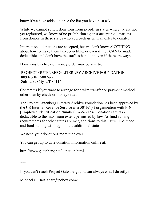know if we have added it since the list you have, just ask.

While we cannot solicit donations from people in states where we are not yet registered, we know of no prohibition against accepting donations from donors in these states who approach us with an offer to donate.

International donations are accepted, but we don't know ANYTHING about how to make them tax-deductible, or even if they CAN be made deductible, and don't have the staff to handle it even if there are ways.

Donations by check or money order may be sent to:

 PROJECT GUTENBERG LITERARY ARCHIVE FOUNDATION 809 North 1500 West Salt Lake City, UT 84116

Contact us if you want to arrange for a wire transfer or payment method other than by check or money order.

The Project Gutenberg Literary Archive Foundation has been approved by the US Internal Revenue Service as a  $501(c)(3)$  organization with EIN [Employee Identification Number] 64-622154. Donations are taxdeductible to the maximum extent permitted by law. As fund-raising requirements for other states are met, additions to this list will be made and fund-raising will begin in the additional states.

We need your donations more than ever!

You can get up to date donation information online at:

http://www.gutenberg.net/donation.html

\*\*\*

If you can't reach Project Gutenberg, you can always email directly to:

Michael S. Hart <hart@pobox.com>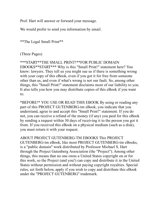Prof. Hart will answer or forward your message.

We would prefer to send you information by email.

\*\*The Legal Small Print\*\*

## (Three Pages)

\*\*\*START\*\*THE SMALL PRINT!\*\*FOR PUBLIC DOMAIN EBOOKS\*\*START\*\*\* Why is this "Small Print!" statement here? You know: lawyers. They tell us you might sue us if there is something wrong with your copy of this eBook, even if you got it for free from someone other than us, and even if what's wrong is not our fault. So, among other things, this "Small Print!" statement disclaims most of our liability to you. It also tells you how you may distribute copies of this eBook if you want to.

\*BEFORE!\* YOU USE OR READ THIS EBOOK By using or reading any part of this PROJECT GUTENBERG-tm eBook, you indicate that you understand, agree to and accept this "Small Print!" statement. If you do not, you can receive a refund of the money (if any) you paid for this eBook by sending a request within 30 days of receiving it to the person you got it from. If you received this eBook on a physical medium (such as a disk), you must return it with your request.

ABOUT PROJECT GUTENBERG-TM EBOOKS This PROJECT GUTENBERG-tm eBook, like most PROJECT GUTENBERG-tm eBooks, is a "public domain" work distributed by Professor Michael S. Hart through the Project Gutenberg Association (the "Project"). Among other things, this means that no one owns a United States copyright on or for this work, so the Project (and you!) can copy and distribute it in the United States without permission and without paying copyright royalties. Special rules, set forth below, apply if you wish to copy and distribute this eBook under the "PROJECT GUTENBERG" trademark.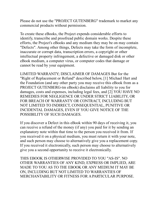Please do not use the "PROJECT GUTENBERG" trademark to market any commercial products without permission.

To create these eBooks, the Project expends considerable efforts to identify, transcribe and proofread public domain works. Despite these efforts, the Project's eBooks and any medium they may be on may contain "Defects". Among other things, Defects may take the form of incomplete, inaccurate or corrupt data, transcription errors, a copyright or other intellectual property infringement, a defective or damaged disk or other eBook medium, a computer virus, or computer codes that damage or cannot be read by your equipment.

LIMITED WARRANTY; DISCLAIMER OF DAMAGES But for the "Right of Replacement or Refund" described below, [1] Michael Hart and the Foundation (and any other party you may receive this eBook from as a PROJECT GUTENBERG-tm eBook) disclaims all liability to you for damages, costs and expenses, including legal fees, and [2] YOU HAVE NO REMEDIES FOR NEGLIGENCE OR UNDER STRICT LIABILITY, OR FOR BREACH OF WARRANTY OR CONTRACT, INCLUDING BUT NOT LIMITED TO INDIRECT, CONSEQUENTIAL, PUNITIVE OR INCIDENTAL DAMAGES, EVEN IF YOU GIVE NOTICE OF THE POSSIBILITY OF SUCH DAMAGES.

If you discover a Defect in this eBook within 90 days of receiving it, you can receive a refund of the money (if any) you paid for it by sending an explanatory note within that time to the person you received it from. If you received it on a physical medium, you must return it with your note, and such person may choose to alternatively give you a replacement copy. If you received it electronically, such person may choose to alternatively give you a second opportunity to receive it electronically.

THIS EBOOK IS OTHERWISE PROVIDED TO YOU "AS-IS". NO OTHER WARRANTIES OF ANY KIND, EXPRESS OR IMPLIED, ARE MADE TO YOU AS TO THE EBOOK OR ANY MEDIUM IT MAY BE ON, INCLUDING BUT NOT LIMITED TO WARRANTIES OF MERCHANTABILITY OR FITNESS FOR A PARTICULAR PURPOSE.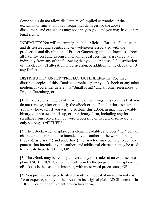Some states do not allow disclaimers of implied warranties or the exclusion or limitation of consequential damages, so the above disclaimers and exclusions may not apply to you, and you may have other legal rights.

INDEMNITY You will indemnify and hold Michael Hart, the Foundation, and its trustees and agents, and any volunteers associated with the production and distribution of Project Gutenberg-tm texts harmless, from all liability, cost and expense, including legal fees, that arise directly or indirectly from any of the following that you do or cause: [1] distribution of this eBook, [2] alteration, modification, or addition to the eBook, or [3] any Defect.

DISTRIBUTION UNDER "PROJECT GUTENBERG-tm" You may distribute copies of this eBook electronically, or by disk, book or any other medium if you either delete this "Small Print!" and all other references to Project Gutenberg, or:

[1] Only give exact copies of it. Among other things, this requires that you do not remove, alter or modify the eBook or this "small print!" statement. You may however, if you wish, distribute this eBook in machine readable binary, compressed, mark-up, or proprietary form, including any form resulting from conversion by word processing or hypertext software, but only so long as \*EITHER\*:

[\*] The eBook, when displayed, is clearly readable, and does \*not\* contain characters other than those intended by the author of the work, although tilde  $(\sim)$ , asterisk  $(*)$  and underline () characters may be used to convey punctuation intended by the author, and additional characters may be used to indicate hypertext links; OR

[\*] The eBook may be readily converted by the reader at no expense into plain ASCII, EBCDIC or equivalent form by the program that displays the eBook (as is the case, for instance, with most word processors); OR

[\*] You provide, or agree to also provide on request at no additional cost, fee or expense, a copy of the eBook in its original plain ASCII form (or in EBCDIC or other equivalent proprietary form).